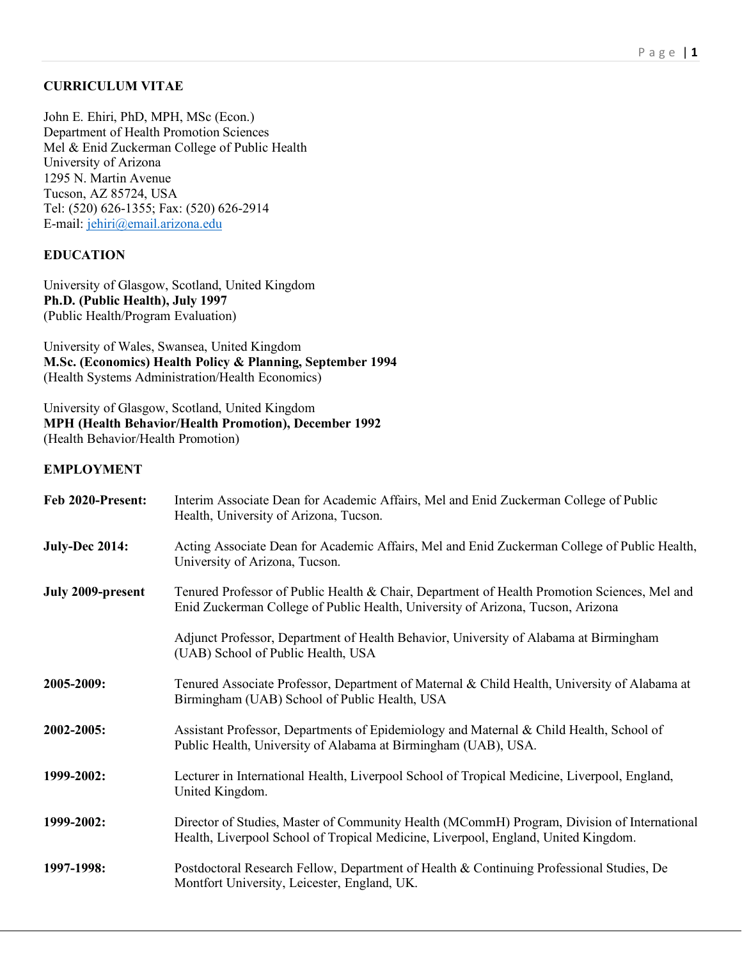### **CURRICULUM VITAE**

John E. Ehiri, PhD, MPH, MSc (Econ.) Department of Health Promotion Sciences Mel & Enid Zuckerman College of Public Health University of Arizona 1295 N. Martin Avenue Tucson, AZ 85724, USA Tel: (520) 626-1355; Fax: (520) 626-2914 E-mail: jehiri@email.arizona.edu

## **EDUCATION**

University of Glasgow, Scotland, United Kingdom **Ph.D. (Public Health), July 1997** (Public Health/Program Evaluation)

University of Wales, Swansea, United Kingdom **M.Sc. (Economics) Health Policy & Planning, September 1994** (Health Systems Administration/Health Economics)

University of Glasgow, Scotland, United Kingdom **MPH (Health Behavior/Health Promotion), December 1992** (Health Behavior/Health Promotion)

#### **EMPLOYMENT**

| Feb 2020-Present:     | Interim Associate Dean for Academic Affairs, Mel and Enid Zuckerman College of Public<br>Health, University of Arizona, Tucson.                                                   |
|-----------------------|-----------------------------------------------------------------------------------------------------------------------------------------------------------------------------------|
| <b>July-Dec 2014:</b> | Acting Associate Dean for Academic Affairs, Mel and Enid Zuckerman College of Public Health,<br>University of Arizona, Tucson.                                                    |
| July 2009-present     | Tenured Professor of Public Health & Chair, Department of Health Promotion Sciences, Mel and<br>Enid Zuckerman College of Public Health, University of Arizona, Tucson, Arizona   |
|                       | Adjunct Professor, Department of Health Behavior, University of Alabama at Birmingham<br>(UAB) School of Public Health, USA                                                       |
| 2005-2009:            | Tenured Associate Professor, Department of Maternal & Child Health, University of Alabama at<br>Birmingham (UAB) School of Public Health, USA                                     |
| 2002-2005:            | Assistant Professor, Departments of Epidemiology and Maternal & Child Health, School of<br>Public Health, University of Alabama at Birmingham (UAB), USA.                         |
| 1999-2002:            | Lecturer in International Health, Liverpool School of Tropical Medicine, Liverpool, England,<br>United Kingdom.                                                                   |
| 1999-2002:            | Director of Studies, Master of Community Health (MCommH) Program, Division of International<br>Health, Liverpool School of Tropical Medicine, Liverpool, England, United Kingdom. |
| 1997-1998:            | Postdoctoral Research Fellow, Department of Health & Continuing Professional Studies, De<br>Montfort University, Leicester, England, UK.                                          |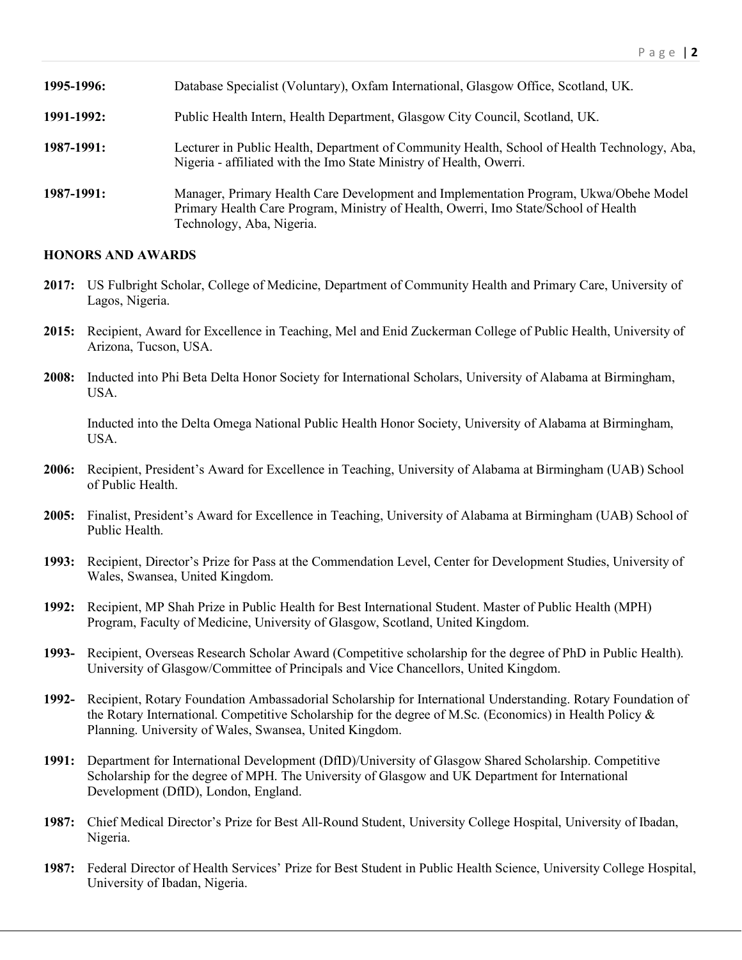| 1995-1996: | Database Specialist (Voluntary), Oxfam International, Glasgow Office, Scotland, UK.                                                                                                                       |
|------------|-----------------------------------------------------------------------------------------------------------------------------------------------------------------------------------------------------------|
| 1991-1992: | Public Health Intern, Health Department, Glasgow City Council, Scotland, UK.                                                                                                                              |
| 1987-1991: | Lecturer in Public Health, Department of Community Health, School of Health Technology, Aba,<br>Nigeria - affiliated with the Imo State Ministry of Health, Owerri.                                       |
| 1987-1991: | Manager, Primary Health Care Development and Implementation Program, Ukwa/Obehe Model<br>Primary Health Care Program, Ministry of Health, Owerri, Imo State/School of Health<br>Technology, Aba, Nigeria. |

#### **HONORS AND AWARDS**

- **2017:** US Fulbright Scholar, College of Medicine, Department of Community Health and Primary Care, University of Lagos, Nigeria.
- **2015:** Recipient, Award for Excellence in Teaching, Mel and Enid Zuckerman College of Public Health, University of Arizona, Tucson, USA.
- **2008:** Inducted into Phi Beta Delta Honor Society for International Scholars, University of Alabama at Birmingham, USA.

Inducted into the Delta Omega National Public Health Honor Society, University of Alabama at Birmingham, USA.

- **2006:** Recipient, President's Award for Excellence in Teaching, University of Alabama at Birmingham (UAB) School of Public Health.
- **2005:** Finalist, President's Award for Excellence in Teaching, University of Alabama at Birmingham (UAB) School of Public Health.
- **1993:** Recipient, Director's Prize for Pass at the Commendation Level, Center for Development Studies, University of Wales, Swansea, United Kingdom.
- **1992:** Recipient, MP Shah Prize in Public Health for Best International Student. Master of Public Health (MPH) Program, Faculty of Medicine, University of Glasgow, Scotland, United Kingdom.
- **1993-** Recipient, Overseas Research Scholar Award (Competitive scholarship for the degree of PhD in Public Health). University of Glasgow/Committee of Principals and Vice Chancellors, United Kingdom.
- **1992-** Recipient, Rotary Foundation Ambassadorial Scholarship for International Understanding. Rotary Foundation of the Rotary International. Competitive Scholarship for the degree of M.Sc. (Economics) in Health Policy & Planning. University of Wales, Swansea, United Kingdom.
- **1991:** Department for International Development (DfID)/University of Glasgow Shared Scholarship. Competitive Scholarship for the degree of MPH. The University of Glasgow and UK Department for International Development (DfID), London, England.
- **1987:** Chief Medical Director's Prize for Best All-Round Student, University College Hospital, University of Ibadan, Nigeria.
- **1987:** Federal Director of Health Services' Prize for Best Student in Public Health Science, University College Hospital, University of Ibadan, Nigeria.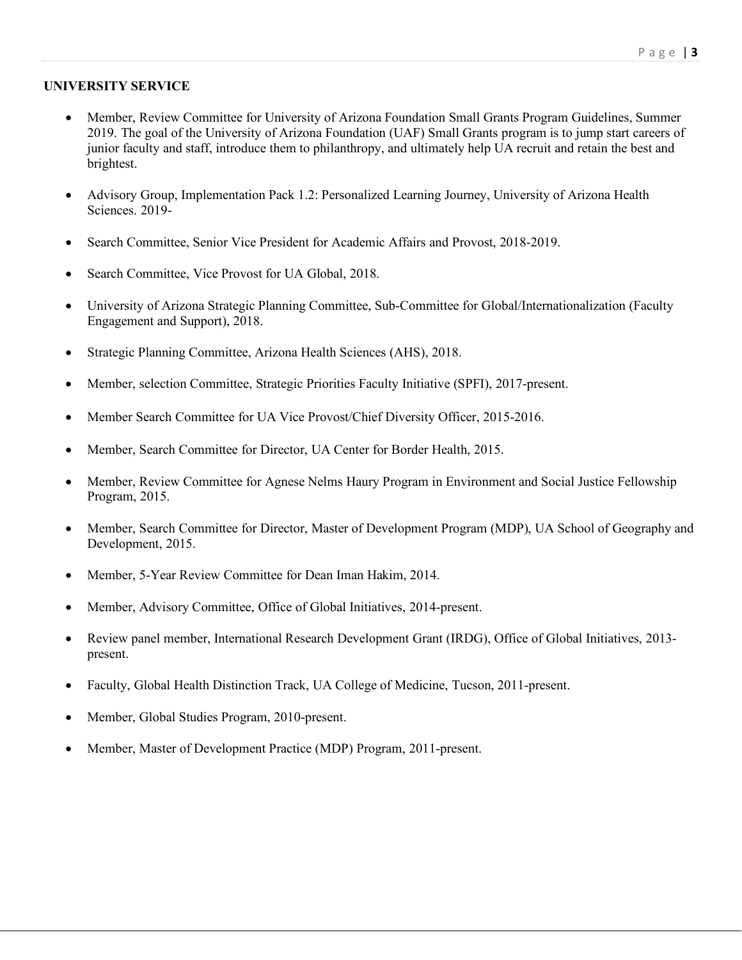#### **UNIVERSITY SERVICE**

- Member, Review Committee for University of Arizona Foundation Small Grants Program Guidelines, Summer 2019. The goal of the University of Arizona Foundation (UAF) Small Grants program is to jump start careers of junior faculty and staff, introduce them to philanthropy, and ultimately help UA recruit and retain the best and brightest.
- Advisory Group, Implementation Pack 1.2: Personalized Learning Journey, University of Arizona Health Sciences. 2019-
- Search Committee, Senior Vice President for Academic Affairs and Provost, 2018-2019.
- Search Committee, Vice Provost for UA Global, 2018.
- University of Arizona Strategic Planning Committee, Sub-Committee for Global/Internationalization (Faculty Engagement and Support), 2018.
- Strategic Planning Committee, Arizona Health Sciences (AHS), 2018.
- Member, selection Committee, Strategic Priorities Faculty Initiative (SPFI), 2017-present.
- Member Search Committee for UA Vice Provost/Chief Diversity Officer, 2015-2016.
- Member, Search Committee for Director, UA Center for Border Health, 2015.
- Member, Review Committee for Agnese Nelms Haury Program in Environment and Social Justice Fellowship Program, 2015.
- Member, Search Committee for Director, Master of Development Program (MDP), UA School of Geography and Development, 2015.
- Member, 5-Year Review Committee for Dean Iman Hakim, 2014.
- Member, Advisory Committee, Office of Global Initiatives, 2014-present.
- Review panel member, International Research Development Grant (IRDG), Office of Global Initiatives, 2013 present.
- Faculty, Global Health Distinction Track, UA College of Medicine, Tucson, 2011-present.
- Member, Global Studies Program, 2010-present.
- Member, Master of Development Practice (MDP) Program, 2011-present.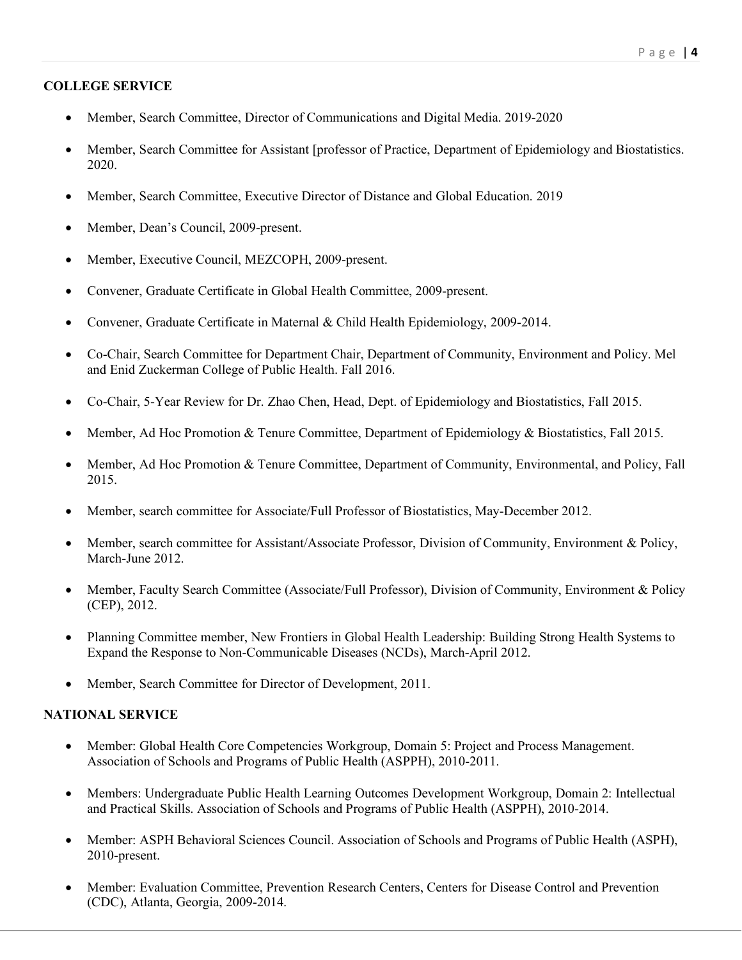## **COLLEGE SERVICE**

- Member, Search Committee, Director of Communications and Digital Media. 2019-2020
- Member, Search Committee for Assistant [professor of Practice, Department of Epidemiology and Biostatistics. 2020.
- Member, Search Committee, Executive Director of Distance and Global Education. 2019
- Member, Dean's Council, 2009-present.
- Member, Executive Council, MEZCOPH, 2009-present.
- Convener, Graduate Certificate in Global Health Committee, 2009-present.
- Convener, Graduate Certificate in Maternal & Child Health Epidemiology, 2009-2014.
- Co-Chair, Search Committee for Department Chair, Department of Community, Environment and Policy. Mel and Enid Zuckerman College of Public Health. Fall 2016.
- Co-Chair, 5-Year Review for Dr. Zhao Chen, Head, Dept. of Epidemiology and Biostatistics, Fall 2015.
- Member, Ad Hoc Promotion & Tenure Committee, Department of Epidemiology & Biostatistics, Fall 2015.
- Member, Ad Hoc Promotion & Tenure Committee, Department of Community, Environmental, and Policy, Fall 2015.
- Member, search committee for Associate/Full Professor of Biostatistics, May-December 2012.
- Member, search committee for Assistant/Associate Professor, Division of Community, Environment & Policy, March-June 2012.
- Member, Faculty Search Committee (Associate/Full Professor), Division of Community, Environment & Policy (CEP), 2012.
- Planning Committee member, New Frontiers in Global Health Leadership: Building Strong Health Systems to Expand the Response to Non-Communicable Diseases (NCDs), March-April 2012.
- Member, Search Committee for Director of Development, 2011.

### **NATIONAL SERVICE**

- Member: Global Health Core Competencies Workgroup, Domain 5: Project and Process Management. Association of Schools and Programs of Public Health (ASPPH), 2010-2011.
- Members: Undergraduate Public Health Learning Outcomes Development Workgroup, Domain 2: Intellectual and Practical Skills. Association of Schools and Programs of Public Health (ASPPH), 2010-2014.
- Member: ASPH Behavioral Sciences Council. Association of Schools and Programs of Public Health (ASPH), 2010-present.
- Member: Evaluation Committee, Prevention Research Centers, Centers for Disease Control and Prevention (CDC), Atlanta, Georgia, 2009-2014.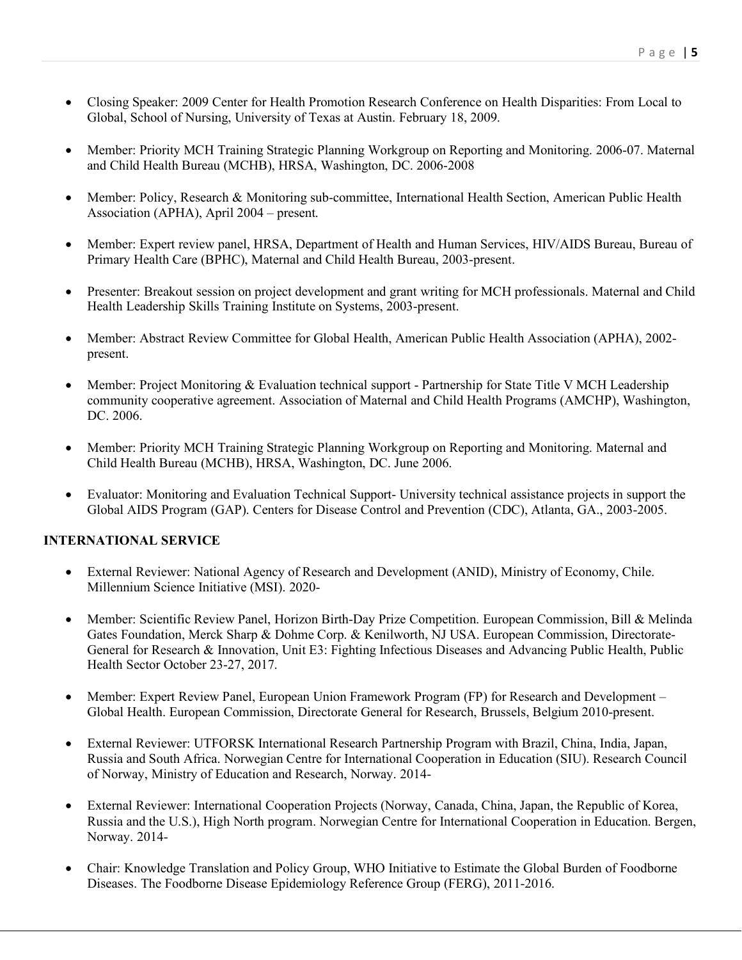- Closing Speaker: 2009 Center for Health Promotion Research Conference on Health Disparities: From Local to Global, School of Nursing, University of Texas at Austin. February 18, 2009.
- Member: Priority MCH Training Strategic Planning Workgroup on Reporting and Monitoring. 2006-07. Maternal and Child Health Bureau (MCHB), HRSA, Washington, DC. 2006-2008
- Member: Policy, Research & Monitoring sub-committee, International Health Section, American Public Health Association (APHA), April 2004 – present.
- Member: Expert review panel, HRSA, Department of Health and Human Services, HIV/AIDS Bureau, Bureau of Primary Health Care (BPHC), Maternal and Child Health Bureau, 2003-present.
- Presenter: Breakout session on project development and grant writing for MCH professionals. Maternal and Child Health Leadership Skills Training Institute on Systems, 2003-present.
- Member: Abstract Review Committee for Global Health, American Public Health Association (APHA), 2002present.
- Member: Project Monitoring & Evaluation technical support Partnership for State Title V MCH Leadership community cooperative agreement. Association of Maternal and Child Health Programs (AMCHP), Washington, DC. 2006.
- Member: Priority MCH Training Strategic Planning Workgroup on Reporting and Monitoring. Maternal and Child Health Bureau (MCHB), HRSA, Washington, DC. June 2006.
- Evaluator: Monitoring and Evaluation Technical Support- University technical assistance projects in support the Global AIDS Program (GAP). Centers for Disease Control and Prevention (CDC), Atlanta, GA., 2003-2005.

#### **INTERNATIONAL SERVICE**

- External Reviewer: National Agency of Research and Development (ANID), Ministry of Economy, Chile. Millennium Science Initiative (MSI). 2020-
- Member: Scientific Review Panel, Horizon Birth-Day Prize Competition. European Commission, Bill & Melinda Gates Foundation, Merck Sharp & Dohme Corp. & Kenilworth, NJ USA. European Commission, Directorate-General for Research & Innovation, Unit E3: Fighting Infectious Diseases and Advancing Public Health, Public Health Sector October 23-27, 2017.
- Member: Expert Review Panel, European Union Framework Program (FP) for Research and Development Global Health. European Commission, Directorate General for Research, Brussels, Belgium 2010-present.
- External Reviewer: UTFORSK International Research Partnership Program with Brazil, China, India, Japan, Russia and South Africa. Norwegian Centre for International Cooperation in Education (SIU). Research Council of Norway, Ministry of Education and Research, Norway. 2014-
- External Reviewer: International Cooperation Projects (Norway, Canada, China, Japan, the Republic of Korea, Russia and the U.S.), High North program. Norwegian Centre for International Cooperation in Education. Bergen, Norway. 2014-
- Chair: Knowledge Translation and Policy Group, WHO Initiative to Estimate the Global Burden of Foodborne Diseases. The Foodborne Disease Epidemiology Reference Group (FERG), 2011-2016.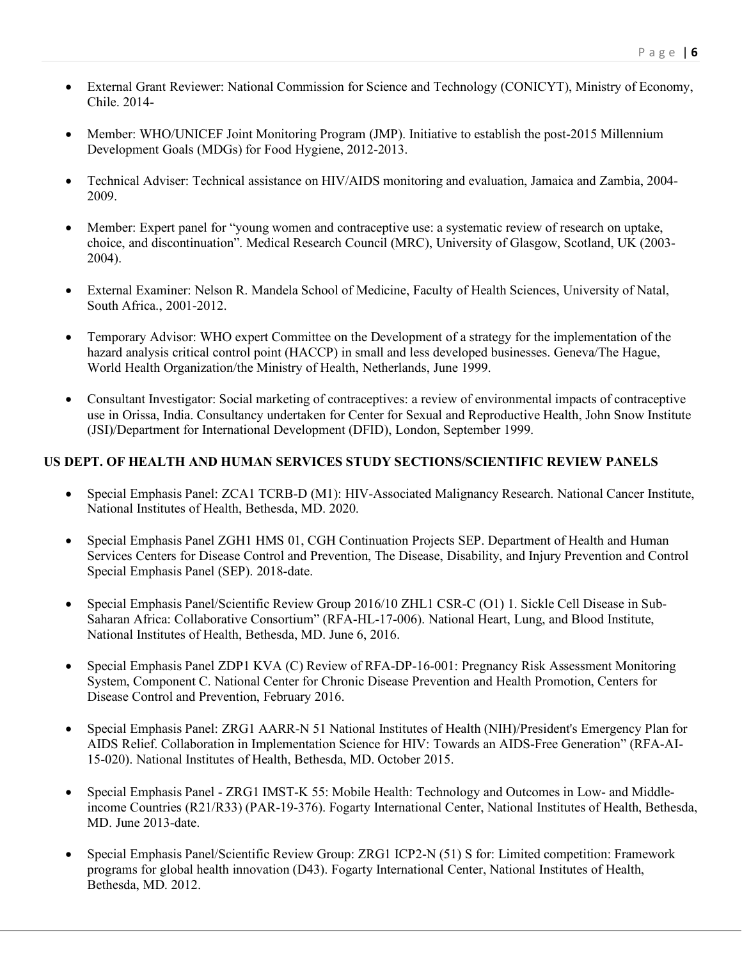- External Grant Reviewer: National Commission for Science and Technology (CONICYT), Ministry of Economy, Chile. 2014-
- Member: WHO/UNICEF Joint Monitoring Program (JMP). Initiative to establish the post-2015 Millennium Development Goals (MDGs) for Food Hygiene, 2012-2013.
- Technical Adviser: Technical assistance on HIV/AIDS monitoring and evaluation, Jamaica and Zambia, 2004- 2009.
- Member: Expert panel for "young women and contraceptive use: a systematic review of research on uptake, choice, and discontinuation". Medical Research Council (MRC), University of Glasgow, Scotland, UK (2003- 2004).
- External Examiner: Nelson R. Mandela School of Medicine, Faculty of Health Sciences, University of Natal, South Africa., 2001-2012.
- Temporary Advisor: WHO expert Committee on the Development of a strategy for the implementation of the hazard analysis critical control point (HACCP) in small and less developed businesses. Geneva/The Hague, World Health Organization/the Ministry of Health, Netherlands, June 1999.
- Consultant Investigator: Social marketing of contraceptives: a review of environmental impacts of contraceptive use in Orissa, India. Consultancy undertaken for Center for Sexual and Reproductive Health, John Snow Institute (JSI)/Department for International Development (DFID), London, September 1999.

### **US DEPT. OF HEALTH AND HUMAN SERVICES STUDY SECTIONS/SCIENTIFIC REVIEW PANELS**

- Special Emphasis Panel: ZCA1 TCRB-D (M1): HIV-Associated Malignancy Research. National Cancer Institute, National Institutes of Health, Bethesda, MD. 2020.
- Special Emphasis Panel ZGH1 HMS 01, CGH Continuation Projects SEP. Department of Health and Human Services Centers for Disease Control and Prevention, The Disease, Disability, and Injury Prevention and Control Special Emphasis Panel (SEP). 2018-date.
- Special Emphasis Panel/Scientific Review Group 2016/10 ZHL1 CSR-C (O1) 1. Sickle Cell Disease in Sub-Saharan Africa: Collaborative Consortium" (RFA-HL-17-006). National Heart, Lung, and Blood Institute, National Institutes of Health, Bethesda, MD. June 6, 2016.
- Special Emphasis Panel ZDP1 KVA (C) Review of RFA-DP-16-001: Pregnancy Risk Assessment Monitoring System, Component C. National Center for Chronic Disease Prevention and Health Promotion, Centers for Disease Control and Prevention, February 2016.
- Special Emphasis Panel: ZRG1 AARR-N 51 National Institutes of Health (NIH)/President's Emergency Plan for AIDS Relief. Collaboration in Implementation Science for HIV: Towards an AIDS-Free Generation" (RFA-AI-15-020). National Institutes of Health, Bethesda, MD. October 2015.
- Special Emphasis Panel ZRG1 IMST-K 55: Mobile Health: Technology and Outcomes in Low- and Middleincome Countries (R21/R33) (PAR-19-376). Fogarty International Center, National Institutes of Health, Bethesda, MD. June 2013-date.
- Special Emphasis Panel/Scientific Review Group: ZRG1 ICP2-N (51) S for: Limited competition: Framework programs for global health innovation (D43). Fogarty International Center, National Institutes of Health, Bethesda, MD. 2012.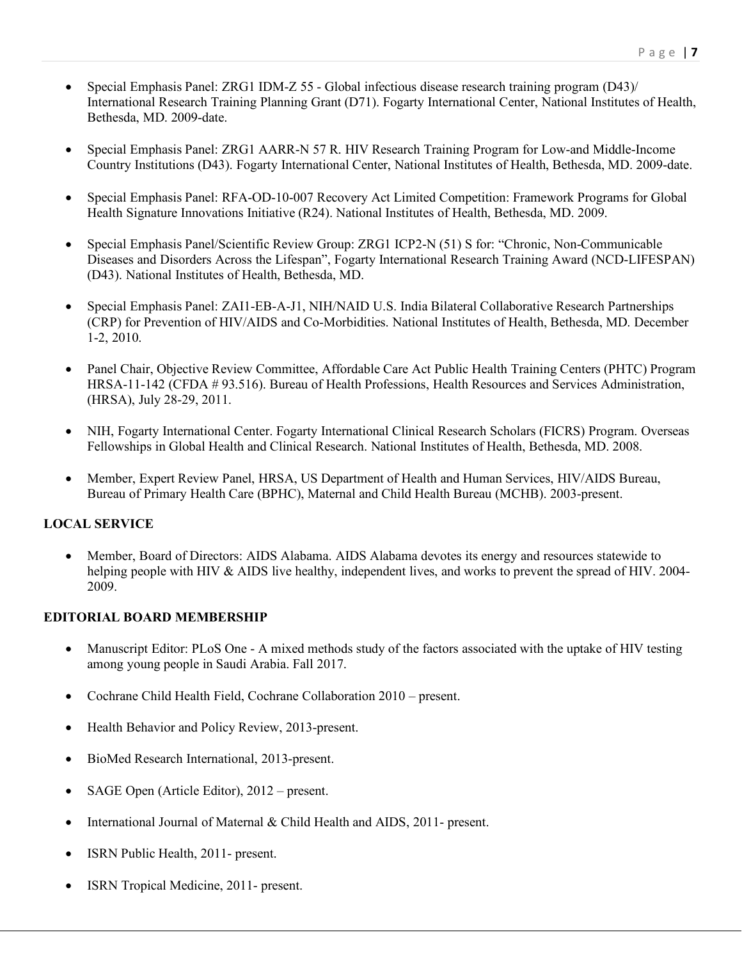- Special Emphasis Panel: ZRG1 IDM-Z 55 Global infectious disease research training program (D43)/ International Research Training Planning Grant (D71). Fogarty International Center, National Institutes of Health, Bethesda, MD. 2009-date.
- Special Emphasis Panel: ZRG1 AARR-N 57 R. HIV Research Training Program for Low-and Middle-Income Country Institutions (D43). Fogarty International Center, National Institutes of Health, Bethesda, MD. 2009-date.
- Special Emphasis Panel: RFA-OD-10-007 Recovery Act Limited Competition: Framework Programs for Global Health Signature Innovations Initiative (R24). National Institutes of Health, Bethesda, MD. 2009.
- Special Emphasis Panel/Scientific Review Group: ZRG1 ICP2-N (51) S for: "Chronic, Non-Communicable Diseases and Disorders Across the Lifespan", Fogarty International Research Training Award (NCD-LIFESPAN) (D43). National Institutes of Health, Bethesda, MD.
- Special Emphasis Panel: ZAI1-EB-A-J1, NIH/NAID U.S. India Bilateral Collaborative Research Partnerships (CRP) for Prevention of HIV/AIDS and Co-Morbidities. National Institutes of Health, Bethesda, MD. December 1-2, 2010.
- Panel Chair, Objective Review Committee, Affordable Care Act Public Health Training Centers (PHTC) Program HRSA-11-142 (CFDA # 93.516). Bureau of Health Professions, Health Resources and Services Administration, (HRSA), July 28-29, 2011.
- NIH, Fogarty International Center. Fogarty International Clinical Research Scholars (FICRS) Program. Overseas Fellowships in Global Health and Clinical Research. National Institutes of Health, Bethesda, MD. 2008.
- Member, Expert Review Panel, HRSA, US Department of Health and Human Services, HIV/AIDS Bureau, Bureau of Primary Health Care (BPHC), Maternal and Child Health Bureau (MCHB). 2003-present.

### **LOCAL SERVICE**

• Member, Board of Directors: AIDS Alabama. AIDS Alabama devotes its energy and resources statewide to helping people with HIV & AIDS live healthy, independent lives, and works to prevent the spread of HIV. 2004-2009.

### **EDITORIAL BOARD MEMBERSHIP**

- Manuscript Editor: PLoS One A mixed methods study of the factors associated with the uptake of HIV testing among young people in Saudi Arabia. Fall 2017.
- Cochrane Child Health Field, Cochrane Collaboration 2010 present.
- Health Behavior and Policy Review, 2013-present.
- BioMed Research International, 2013-present.
- SAGE Open (Article Editor), 2012 present.
- International Journal of Maternal & Child Health and AIDS, 2011- present.
- ISRN Public Health, 2011- present.
- ISRN Tropical Medicine, 2011- present.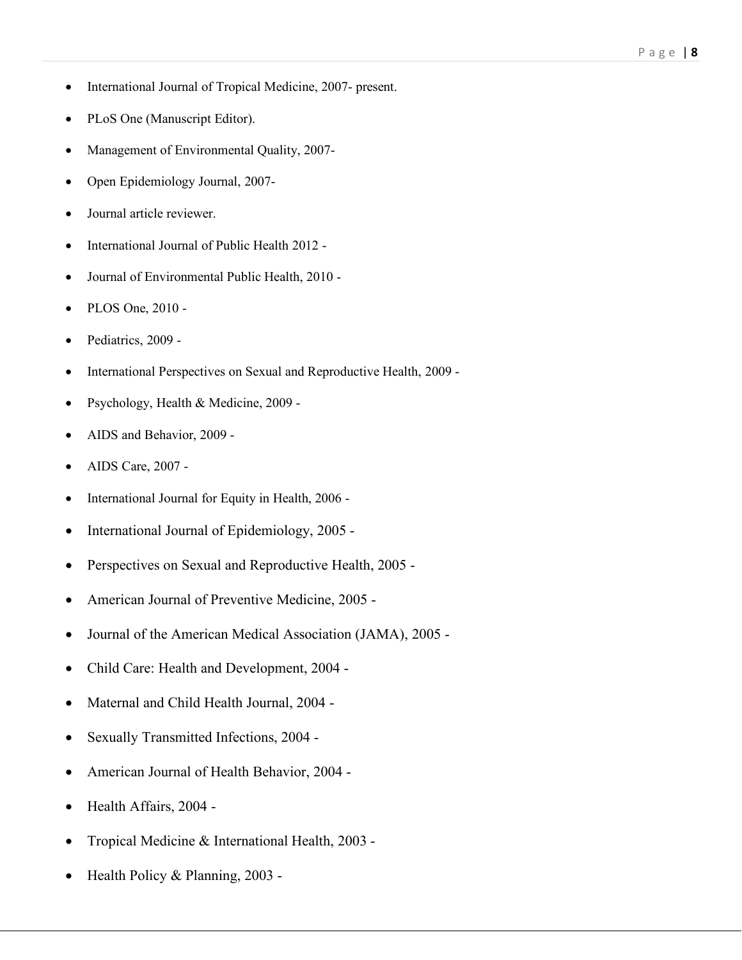- International Journal of Tropical Medicine, 2007- present.
- PLoS One (Manuscript Editor).
- Management of Environmental Quality, 2007-
- Open Epidemiology Journal, 2007-
- Journal article reviewer.
- International Journal of Public Health 2012 -
- Journal of Environmental Public Health, 2010 -
- PLOS One, 2010 -
- Pediatrics, 2009 -
- International Perspectives on Sexual and Reproductive Health, 2009 -
- Psychology, Health & Medicine, 2009 -
- AIDS and Behavior, 2009 -
- AIDS Care, 2007 -
- International Journal for Equity in Health, 2006 -
- International Journal of Epidemiology, 2005 -
- Perspectives on Sexual and Reproductive Health, 2005 -
- American Journal of Preventive Medicine, 2005 -
- Journal of the American Medical Association (JAMA), 2005 -
- Child Care: Health and Development, 2004 -
- Maternal and Child Health Journal, 2004 -
- Sexually Transmitted Infections, 2004 -
- American Journal of Health Behavior, 2004 -
- Health Affairs, 2004 -
- Tropical Medicine & International Health, 2003 -
- Health Policy & Planning, 2003 -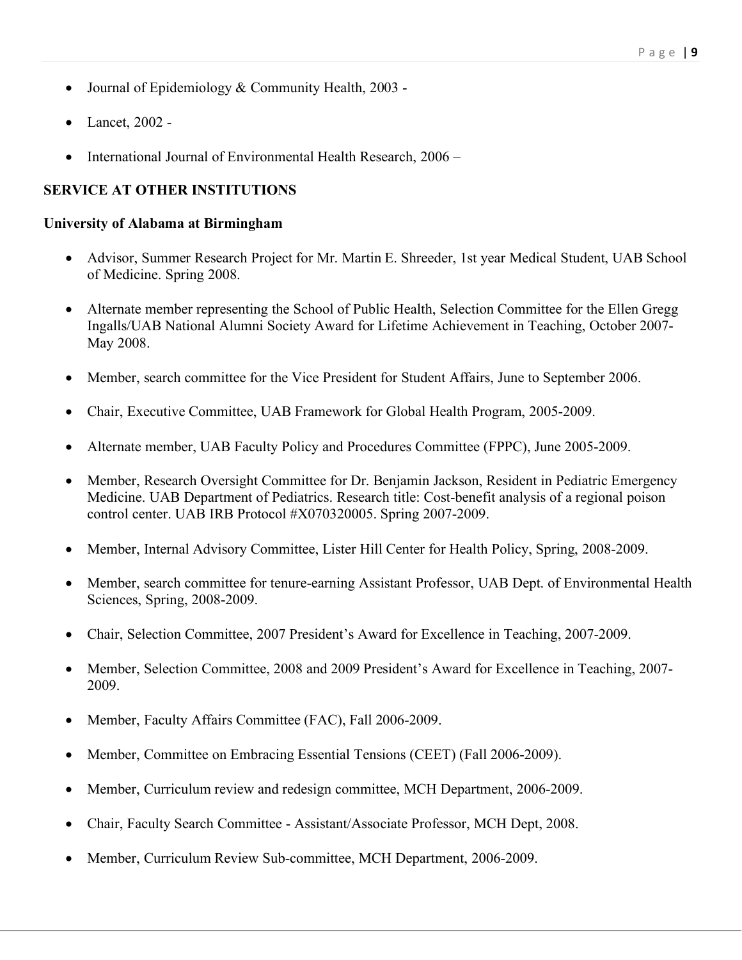- Journal of Epidemiology & Community Health, 2003 -
- Lancet, 2002 -
- International Journal of Environmental Health Research, 2006 –

# **SERVICE AT OTHER INSTITUTIONS**

#### **University of Alabama at Birmingham**

- Advisor, Summer Research Project for Mr. Martin E. Shreeder, 1st year Medical Student, UAB School of Medicine. Spring 2008.
- Alternate member representing the School of Public Health, Selection Committee for the Ellen Gregg Ingalls/UAB National Alumni Society Award for Lifetime Achievement in Teaching, October 2007- May 2008.
- Member, search committee for the Vice President for Student Affairs, June to September 2006.
- Chair, Executive Committee, UAB Framework for Global Health Program, 2005-2009.
- Alternate member, UAB Faculty Policy and Procedures Committee (FPPC), June 2005-2009.
- Member, Research Oversight Committee for Dr. Benjamin Jackson, Resident in Pediatric Emergency Medicine. UAB Department of Pediatrics. Research title: Cost-benefit analysis of a regional poison control center. UAB IRB Protocol #X070320005. Spring 2007-2009.
- Member, Internal Advisory Committee, Lister Hill Center for Health Policy, Spring, 2008-2009.
- Member, search committee for tenure-earning Assistant Professor, UAB Dept. of Environmental Health Sciences, Spring, 2008-2009.
- Chair, Selection Committee, 2007 President's Award for Excellence in Teaching, 2007-2009.
- Member, Selection Committee, 2008 and 2009 President's Award for Excellence in Teaching, 2007-2009.
- Member, Faculty Affairs Committee (FAC), Fall 2006-2009.
- Member, Committee on Embracing Essential Tensions (CEET) (Fall 2006-2009).
- Member, Curriculum review and redesign committee, MCH Department, 2006-2009.
- Chair, Faculty Search Committee Assistant/Associate Professor, MCH Dept, 2008.
- Member, Curriculum Review Sub-committee, MCH Department, 2006-2009.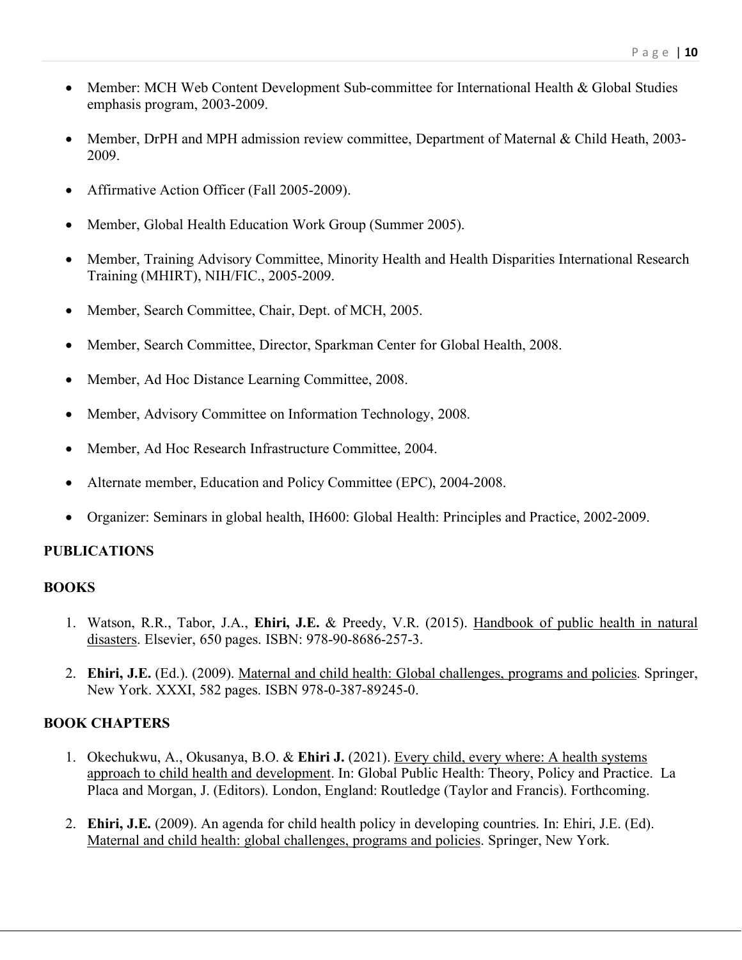- Member: MCH Web Content Development Sub-committee for International Health & Global Studies emphasis program, 2003-2009.
- Member, DrPH and MPH admission review committee, Department of Maternal & Child Heath, 2003-2009.
- Affirmative Action Officer (Fall 2005-2009).
- Member, Global Health Education Work Group (Summer 2005).
- Member, Training Advisory Committee, Minority Health and Health Disparities International Research Training (MHIRT), NIH/FIC., 2005-2009.
- Member, Search Committee, Chair, Dept. of MCH, 2005.
- Member, Search Committee, Director, Sparkman Center for Global Health, 2008.
- Member, Ad Hoc Distance Learning Committee, 2008.
- Member, Advisory Committee on Information Technology, 2008.
- Member, Ad Hoc Research Infrastructure Committee, 2004.
- Alternate member, Education and Policy Committee (EPC), 2004-2008.
- Organizer: Seminars in global health, IH600: Global Health: Principles and Practice, 2002-2009.

# **PUBLICATIONS**

# **BOOKS**

- 1. Watson, R.R., Tabor, J.A., **Ehiri, J.E.** & Preedy, V.R. (2015). Handbook of public health in natural disasters. Elsevier, 650 pages. ISBN: 978-90-8686-257-3.
- 2. **Ehiri, J.E.** (Ed.). (2009). Maternal and child health: Global challenges, programs and policies. Springer, New York. XXXI, 582 pages. ISBN 978-0-387-89245-0.

# **BOOK CHAPTERS**

- 1. Okechukwu, A., Okusanya, B.O. & **Ehiri J.** (2021). Every child, every where: A health systems approach to child health and development. In: Global Public Health: Theory, Policy and Practice. La Placa and Morgan, J. (Editors). London, England: Routledge (Taylor and Francis). Forthcoming.
- 2. **Ehiri, J.E.** (2009). An agenda for child health policy in developing countries. In: Ehiri, J.E. (Ed). Maternal and child health: global challenges, programs and policies. Springer, New York.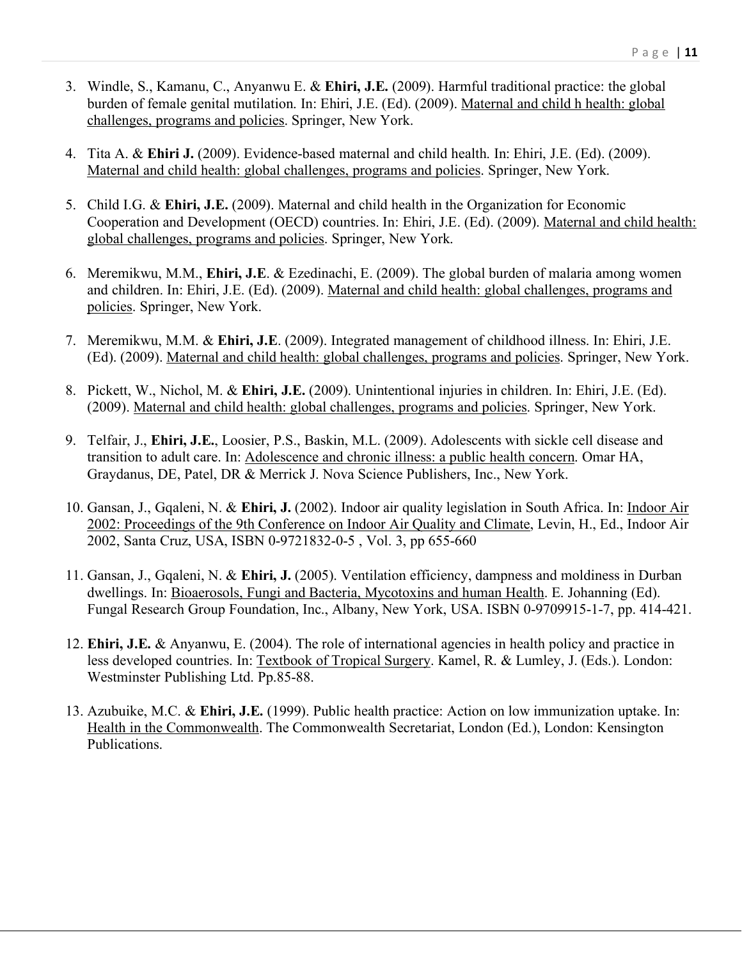- 3. Windle, S., Kamanu, C., Anyanwu E. & **Ehiri, J.E.** (2009). Harmful traditional practice: the global burden of female genital mutilation. In: Ehiri, J.E. (Ed). (2009). Maternal and child h health: global challenges, programs and policies. Springer, New York.
- 4. Tita A. & **Ehiri J.** (2009). Evidence-based maternal and child health. In: Ehiri, J.E. (Ed). (2009). Maternal and child health: global challenges, programs and policies. Springer, New York.
- 5. Child I.G. & **Ehiri, J.E.** (2009). Maternal and child health in the Organization for Economic Cooperation and Development (OECD) countries. In: Ehiri, J.E. (Ed). (2009). Maternal and child health: global challenges, programs and policies. Springer, New York.
- 6. Meremikwu, M.M., **Ehiri, J.E**. & Ezedinachi, E. (2009). The global burden of malaria among women and children. In: Ehiri, J.E. (Ed). (2009). Maternal and child health: global challenges, programs and policies. Springer, New York.
- 7. Meremikwu, M.M. & **Ehiri, J.E**. (2009). Integrated management of childhood illness. In: Ehiri, J.E. (Ed). (2009). Maternal and child health: global challenges, programs and policies. Springer, New York.
- 8. Pickett, W., Nichol, M. & **Ehiri, J.E.** (2009). Unintentional injuries in children. In: Ehiri, J.E. (Ed). (2009). Maternal and child health: global challenges, programs and policies. Springer, New York.
- 9. Telfair, J., **Ehiri, J.E.**, Loosier, P.S., Baskin, M.L. (2009). Adolescents with sickle cell disease and transition to adult care. In: Adolescence and chronic illness: a public health concern. Omar HA, Graydanus, DE, Patel, DR & Merrick J. Nova Science Publishers, Inc., New York.
- 10. Gansan, J., Gqaleni, N. & **Ehiri, J.** (2002). Indoor air quality legislation in South Africa. In: Indoor Air 2002: Proceedings of the 9th Conference on Indoor Air Quality and Climate, Levin, H., Ed., Indoor Air 2002, Santa Cruz, USA, ISBN 0-9721832-0-5 , Vol. 3, pp 655-660
- 11. Gansan, J., Gqaleni, N. & **Ehiri, J.** (2005). Ventilation efficiency, dampness and moldiness in Durban dwellings. In: Bioaerosols, Fungi and Bacteria, Mycotoxins and human Health. E. Johanning (Ed). Fungal Research Group Foundation, Inc., Albany, New York, USA. ISBN 0-9709915-1-7, pp. 414-421.
- 12. **Ehiri, J.E.** & Anyanwu, E. (2004). The role of international agencies in health policy and practice in less developed countries. In: Textbook of Tropical Surgery. Kamel, R. & Lumley, J. (Eds.). London: Westminster Publishing Ltd. Pp.85-88.
- 13. Azubuike, M.C. & **Ehiri, J.E.** (1999). Public health practice: Action on low immunization uptake. In: Health in the Commonwealth. The Commonwealth Secretariat, London (Ed.), London: Kensington Publications.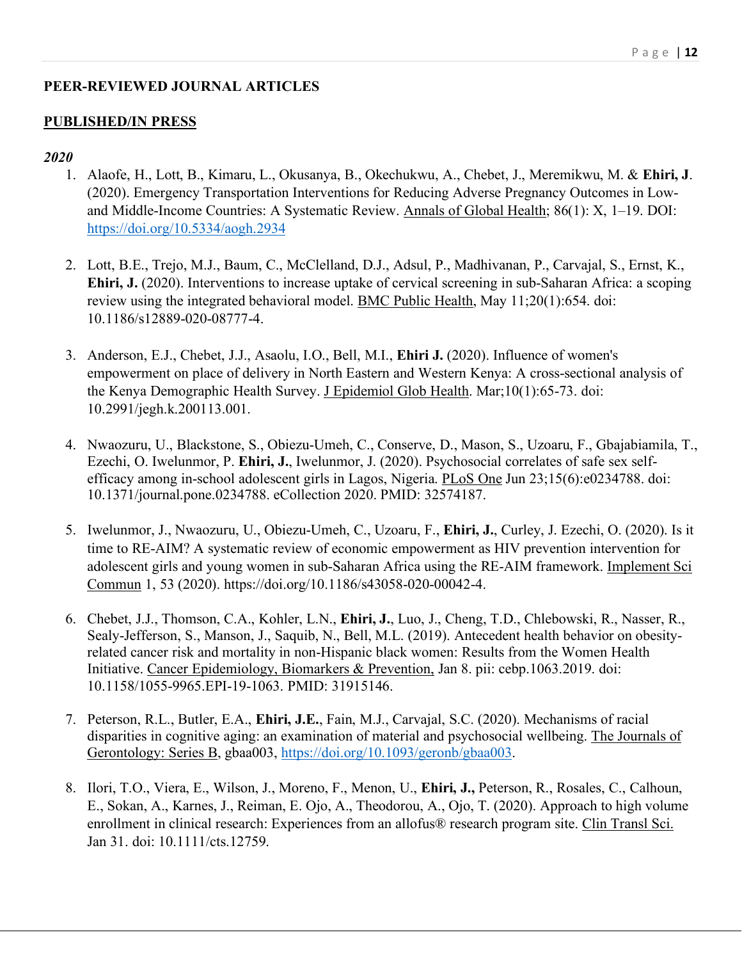# **PEER-REVIEWED JOURNAL ARTICLES**

## **PUBLISHED/IN PRESS**

- 1. Alaofe, H., Lott, B., Kimaru, L., Okusanya, B., Okechukwu, A., Chebet, J., Meremikwu, M. & **Ehiri, J**. (2020). Emergency Transportation Interventions for Reducing Adverse Pregnancy Outcomes in Lowand Middle-Income Countries: A Systematic Review. Annals of Global Health; 86(1): X, 1–19. DOI: https://doi.org/10.5334/aogh.2934
- 2. Lott, B.E., Trejo, M.J., Baum, C., McClelland, D.J., Adsul, P., Madhivanan, P., Carvajal, S., Ernst, K., **Ehiri, J.** (2020). Interventions to increase uptake of cervical screening in sub-Saharan Africa: a scoping review using the integrated behavioral model. BMC Public Health, May 11;20(1):654. doi: 10.1186/s12889-020-08777-4.
- 3. Anderson, E.J., Chebet, J.J., Asaolu, I.O., Bell, M.I., **Ehiri J.** (2020). Influence of women's empowerment on place of delivery in North Eastern and Western Kenya: A cross-sectional analysis of the Kenya Demographic Health Survey. J Epidemiol Glob Health. Mar;10(1):65-73. doi: 10.2991/jegh.k.200113.001.
- 4. Nwaozuru, U., Blackstone, S., Obiezu-Umeh, C., Conserve, D., Mason, S., Uzoaru, F., Gbajabiamila, T., Ezechi, O. Iwelunmor, P. **Ehiri, J.**, Iwelunmor, J. (2020). Psychosocial correlates of safe sex selfefficacy among in-school adolescent girls in Lagos, Nigeria. PLoS One Jun 23;15(6):e0234788. doi: 10.1371/journal.pone.0234788. eCollection 2020. PMID: 32574187.
- 5. Iwelunmor, J., Nwaozuru, U., Obiezu-Umeh, C., Uzoaru, F., **Ehiri, J.**, Curley, J. Ezechi, O. (2020). Is it time to RE-AIM? A systematic review of economic empowerment as HIV prevention intervention for adolescent girls and young women in sub-Saharan Africa using the RE-AIM framework. Implement Sci Commun 1, 53 (2020). https://doi.org/10.1186/s43058-020-00042-4.
- 6. Chebet, J.J., Thomson, C.A., Kohler, L.N., **Ehiri, J.**, Luo, J., Cheng, T.D., Chlebowski, R., Nasser, R., Sealy-Jefferson, S., Manson, J., Saquib, N., Bell, M.L. (2019). Antecedent health behavior on obesityrelated cancer risk and mortality in non-Hispanic black women: Results from the Women Health Initiative. Cancer Epidemiology, Biomarkers & Prevention, Jan 8. pii: cebp.1063.2019. doi: 10.1158/1055-9965.EPI-19-1063. PMID: 31915146.
- 7. Peterson, R.L., Butler, E.A., **Ehiri, J.E.**, Fain, M.J., Carvajal, S.C. (2020). Mechanisms of racial disparities in cognitive aging: an examination of material and psychosocial wellbeing. The Journals of Gerontology: Series B, gbaa003, https://doi.org/10.1093/geronb/gbaa003.
- 8. Ilori, T.O., Viera, E., Wilson, J., Moreno, F., Menon, U., **Ehiri, J.,** Peterson, R., Rosales, C., Calhoun, E., Sokan, A., Karnes, J., Reiman, E. Ojo, A., Theodorou, A., Ojo, T. (2020). Approach to high volume enrollment in clinical research: Experiences from an allofus® research program site. Clin Transl Sci. Jan 31. doi: 10.1111/cts.12759.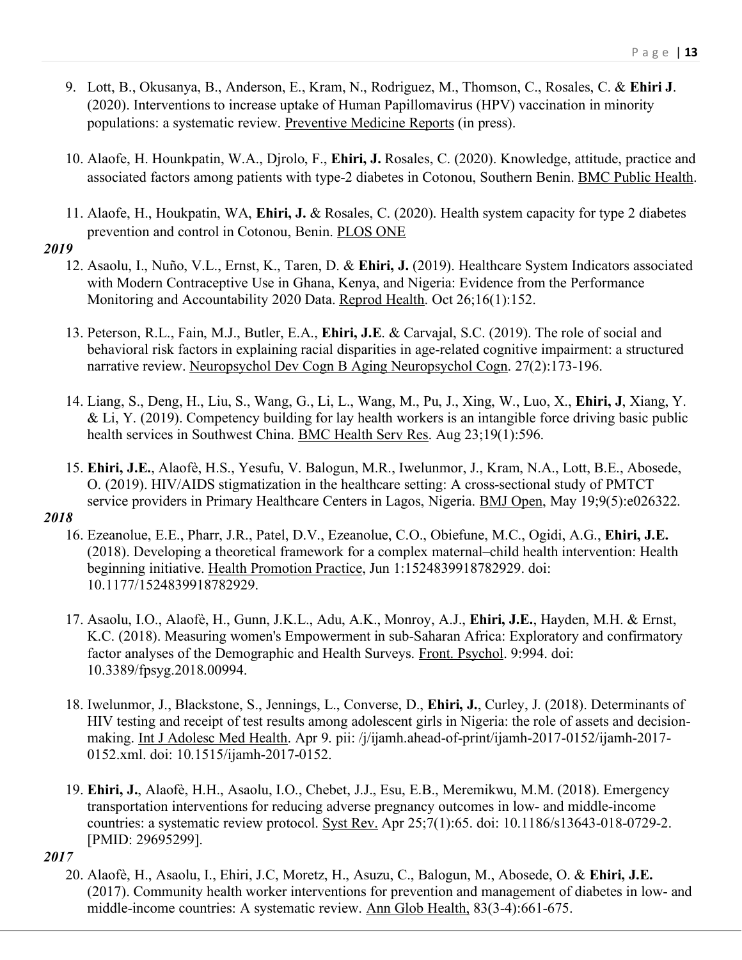- 9. Lott, B., Okusanya, B., Anderson, E., Kram, N., Rodriguez, M., Thomson, C., Rosales, C. & **Ehiri J**. (2020). Interventions to increase uptake of Human Papillomavirus (HPV) vaccination in minority populations: a systematic review. Preventive Medicine Reports (in press).
- 10. Alaofe, H. Hounkpatin, W.A., Djrolo, F., **Ehiri, J.** Rosales, C. (2020). Knowledge, attitude, practice and associated factors among patients with type-2 diabetes in Cotonou, Southern Benin. BMC Public Health.
- 11. Alaofe, H., Houkpatin, WA, **Ehiri, J.** & Rosales, C. (2020). Health system capacity for type 2 diabetes prevention and control in Cotonou, Benin. PLOS ONE

- 12. Asaolu, I., Nuño, V.L., Ernst, K., Taren, D. & **Ehiri, J.** (2019). Healthcare System Indicators associated with Modern Contraceptive Use in Ghana, Kenya, and Nigeria: Evidence from the Performance Monitoring and Accountability 2020 Data. Reprod Health. Oct 26;16(1):152.
- 13. Peterson, R.L., Fain, M.J., Butler, E.A., **Ehiri, J.E**. & Carvajal, S.C. (2019). The role of social and behavioral risk factors in explaining racial disparities in age-related cognitive impairment: a structured narrative review. Neuropsychol Dev Cogn B Aging Neuropsychol Cogn. 27(2):173-196.
- 14. Liang, S., Deng, H., Liu, S., Wang, G., Li, L., Wang, M., Pu, J., Xing, W., Luo, X., **Ehiri, J**, Xiang, Y. & Li, Y. (2019). Competency building for lay health workers is an intangible force driving basic public health services in Southwest China. BMC Health Serv Res. Aug 23;19(1):596.
- 15. **Ehiri, J.E.**, Alaofè, H.S., Yesufu, V. Balogun, M.R., Iwelunmor, J., Kram, N.A., Lott, B.E., Abosede, O. (2019). HIV/AIDS stigmatization in the healthcare setting: A cross-sectional study of PMTCT service providers in Primary Healthcare Centers in Lagos, Nigeria. BMJ Open, May 19;9(5):e026322.

# *2018*

- 16. Ezeanolue, E.E., Pharr, J.R., Patel, D.V., Ezeanolue, C.O., Obiefune, M.C., Ogidi, A.G., **Ehiri, J.E.** (2018). Developing a theoretical framework for a complex maternal–child health intervention: Health beginning initiative. Health Promotion Practice, Jun 1:1524839918782929. doi: 10.1177/1524839918782929.
- 17. Asaolu, I.O., Alaofè, H., Gunn, J.K.L., Adu, A.K., Monroy, A.J., **Ehiri, J.E.**, Hayden, M.H. & Ernst, K.C. (2018). Measuring women's Empowerment in sub-Saharan Africa: Exploratory and confirmatory factor analyses of the Demographic and Health Surveys. Front. Psychol. 9:994. doi: 10.3389/fpsyg.2018.00994.
- 18. Iwelunmor, J., Blackstone, S., Jennings, L., Converse, D., **Ehiri, J.**, Curley, J. (2018). Determinants of HIV testing and receipt of test results among adolescent girls in Nigeria: the role of assets and decisionmaking. Int J Adolesc Med Health. Apr 9. pii: /j/ijamh.ahead-of-print/ijamh-2017-0152/ijamh-2017- 0152.xml. doi: 10.1515/ijamh-2017-0152.
- 19. **Ehiri, J.**, Alaofè, H.H., Asaolu, I.O., Chebet, J.J., Esu, E.B., Meremikwu, M.M. (2018). Emergency transportation interventions for reducing adverse pregnancy outcomes in low- and middle-income countries: a systematic review protocol. Syst Rev. Apr 25;7(1):65. doi: 10.1186/s13643-018-0729-2. [PMID: 29695299].

# *2017*

20. Alaofè, H., Asaolu, I., Ehiri, J.C, Moretz, H., Asuzu, C., Balogun, M., Abosede, O. & **Ehiri, J.E.** (2017). Community health worker interventions for prevention and management of diabetes in low- and middle-income countries: A systematic review. Ann Glob Health, 83(3-4):661-675.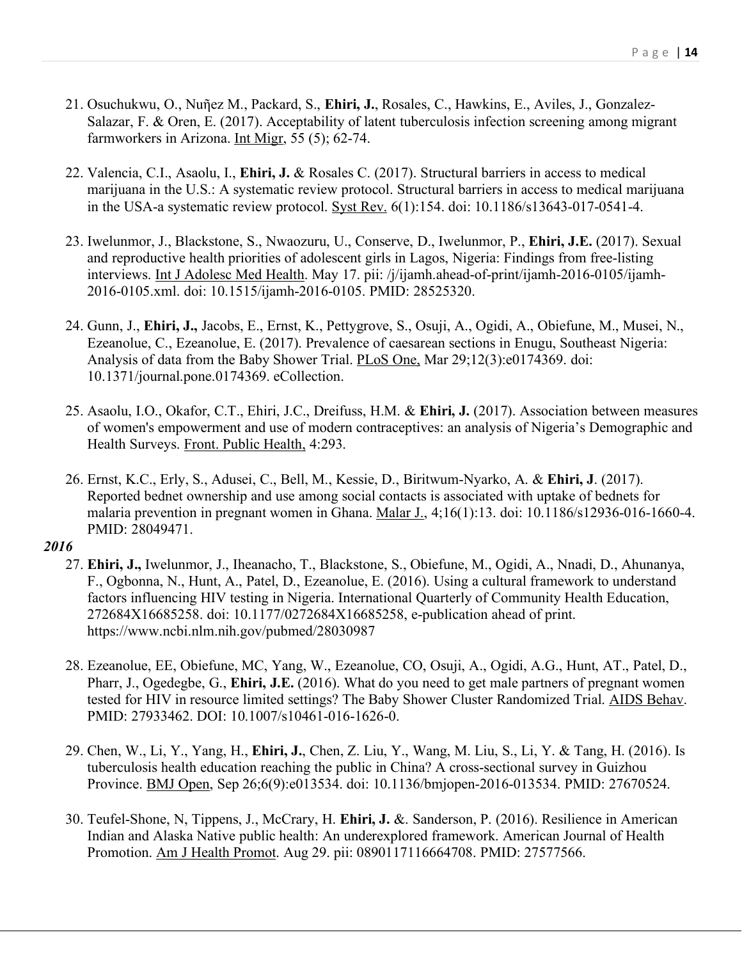- 21. Osuchukwu, O., Nuῆez M., Packard, S., **Ehiri, J.**, Rosales, C., Hawkins, E., Aviles, J., Gonzalez-Salazar, F. & Oren, E. (2017). Acceptability of latent tuberculosis infection screening among migrant farmworkers in Arizona. Int Migr, 55 (5); 62-74.
- 22. Valencia, C.I., Asaolu, I., **Ehiri, J.** & Rosales C. (2017). Structural barriers in access to medical marijuana in the U.S.: A systematic review protocol. Structural barriers in access to medical marijuana in the USA-a systematic review protocol. Syst Rev. 6(1):154. doi: 10.1186/s13643-017-0541-4.
- 23. Iwelunmor, J., Blackstone, S., Nwaozuru, U., Conserve, D., Iwelunmor, P., **Ehiri, J.E.** (2017). Sexual and reproductive health priorities of adolescent girls in Lagos, Nigeria: Findings from free-listing interviews. Int J Adolesc Med Health. May 17. pii: /j/ijamh.ahead-of-print/ijamh-2016-0105/ijamh-2016-0105.xml. doi: 10.1515/ijamh-2016-0105. PMID: 28525320.
- 24. Gunn, J., **Ehiri, J.,** Jacobs, E., Ernst, K., Pettygrove, S., Osuji, A., Ogidi, A., Obiefune, M., Musei, N., Ezeanolue, C., Ezeanolue, E. (2017). Prevalence of caesarean sections in Enugu, Southeast Nigeria: Analysis of data from the Baby Shower Trial. PLoS One, Mar 29;12(3):e0174369. doi: 10.1371/journal.pone.0174369. eCollection.
- 25. Asaolu, I.O., Okafor, C.T., Ehiri, J.C., Dreifuss, H.M. & **Ehiri, J.** (2017). Association between measures of women's empowerment and use of modern contraceptives: an analysis of Nigeria's Demographic and Health Surveys. Front. Public Health, 4:293.
- 26. Ernst, K.C., Erly, S., Adusei, C., Bell, M., Kessie, D., Biritwum-Nyarko, A. & **Ehiri, J**. (2017). Reported bednet ownership and use among social contacts is associated with uptake of bednets for malaria prevention in pregnant women in Ghana. Malar J., 4;16(1):13. doi: 10.1186/s12936-016-1660-4. PMID: 28049471.

- 27. **Ehiri, J.,** Iwelunmor, J., Iheanacho, T., Blackstone, S., Obiefune, M., Ogidi, A., Nnadi, D., Ahunanya, F., Ogbonna, N., Hunt, A., Patel, D., Ezeanolue, E. (2016). Using a cultural framework to understand factors influencing HIV testing in Nigeria. International Quarterly of Community Health Education, 272684X16685258. doi: 10.1177/0272684X16685258, e-publication ahead of print. https://www.ncbi.nlm.nih.gov/pubmed/28030987
- 28. Ezeanolue, EE, Obiefune, MC, Yang, W., Ezeanolue, CO, Osuji, A., Ogidi, A.G., Hunt, AT., Patel, D., Pharr, J., Ogedegbe, G., **Ehiri, J.E.** (2016). What do you need to get male partners of pregnant women tested for HIV in resource limited settings? The Baby Shower Cluster Randomized Trial. AIDS Behav. PMID: 27933462. DOI: 10.1007/s10461-016-1626-0.
- 29. Chen, W., Li, Y., Yang, H., **Ehiri, J.**, Chen, Z. Liu, Y., Wang, M. Liu, S., Li, Y. & Tang, H. (2016). Is tuberculosis health education reaching the public in China? A cross-sectional survey in Guizhou Province. BMJ Open, Sep 26;6(9):e013534. doi: 10.1136/bmjopen-2016-013534. PMID: 27670524.
- 30. Teufel-Shone, N, Tippens, J., McCrary, H. **Ehiri, J.** &. Sanderson, P. (2016). Resilience in American Indian and Alaska Native public health: An underexplored framework. American Journal of Health Promotion. Am J Health Promot. Aug 29. pii: 0890117116664708. PMID: 27577566.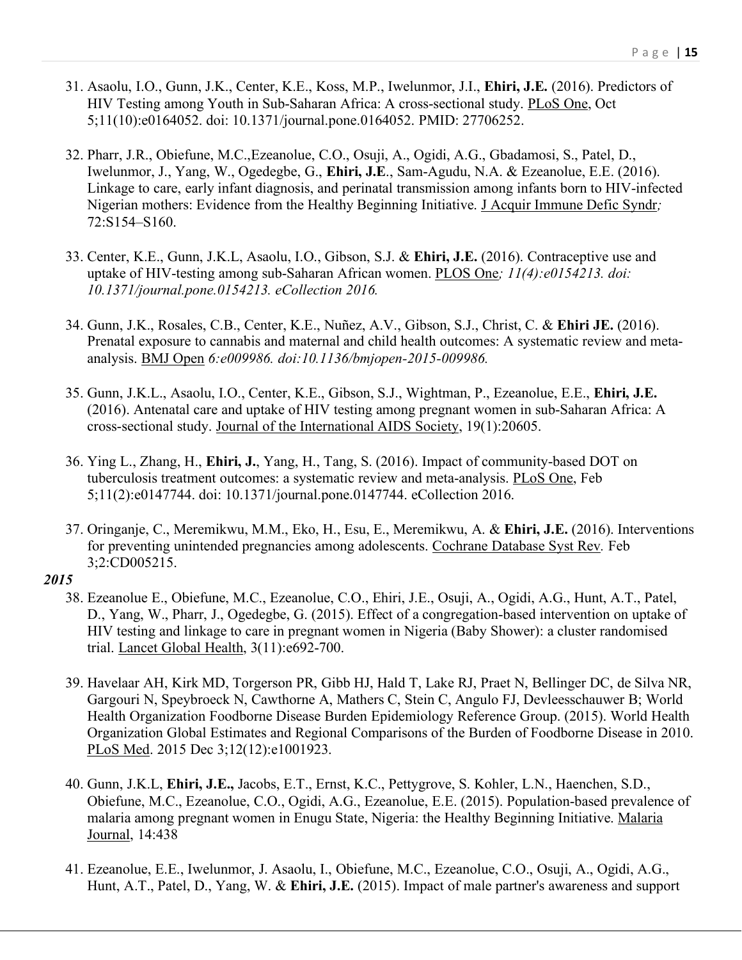- 31. Asaolu, I.O., Gunn, J.K., Center, K.E., Koss, M.P., Iwelunmor, J.I., **Ehiri, J.E.** (2016). Predictors of HIV Testing among Youth in Sub-Saharan Africa: A cross-sectional study. PLoS One, Oct 5;11(10):e0164052. doi: 10.1371/journal.pone.0164052. PMID: 27706252.
- 32. Pharr, J.R., Obiefune, M.C.,Ezeanolue, C.O., Osuji, A., Ogidi, A.G., Gbadamosi, S., Patel, D., Iwelunmor, J., Yang, W., Ogedegbe, G., **Ehiri, J.E**., Sam-Agudu, N.A. & Ezeanolue, E.E. (2016). Linkage to care, early infant diagnosis, and perinatal transmission among infants born to HIV-infected Nigerian mothers: Evidence from the Healthy Beginning Initiative. J Acquir Immune Defic Syndr*;* 72:S154–S160.
- 33. Center, K.E., Gunn, J.K.L, Asaolu, I.O., Gibson, S.J. & **Ehiri, J.E.** (2016). Contraceptive use and uptake of HIV-testing among sub-Saharan African women. PLOS One*; 11(4):e0154213. doi: 10.1371/journal.pone.0154213. eCollection 2016.*
- 34. Gunn, J.K., Rosales, C.B., Center, K.E., Nuñez, A.V., Gibson, S.J., Christ, C. & **Ehiri JE.** (2016). Prenatal exposure to cannabis and maternal and child health outcomes: A systematic review and metaanalysis. BMJ Open *6:e009986. doi:10.1136/bmjopen-2015-009986.*
- 35. Gunn, J.K.L., Asaolu, I.O., Center, K.E., Gibson, S.J., Wightman, P., Ezeanolue, E.E., **Ehiri, J.E.** (2016). Antenatal care and uptake of HIV testing among pregnant women in sub-Saharan Africa: A cross-sectional study. Journal of the International AIDS Society, 19(1):20605.
- 36. Ying L., Zhang, H., **Ehiri, J.**, Yang, H., Tang, S. (2016). Impact of community-based DOT on tuberculosis treatment outcomes: a systematic review and meta-analysis. PLoS One, Feb 5;11(2):e0147744. doi: 10.1371/journal.pone.0147744. eCollection 2016.
- 37. Oringanje, C., Meremikwu, M.M., Eko, H., Esu, E., Meremikwu, A. & **Ehiri, J.E.** (2016). Interventions for preventing unintended pregnancies among adolescents. Cochrane Database Syst Rev*.* Feb 3;2:CD005215.

- 38. Ezeanolue E., Obiefune, M.C., Ezeanolue, C.O., Ehiri, J.E., Osuji, A., Ogidi, A.G., Hunt, A.T., Patel, D., Yang, W., Pharr, J., Ogedegbe, G. (2015). Effect of a congregation-based intervention on uptake of HIV testing and linkage to care in pregnant women in Nigeria (Baby Shower): a cluster randomised trial. Lancet Global Health, 3(11):e692-700.
- 39. Havelaar AH, Kirk MD, Torgerson PR, Gibb HJ, Hald T, Lake RJ, Praet N, Bellinger DC, de Silva NR, Gargouri N, Speybroeck N, Cawthorne A, Mathers C, Stein C, Angulo FJ, Devleesschauwer B; World Health Organization Foodborne Disease Burden Epidemiology Reference Group. (2015). World Health Organization Global Estimates and Regional Comparisons of the Burden of Foodborne Disease in 2010. PLoS Med. 2015 Dec 3;12(12):e1001923.
- 40. Gunn, J.K.L, **Ehiri, J.E.,** Jacobs, E.T., Ernst, K.C., Pettygrove, S. Kohler, L.N., Haenchen, S.D., Obiefune, M.C., Ezeanolue, C.O., Ogidi, A.G., Ezeanolue, E.E. (2015). Population-based prevalence of malaria among pregnant women in Enugu State, Nigeria: the Healthy Beginning Initiative. Malaria Journal, 14:438
- 41. Ezeanolue, E.E., Iwelunmor, J. Asaolu, I., Obiefune, M.C., Ezeanolue, C.O., Osuji, A., Ogidi, A.G., Hunt, A.T., Patel, D., Yang, W. & **Ehiri, J.E.** (2015). Impact of male partner's awareness and support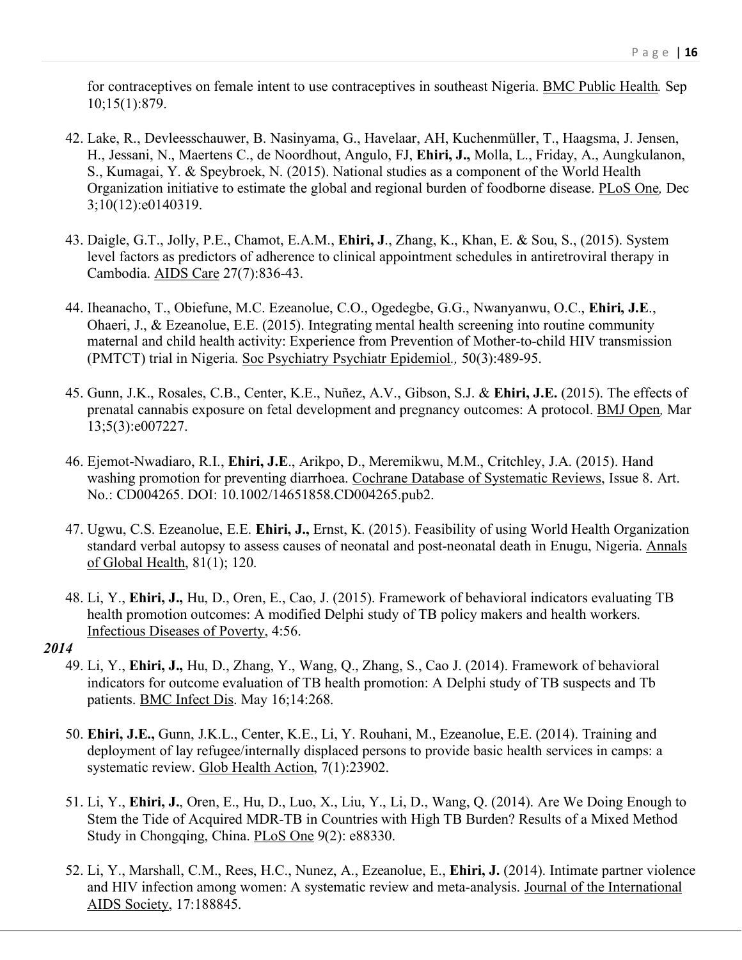for contraceptives on female intent to use contraceptives in southeast Nigeria. BMC Public Health*.* Sep 10;15(1):879.

- 42. Lake, R., Devleesschauwer, B. Nasinyama, G., Havelaar, AH, Kuchenmüller, T., Haagsma, J. Jensen, H., Jessani, N., Maertens C., de Noordhout, Angulo, FJ, **Ehiri, J.,** Molla, L., Friday, A., Aungkulanon, S., Kumagai, Y. & Speybroek, N. (2015). National studies as a component of the World Health Organization initiative to estimate the global and regional burden of foodborne disease. PLoS One*,* Dec 3;10(12):e0140319.
- 43. Daigle, G.T., Jolly, P.E., Chamot, E.A.M., **Ehiri, J**., Zhang, K., Khan, E. & Sou, S., (2015). System level factors as predictors of adherence to clinical appointment schedules in antiretroviral therapy in Cambodia. AIDS Care 27(7):836-43.
- 44. Iheanacho, T., Obiefune, M.C. Ezeanolue, C.O., Ogedegbe, G.G., Nwanyanwu, O.C., **Ehiri, J.E**., Ohaeri, J., & Ezeanolue, E.E. (2015). Integrating mental health screening into routine community maternal and child health activity: Experience from Prevention of Mother-to-child HIV transmission (PMTCT) trial in Nigeria. Soc Psychiatry Psychiatr Epidemiol*.,* 50(3):489-95.
- 45. Gunn, J.K., Rosales, C.B., Center, K.E., Nuñez, A.V., Gibson, S.J. & **Ehiri, J.E.** (2015). The effects of prenatal cannabis exposure on fetal development and pregnancy outcomes: A protocol. BMJ Open*,* Mar 13;5(3):e007227.
- 46. Ejemot-Nwadiaro, R.I., **Ehiri, J.E**., Arikpo, D., Meremikwu, M.M., Critchley, J.A. (2015). Hand washing promotion for preventing diarrhoea. Cochrane Database of Systematic Reviews, Issue 8. Art. No.: CD004265. DOI: 10.1002/14651858.CD004265.pub2.
- 47. Ugwu, C.S. Ezeanolue, E.E. **Ehiri, J.,** Ernst, K. (2015). Feasibility of using World Health Organization standard verbal autopsy to assess causes of neonatal and post-neonatal death in Enugu, Nigeria. Annals of Global Health, 81(1); 120.
- 48. Li, Y., **Ehiri, J.,** Hu, D., Oren, E., Cao, J. (2015). Framework of behavioral indicators evaluating TB health promotion outcomes: A modified Delphi study of TB policy makers and health workers. Infectious Diseases of Poverty, 4:56.

- 49. Li, Y., **Ehiri, J.,** Hu, D., Zhang, Y., Wang, Q., Zhang, S., Cao J. (2014). Framework of behavioral indicators for outcome evaluation of TB health promotion: A Delphi study of TB suspects and Tb patients. BMC Infect Dis. May 16;14:268.
- 50. **Ehiri, J.E.,** Gunn, J.K.L., Center, K.E., Li, Y. Rouhani, M., Ezeanolue, E.E. (2014). Training and deployment of lay refugee/internally displaced persons to provide basic health services in camps: a systematic review. Glob Health Action, 7(1):23902.
- 51. Li, Y., **Ehiri, J.**, Oren, E., Hu, D., Luo, X., Liu, Y., Li, D., Wang, Q. (2014). Are We Doing Enough to Stem the Tide of Acquired MDR-TB in Countries with High TB Burden? Results of a Mixed Method Study in Chongqing, China. PLoS One 9(2): e88330.
- 52. Li, Y., Marshall, C.M., Rees, H.C., Nunez, A., Ezeanolue, E., **Ehiri, J.** (2014). Intimate partner violence and HIV infection among women: A systematic review and meta-analysis. Journal of the International AIDS Society, 17:188845.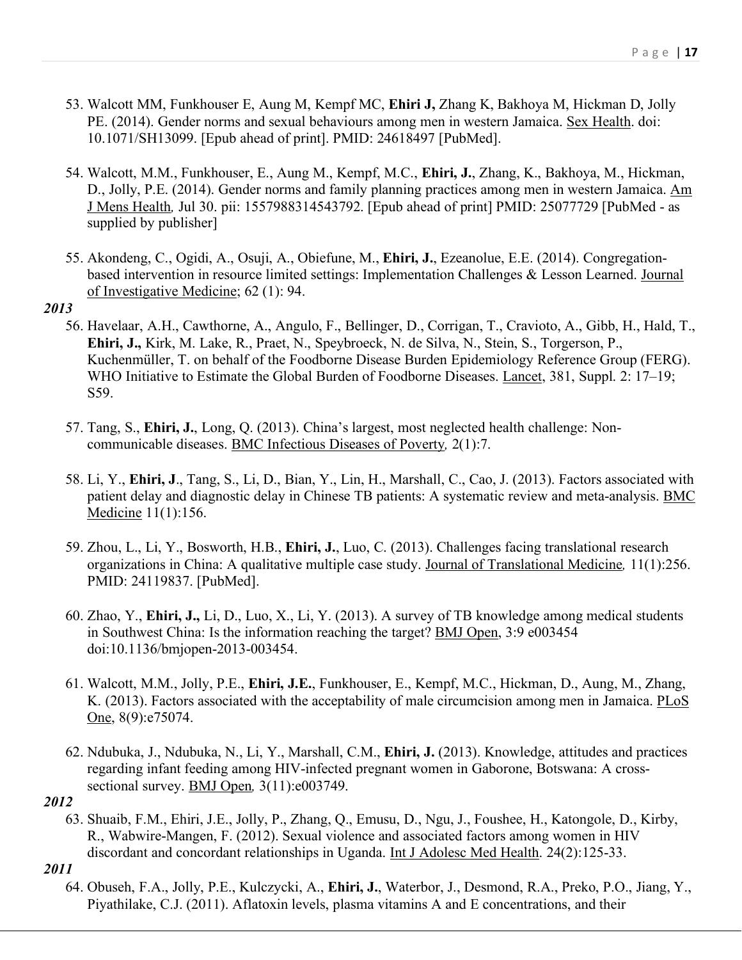- 53. Walcott MM, Funkhouser E, Aung M, Kempf MC, **Ehiri J,** Zhang K, Bakhoya M, Hickman D, Jolly PE. (2014). Gender norms and sexual behaviours among men in western Jamaica. Sex Health. doi: 10.1071/SH13099. [Epub ahead of print]. PMID: 24618497 [PubMed].
- 54. Walcott, M.M., Funkhouser, E., Aung M., Kempf, M.C., **Ehiri, J.**, Zhang, K., Bakhoya, M., Hickman, D., Jolly, P.E. (2014). Gender norms and family planning practices among men in western Jamaica. Am J Mens Health*,* Jul 30. pii: 1557988314543792. [Epub ahead of print] PMID: 25077729 [PubMed - as supplied by publisher]
- 55. Akondeng, C., Ogidi, A., Osuji, A., Obiefune, M., **Ehiri, J.**, Ezeanolue, E.E. (2014). Congregationbased intervention in resource limited settings: Implementation Challenges & Lesson Learned. Journal of Investigative Medicine; 62 (1): 94.

- 56. Havelaar, A.H., Cawthorne, A., Angulo, F., Bellinger, D., Corrigan, T., Cravioto, A., Gibb, H., Hald, T., **Ehiri, J.,** Kirk, M. Lake, R., Praet, N., Speybroeck, N. de Silva, N., Stein, S., Torgerson, P., Kuchenmüller, T. on behalf of the Foodborne Disease Burden Epidemiology Reference Group (FERG). WHO Initiative to Estimate the Global Burden of Foodborne Diseases. Lancet, 381, Suppl. 2: 17–19; S59.
- 57. Tang, S., **Ehiri, J.**, Long, Q. (2013). China's largest, most neglected health challenge: Noncommunicable diseases. BMC Infectious Diseases of Poverty*,* 2(1):7.
- 58. Li, Y., **Ehiri, J**., Tang, S., Li, D., Bian, Y., Lin, H., Marshall, C., Cao, J. (2013). Factors associated with patient delay and diagnostic delay in Chinese TB patients: A systematic review and meta-analysis. BMC Medicine 11(1):156.
- 59. Zhou, L., Li, Y., Bosworth, H.B., **Ehiri, J.**, Luo, C. (2013). Challenges facing translational research organizations in China: A qualitative multiple case study. Journal of Translational Medicine*,* 11(1):256. PMID: 24119837. [PubMed].
- 60. Zhao, Y., **Ehiri, J.,** Li, D., Luo, X., Li, Y. (2013). A survey of TB knowledge among medical students in Southwest China: Is the information reaching the target? BMJ Open, 3:9 e003454 doi:10.1136/bmjopen-2013-003454.
- 61. Walcott, M.M., Jolly, P.E., **Ehiri, J.E.**, Funkhouser, E., Kempf, M.C., Hickman, D., Aung, M., Zhang, K. (2013). Factors associated with the acceptability of male circumcision among men in Jamaica. PLoS One, 8(9): e75074.
- 62. Ndubuka, J., Ndubuka, N., Li, Y., Marshall, C.M., **Ehiri, J.** (2013). Knowledge, attitudes and practices regarding infant feeding among HIV-infected pregnant women in Gaborone, Botswana: A crosssectional survey. BMJ Open*,* 3(11):e003749.

#### *2012*

63. Shuaib, F.M., Ehiri, J.E., Jolly, P., Zhang, Q., Emusu, D., Ngu, J., Foushee, H., Katongole, D., Kirby, R., Wabwire-Mangen, F. (2012). Sexual violence and associated factors among women in HIV discordant and concordant relationships in Uganda. Int J Adolesc Med Health. 24(2):125-33.

# *2011*

64. Obuseh, F.A., Jolly, P.E., Kulczycki, A., **Ehiri, J.**, Waterbor, J., Desmond, R.A., Preko, P.O., Jiang, Y., Piyathilake, C.J. (2011). Aflatoxin levels, plasma vitamins A and E concentrations, and their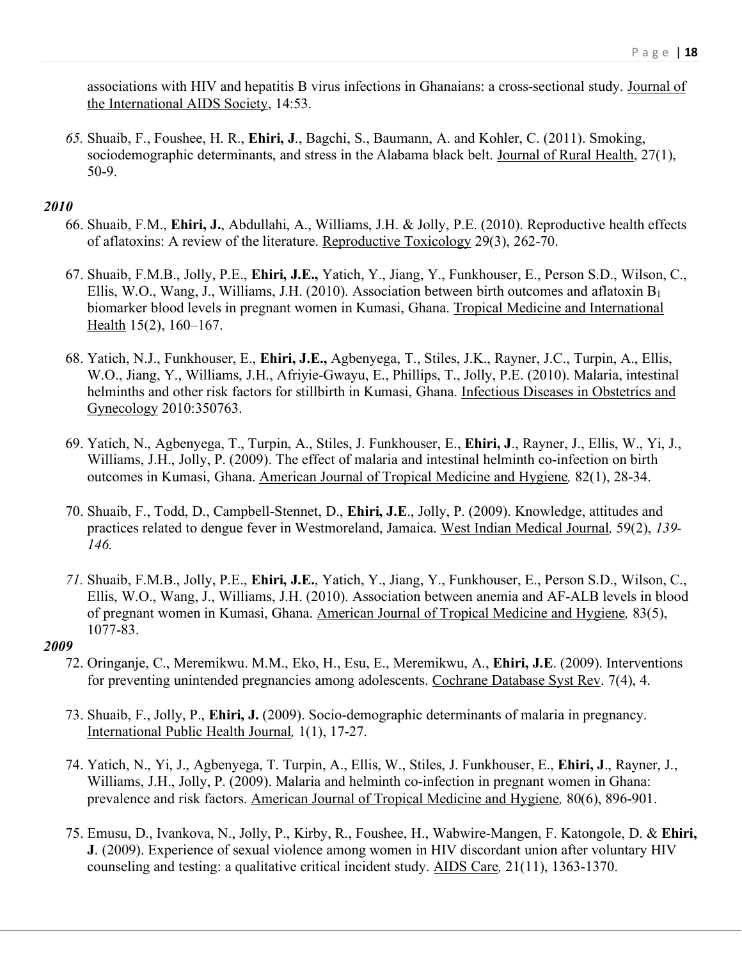associations with HIV and hepatitis B virus infections in Ghanaians: a cross-sectional study. Journal of the International AIDS Society, 14:53.

*65.* Shuaib, F., Foushee, H. R., **Ehiri, J**., Bagchi, S., Baumann, A. and Kohler, C. (2011). Smoking, sociodemographic determinants, and stress in the Alabama black belt. Journal of Rural Health, 27(1), 50-9.

# *2010*

- 66. Shuaib, F.M., **Ehiri, J.**, Abdullahi, A., Williams, J.H. & Jolly, P.E. (2010). Reproductive health effects of aflatoxins: A review of the literature. Reproductive Toxicology 29(3), 262-70.
- 67. Shuaib, F.M.B., Jolly, P.E., **Ehiri, J.E.,** Yatich, Y., Jiang, Y., Funkhouser, E., Person S.D., Wilson, C., Ellis, W.O., Wang, J., Williams, J.H. (2010). Association between birth outcomes and aflatoxin B1 biomarker blood levels in pregnant women in Kumasi, Ghana. Tropical Medicine and International Health 15(2), 160–167.
- 68. Yatich, N.J., Funkhouser, E., **Ehiri, J.E.,** Agbenyega, T., Stiles, J.K., Rayner, J.C., Turpin, A., Ellis, W.O., Jiang, Y., Williams, J.H., Afriyie-Gwayu, E., Phillips, T., Jolly, P.E. (2010). Malaria, intestinal helminths and other risk factors for stillbirth in Kumasi, Ghana. Infectious Diseases in Obstetrics and Gynecology 2010:350763.
- 69. Yatich, N., Agbenyega, T., Turpin, A., Stiles, J. Funkhouser, E., **Ehiri, J**., Rayner, J., Ellis, W., Yi, J., Williams, J.H., Jolly, P. (2009). The effect of malaria and intestinal helminth co-infection on birth outcomes in Kumasi, Ghana. American Journal of Tropical Medicine and Hygiene*,* 82(1), 28-34.
- 70. Shuaib, F., Todd, D., Campbell-Stennet, D., **Ehiri, J.E**., Jolly, P. (2009). Knowledge, attitudes and practices related to dengue fever in Westmoreland, Jamaica. West Indian Medical Journal*,* 59(2), *139- 146.*
- *71.* Shuaib, F.M.B., Jolly, P.E., **Ehiri, J.E.**, Yatich, Y., Jiang, Y., Funkhouser, E., Person S.D., Wilson, C., Ellis, W.O., Wang, J., Williams, J.H. (2010). Association between anemia and AF-ALB levels in blood of pregnant women in Kumasi, Ghana. American Journal of Tropical Medicine and Hygiene*,* 83(5), 1077-83.

- 72. Oringanje, C., Meremikwu. M.M., Eko, H., Esu, E., Meremikwu, A., **Ehiri, J.E**. (2009). Interventions for preventing unintended pregnancies among adolescents. Cochrane Database Syst Rev. 7(4), 4.
- 73. Shuaib, F., Jolly, P., **Ehiri, J.** (2009). Socio-demographic determinants of malaria in pregnancy. International Public Health Journal*,* 1(1), 17-27.
- 74. Yatich, N., Yi, J., Agbenyega, T. Turpin, A., Ellis, W., Stiles, J. Funkhouser, E., **Ehiri, J**., Rayner, J., Williams, J.H., Jolly, P. (2009). Malaria and helminth co-infection in pregnant women in Ghana: prevalence and risk factors. American Journal of Tropical Medicine and Hygiene*,* 80(6), 896-901.
- 75. Emusu, D., Ivankova, N., Jolly, P., Kirby, R., Foushee, H., Wabwire-Mangen, F. Katongole, D. & **Ehiri, J**. (2009). Experience of sexual violence among women in HIV discordant union after voluntary HIV counseling and testing: a qualitative critical incident study. AIDS Care*,* 21(11), 1363-1370.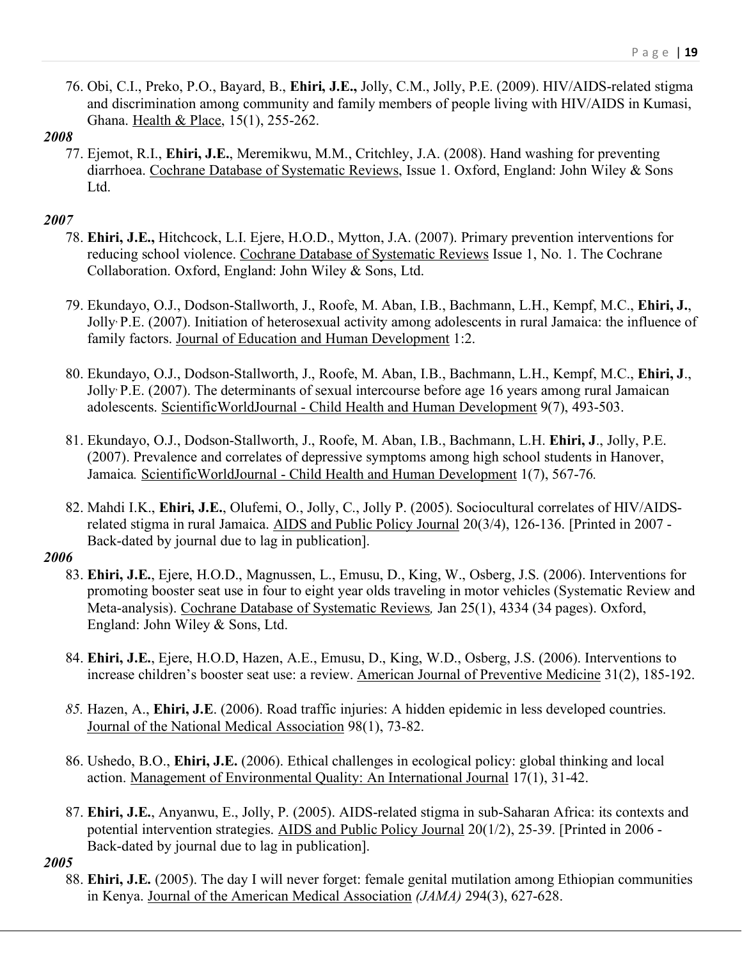76. Obi, C.I., Preko, P.O., Bayard, B., **Ehiri, J.E.,** Jolly, C.M., Jolly, P.E. (2009). HIV/AIDS-related stigma and discrimination among community and family members of people living with HIV/AIDS in Kumasi, Ghana. Health & Place, 15(1), 255-262.

## *2008*

77. Ejemot, R.I., **Ehiri, J.E.**, Meremikwu, M.M., Critchley, J.A. (2008). Hand washing for preventing diarrhoea. Cochrane Database of Systematic Reviews, Issue 1. Oxford, England: John Wiley & Sons Ltd.

# *2007*

- 78. **Ehiri, J.E.,** Hitchcock, L.I. Ejere, H.O.D., Mytton, J.A. (2007). Primary prevention interventions for reducing school violence. Cochrane Database of Systematic Reviews Issue 1, No. 1. The Cochrane Collaboration. Oxford, England: John Wiley & Sons, Ltd.
- 79. Ekundayo, O.J., Dodson-Stallworth, J., Roofe, M. Aban, I.B., Bachmann, L.H., Kempf, M.C., **Ehiri, J.**, Jolly, P.E. (2007). Initiation of heterosexual activity among adolescents in rural Jamaica: the influence of family factors. Journal of Education and Human Development 1:2.
- 80. Ekundayo, O.J., Dodson-Stallworth, J., Roofe, M. Aban, I.B., Bachmann, L.H., Kempf, M.C., **Ehiri, J**., Jolly, P.E. (2007). The determinants of sexual intercourse before age 16 years among rural Jamaican adolescents. ScientificWorldJournal - Child Health and Human Development 9(7), 493-503.
- 81. Ekundayo, O.J., Dodson-Stallworth, J., Roofe, M. Aban, I.B., Bachmann, L.H. **Ehiri, J**., Jolly, P.E. (2007). Prevalence and correlates of depressive symptoms among high school students in Hanover, Jamaica*.* ScientificWorldJournal - Child Health and Human Development 1(7), 567-76*.*
- 82. Mahdi I.K., **Ehiri, J.E.**, Olufemi, O., Jolly, C., Jolly P. (2005). Sociocultural correlates of HIV/AIDSrelated stigma in rural Jamaica. AIDS and Public Policy Journal 20(3/4), 126-136. [Printed in 2007 - Back-dated by journal due to lag in publication].

# *2006*

- 83. **Ehiri, J.E.**, Ejere, H.O.D., Magnussen, L., Emusu, D., King, W., Osberg, J.S. (2006). Interventions for promoting booster seat use in four to eight year olds traveling in motor vehicles (Systematic Review and Meta-analysis). Cochrane Database of Systematic Reviews*,* Jan 25(1), 4334 (34 pages). Oxford, England: John Wiley & Sons, Ltd.
- 84. **Ehiri, J.E.**, Ejere, H.O.D, Hazen, A.E., Emusu, D., King, W.D., Osberg, J.S. (2006). Interventions to increase children's booster seat use: a review. American Journal of Preventive Medicine 31(2), 185-192.
- *85.* Hazen, A., **Ehiri, J.E**. (2006). Road traffic injuries: A hidden epidemic in less developed countries. Journal of the National Medical Association 98(1), 73-82.
- 86. Ushedo, B.O., **Ehiri, J.E.** (2006). Ethical challenges in ecological policy: global thinking and local action. Management of Environmental Quality: An International Journal 17(1), 31-42.
- 87. **Ehiri, J.E.**, Anyanwu, E., Jolly, P. (2005). AIDS-related stigma in sub-Saharan Africa: its contexts and potential intervention strategies. AIDS and Public Policy Journal 20(1/2), 25-39. [Printed in 2006 - Back-dated by journal due to lag in publication].

*2005*

88. **Ehiri, J.E.** (2005). The day I will never forget: female genital mutilation among Ethiopian communities in Kenya. Journal of the American Medical Association *(JAMA)* 294(3), 627-628.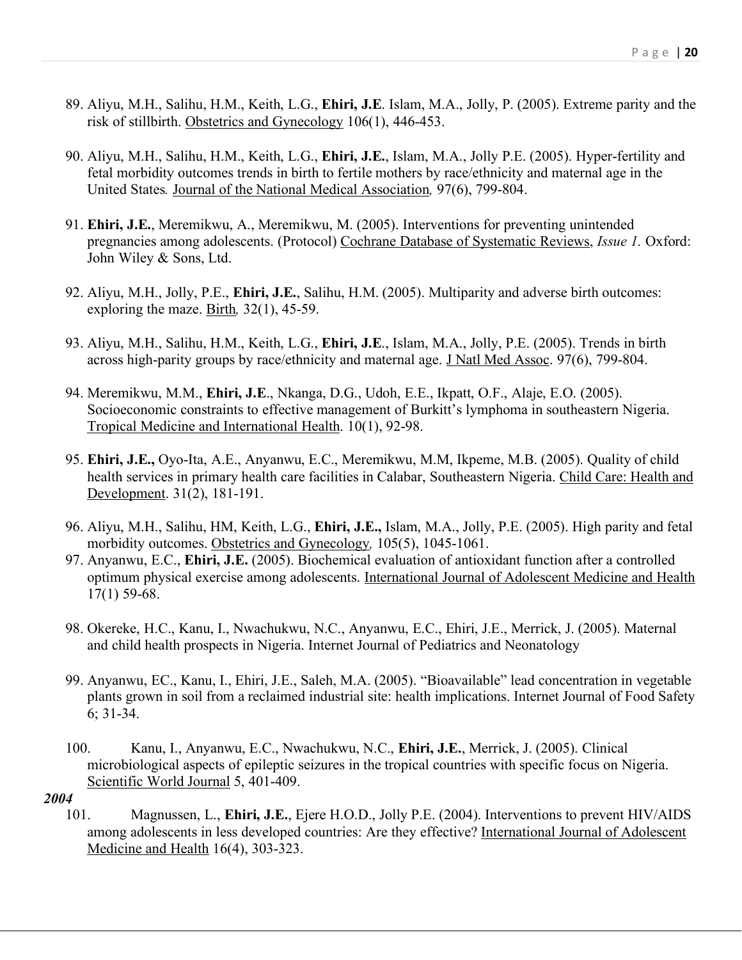- 89. Aliyu, M.H., Salihu, H.M., Keith, L.G., **Ehiri, J.E**. Islam, M.A., Jolly, P. (2005). Extreme parity and the risk of stillbirth. Obstetrics and Gynecology 106(1), 446-453.
- 90. Aliyu, M.H., Salihu, H.M., Keith, L.G., **Ehiri, J.E.**, Islam, M.A., Jolly P.E. (2005). Hyper-fertility and fetal morbidity outcomes trends in birth to fertile mothers by race/ethnicity and maternal age in the United States*.* Journal of the National Medical Association*,* 97(6), 799-804.
- 91. **Ehiri, J.E.**, Meremikwu, A., Meremikwu, M. (2005). Interventions for preventing unintended pregnancies among adolescents. (Protocol) Cochrane Database of Systematic Reviews, *Issue 1.* Oxford: John Wiley & Sons, Ltd.
- 92. Aliyu, M.H., Jolly, P.E., **Ehiri, J.E.**, Salihu, H.M. (2005). Multiparity and adverse birth outcomes: exploring the maze. Birth*,* 32(1), 45-59.
- 93. Aliyu, M.H., Salihu, H.M., Keith, L.G., **Ehiri, J.E**., Islam, M.A., Jolly, P.E. (2005). Trends in birth across high-parity groups by race/ethnicity and maternal age. J Natl Med Assoc. 97(6), 799-804.
- 94. Meremikwu, M.M., **Ehiri, J.E**., Nkanga, D.G., Udoh, E.E., Ikpatt, O.F., Alaje, E.O. (2005). Socioeconomic constraints to effective management of Burkitt's lymphoma in southeastern Nigeria. Tropical Medicine and International Health. 10(1), 92-98.
- 95. **Ehiri, J.E.,** Oyo-Ita, A.E., Anyanwu, E.C., Meremikwu, M.M, Ikpeme, M.B. (2005). Quality of child health services in primary health care facilities in Calabar, Southeastern Nigeria. Child Care: Health and Development. 31(2), 181-191.
- 96. Aliyu, M.H., Salihu, HM, Keith, L.G., **Ehiri, J.E.,** Islam, M.A., Jolly, P.E. (2005). High parity and fetal morbidity outcomes. Obstetrics and Gynecology*,* 105(5), 1045-1061.
- 97. Anyanwu, E.C., **Ehiri, J.E.** (2005). Biochemical evaluation of antioxidant function after a controlled optimum physical exercise among adolescents. International Journal of Adolescent Medicine and Health 17(1) 59-68.
- 98. Okereke, H.C., Kanu, I., Nwachukwu, N.C., Anyanwu, E.C., Ehiri, J.E., Merrick, J. (2005). Maternal and child health prospects in Nigeria. Internet Journal of Pediatrics and Neonatology
- 99. Anyanwu, EC., Kanu, I., Ehiri, J.E., Saleh, M.A. (2005). "Bioavailable" lead concentration in vegetable plants grown in soil from a reclaimed industrial site: health implications. Internet Journal of Food Safety 6; 31-34.
- 100. Kanu, I., Anyanwu, E.C., Nwachukwu, N.C., **Ehiri, J.E.**, Merrick, J. (2005). Clinical microbiological aspects of epileptic seizures in the tropical countries with specific focus on Nigeria. Scientific World Journal 5, 401-409.
- *2004*
	- 101. Magnussen, L., **Ehiri, J.E.**, Ejere H.O.D., Jolly P.E. (2004). Interventions to prevent HIV/AIDS among adolescents in less developed countries: Are they effective? International Journal of Adolescent Medicine and Health 16(4), 303-323.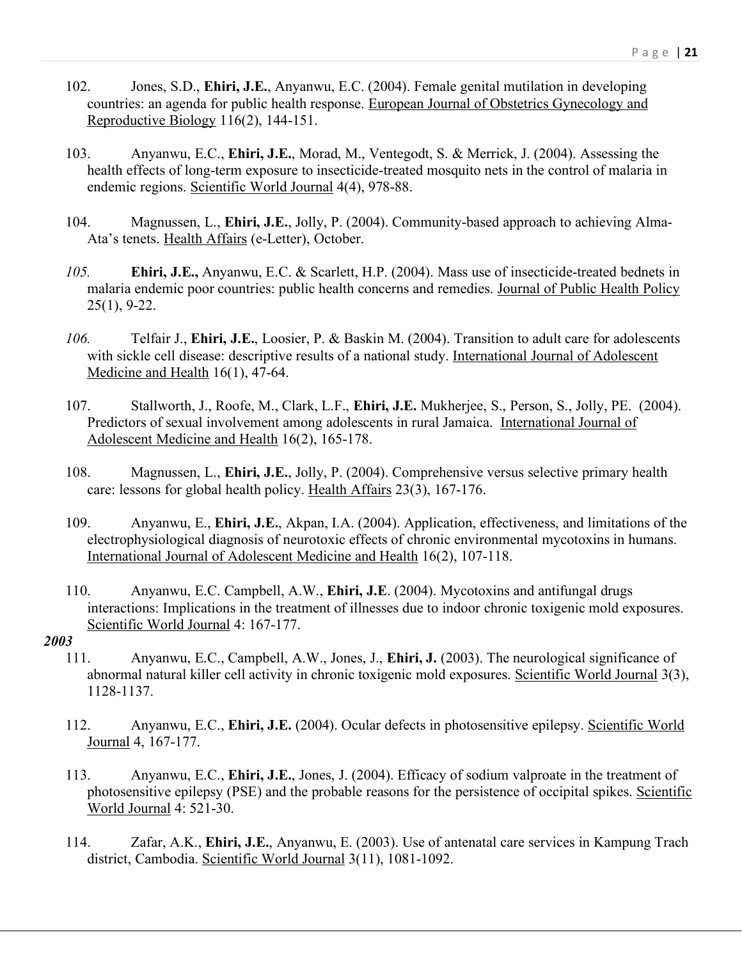- 102. Jones, S.D., **Ehiri, J.E.**, Anyanwu, E.C. (2004). Female genital mutilation in developing countries: an agenda for public health response. European Journal of Obstetrics Gynecology and Reproductive Biology 116(2), 144-151.
- 103. Anyanwu, E.C., **Ehiri, J.E.**, Morad, M., Ventegodt, S. & Merrick, J. (2004). Assessing the health effects of long-term exposure to insecticide-treated mosquito nets in the control of malaria in endemic regions. Scientific World Journal 4(4), 978-88.
- 104. Magnussen, L., **Ehiri, J.E.**, Jolly, P. (2004). Community-based approach to achieving Alma-Ata's tenets. Health Affairs (e-Letter), October.
- *105.* **Ehiri, J.E.,** Anyanwu, E.C. & Scarlett, H.P. (2004). Mass use of insecticide-treated bednets in malaria endemic poor countries: public health concerns and remedies. Journal of Public Health Policy 25(1), 9-22.
- *106.* Telfair J., **Ehiri, J.E.**, Loosier, P. & Baskin M. (2004). Transition to adult care for adolescents with sickle cell disease: descriptive results of a national study. International Journal of Adolescent Medicine and Health 16(1), 47-64.
- 107. Stallworth, J., Roofe, M., Clark, L.F., **Ehiri, J.E.** Mukherjee, S., Person, S., Jolly, PE. (2004). Predictors of sexual involvement among adolescents in rural Jamaica. International Journal of Adolescent Medicine and Health 16(2), 165-178.
- 108. Magnussen, L., **Ehiri, J.E.**, Jolly, P. (2004). Comprehensive versus selective primary health care: lessons for global health policy. Health Affairs 23(3), 167-176.
- 109. Anyanwu, E., **Ehiri, J.E.**, Akpan, I.A. (2004). Application, effectiveness, and limitations of the electrophysiological diagnosis of neurotoxic effects of chronic environmental mycotoxins in humans. International Journal of Adolescent Medicine and Health 16(2), 107-118.
- 110. Anyanwu, E.C. Campbell, A.W., **Ehiri, J.E**. (2004). Mycotoxins and antifungal drugs interactions: Implications in the treatment of illnesses due to indoor chronic toxigenic mold exposures. Scientific World Journal 4: 167-177.

- 111. Anyanwu, E.C., Campbell, A.W., Jones, J., **Ehiri, J.** (2003). The neurological significance of abnormal natural killer cell activity in chronic toxigenic mold exposures. Scientific World Journal 3(3), 1128-1137.
- 112. Anyanwu, E.C., **Ehiri, J.E.** (2004). Ocular defects in photosensitive epilepsy. Scientific World Journal 4, 167-177.
- 113. Anyanwu, E.C., **Ehiri, J.E.**, Jones, J. (2004). Efficacy of sodium valproate in the treatment of photosensitive epilepsy (PSE) and the probable reasons for the persistence of occipital spikes. Scientific World Journal 4: 521-30.
- 114. Zafar, A.K., **Ehiri, J.E.**, Anyanwu, E. (2003). Use of antenatal care services in Kampung Trach district, Cambodia. Scientific World Journal 3(11), 1081-1092.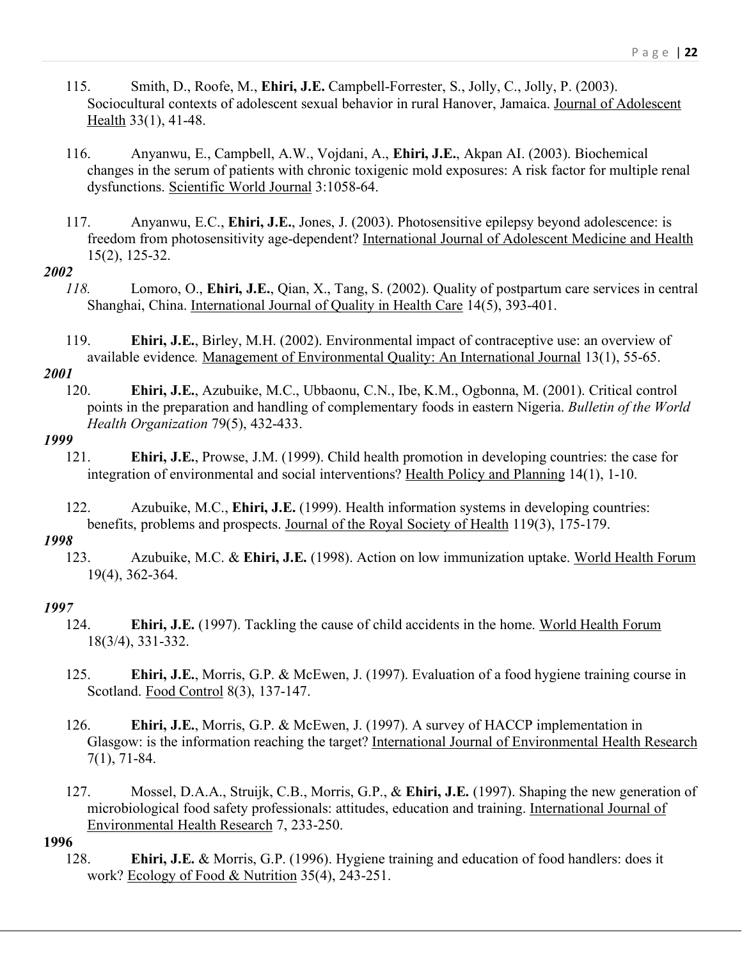- 115. Smith, D., Roofe, M., **Ehiri, J.E.** Campbell-Forrester, S., Jolly, C., Jolly, P. (2003). Sociocultural contexts of adolescent sexual behavior in rural Hanover, Jamaica. Journal of Adolescent Health 33(1), 41-48.
- 116. Anyanwu, E., Campbell, A.W., Vojdani, A., **Ehiri, J.E.**, Akpan AI. (2003). Biochemical changes in the serum of patients with chronic toxigenic mold exposures: A risk factor for multiple renal dysfunctions. Scientific World Journal 3:1058-64.
- 117. Anyanwu, E.C., **Ehiri, J.E.**, Jones, J. (2003). Photosensitive epilepsy beyond adolescence: is freedom from photosensitivity age-dependent? International Journal of Adolescent Medicine and Health 15(2), 125-32.

- *118.* Lomoro, O., **Ehiri, J.E.**, Qian, X., Tang, S. (2002). Quality of postpartum care services in central Shanghai, China. International Journal of Quality in Health Care 14(5), 393-401.
- 119. **Ehiri, J.E.**, Birley, M.H. (2002). Environmental impact of contraceptive use: an overview of available evidence*.* Management of Environmental Quality: An International Journal 13(1), 55-65.

#### *2001*

120. **Ehiri, J.E.**, Azubuike, M.C., Ubbaonu, C.N., Ibe, K.M., Ogbonna, M. (2001). Critical control points in the preparation and handling of complementary foods in eastern Nigeria. *Bulletin of the World Health Organization* 79(5), 432-433.

# *1999*

- 121. **Ehiri, J.E.**, Prowse, J.M. (1999). Child health promotion in developing countries: the case for integration of environmental and social interventions? Health Policy and Planning 14(1), 1-10.
- 122. Azubuike, M.C., **Ehiri, J.E.** (1999). Health information systems in developing countries: benefits, problems and prospects. Journal of the Royal Society of Health 119(3), 175-179.

## *1998*

123. Azubuike, M.C. & **Ehiri, J.E.** (1998). Action on low immunization uptake. World Health Forum 19(4), 362-364.

### *1997*

- 124. **Ehiri, J.E.** (1997). Tackling the cause of child accidents in the home. World Health Forum 18(3/4), 331-332.
- 125. **Ehiri, J.E.**, Morris, G.P. & McEwen, J. (1997). Evaluation of a food hygiene training course in Scotland. Food Control 8(3), 137-147.
- 126. **Ehiri, J.E.**, Morris, G.P. & McEwen, J. (1997). A survey of HACCP implementation in Glasgow: is the information reaching the target? International Journal of Environmental Health Research 7(1), 71-84.
- 127. Mossel, D.A.A., Struijk, C.B., Morris, G.P., & **Ehiri, J.E.** (1997). Shaping the new generation of microbiological food safety professionals: attitudes, education and training. International Journal of Environmental Health Research 7, 233-250.

#### **1996**

128. **Ehiri, J.E.** & Morris, G.P. (1996). Hygiene training and education of food handlers: does it work? Ecology of Food & Nutrition 35(4), 243-251.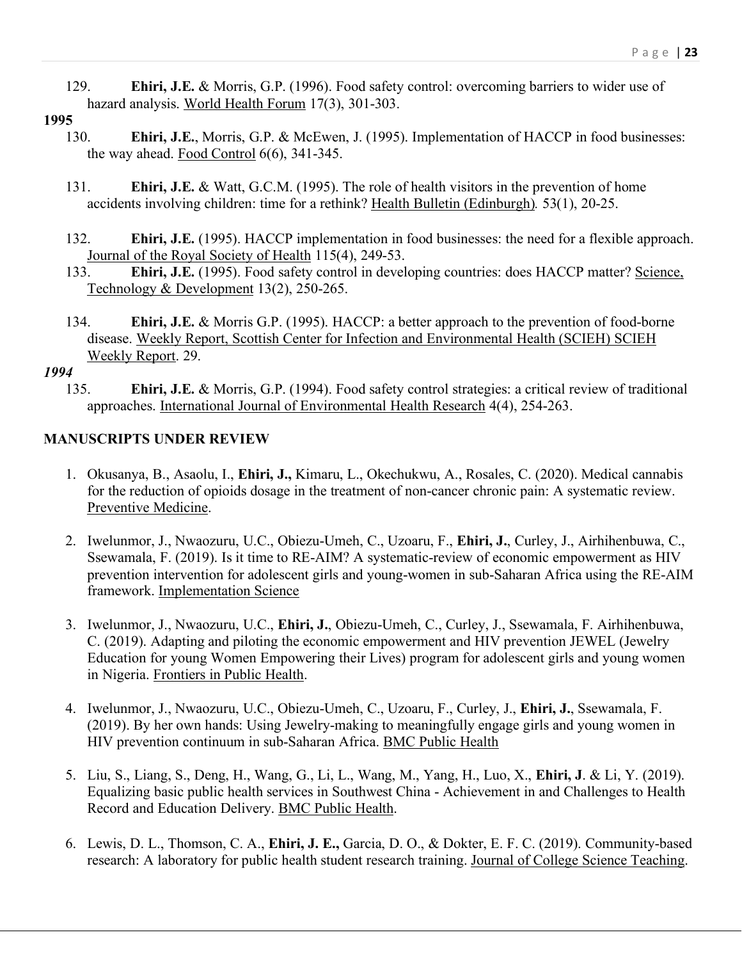129. **Ehiri, J.E.** & Morris, G.P. (1996). Food safety control: overcoming barriers to wider use of hazard analysis. World Health Forum 17(3), 301-303.

# **1995**

- 130. **Ehiri, J.E.**, Morris, G.P. & McEwen, J. (1995). Implementation of HACCP in food businesses: the way ahead. Food Control  $6(6)$ , 341-345.
- 131. **Ehiri, J.E.** & Watt, G.C.M. (1995). The role of health visitors in the prevention of home accidents involving children: time for a rethink? Health Bulletin (Edinburgh)*.* 53(1), 20-25.
- 132. **Ehiri, J.E.** (1995). HACCP implementation in food businesses: the need for a flexible approach. Journal of the Royal Society of Health 115(4), 249-53.
- 133. **Ehiri, J.E.** (1995). Food safety control in developing countries: does HACCP matter? Science, Technology & Development 13(2), 250-265.
- 134. **Ehiri, J.E.** & Morris G.P. (1995). HACCP: a better approach to the prevention of food-borne disease. Weekly Report, Scottish Center for Infection and Environmental Health (SCIEH) SCIEH Weekly Report. 29.

## *1994*

135. **Ehiri, J.E.** & Morris, G.P. (1994). Food safety control strategies: a critical review of traditional approaches. International Journal of Environmental Health Research 4(4), 254-263.

# **MANUSCRIPTS UNDER REVIEW**

- 1. Okusanya, B., Asaolu, I., **Ehiri, J.,** Kimaru, L., Okechukwu, A., Rosales, C. (2020). Medical cannabis for the reduction of opioids dosage in the treatment of non-cancer chronic pain: A systematic review. Preventive Medicine.
- 2. Iwelunmor, J., Nwaozuru, U.C., Obiezu-Umeh, C., Uzoaru, F., **Ehiri, J.**, Curley, J., Airhihenbuwa, C., Ssewamala, F. (2019). Is it time to RE-AIM? A systematic-review of economic empowerment as HIV prevention intervention for adolescent girls and young-women in sub-Saharan Africa using the RE-AIM framework. Implementation Science
- 3. Iwelunmor, J., Nwaozuru, U.C., **Ehiri, J.**, Obiezu-Umeh, C., Curley, J., Ssewamala, F. Airhihenbuwa, C. (2019). Adapting and piloting the economic empowerment and HIV prevention JEWEL (Jewelry Education for young Women Empowering their Lives) program for adolescent girls and young women in Nigeria. Frontiers in Public Health.
- 4. Iwelunmor, J., Nwaozuru, U.C., Obiezu-Umeh, C., Uzoaru, F., Curley, J., **Ehiri, J.**, Ssewamala, F. (2019). By her own hands: Using Jewelry-making to meaningfully engage girls and young women in HIV prevention continuum in sub-Saharan Africa. BMC Public Health
- 5. Liu, S., Liang, S., Deng, H., Wang, G., Li, L., Wang, M., Yang, H., Luo, X., **Ehiri, J**. & Li, Y. (2019). Equalizing basic public health services in Southwest China - Achievement in and Challenges to Health Record and Education Delivery. BMC Public Health.
- 6. Lewis, D. L., Thomson, C. A., **Ehiri, J. E.,** Garcia, D. O., & Dokter, E. F. C. (2019). Community-based research: A laboratory for public health student research training. Journal of College Science Teaching.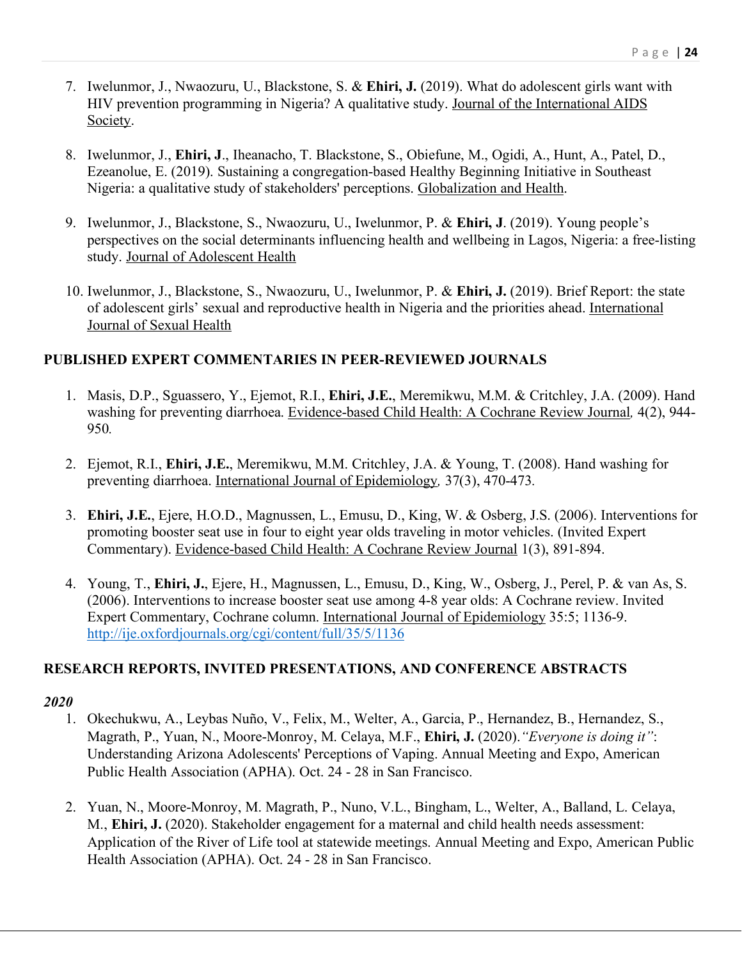- 7. Iwelunmor, J., Nwaozuru, U., Blackstone, S. & **Ehiri, J.** (2019). What do adolescent girls want with HIV prevention programming in Nigeria? A qualitative study. Journal of the International AIDS Society.
- 8. Iwelunmor, J., **Ehiri, J**., Iheanacho, T. Blackstone, S., Obiefune, M., Ogidi, A., Hunt, A., Patel, D., Ezeanolue, E. (2019). Sustaining a congregation-based Healthy Beginning Initiative in Southeast Nigeria: a qualitative study of stakeholders' perceptions. Globalization and Health.
- 9. Iwelunmor, J., Blackstone, S., Nwaozuru, U., Iwelunmor, P. & **Ehiri, J**. (2019). Young people's perspectives on the social determinants influencing health and wellbeing in Lagos, Nigeria: a free-listing study. Journal of Adolescent Health
- 10. Iwelunmor, J., Blackstone, S., Nwaozuru, U., Iwelunmor, P. & **Ehiri, J.** (2019). Brief Report: the state of adolescent girls' sexual and reproductive health in Nigeria and the priorities ahead. International Journal of Sexual Health

# **PUBLISHED EXPERT COMMENTARIES IN PEER-REVIEWED JOURNALS**

- 1. Masis, D.P., Sguassero, Y., Ejemot, R.I., **Ehiri, J.E.**, Meremikwu, M.M. & Critchley, J.A. (2009). Hand washing for preventing diarrhoea. Evidence-based Child Health: A Cochrane Review Journal*,* 4(2), 944- 950*.*
- 2. Ejemot, R.I., **Ehiri, J.E.**, Meremikwu, M.M. Critchley, J.A. & Young, T. (2008). Hand washing for preventing diarrhoea. International Journal of Epidemiology*,* 37(3), 470-473*.*
- 3. **Ehiri, J.E.**, Ejere, H.O.D., Magnussen, L., Emusu, D., King, W. & Osberg, J.S. (2006). Interventions for promoting booster seat use in four to eight year olds traveling in motor vehicles. (Invited Expert Commentary). Evidence-based Child Health: A Cochrane Review Journal 1(3), 891-894.
- 4. Young, T., **Ehiri, J.**, Ejere, H., Magnussen, L., Emusu, D., King, W., Osberg, J., Perel, P. & van As, S. (2006). Interventions to increase booster seat use among 4-8 year olds: A Cochrane review. Invited Expert Commentary, Cochrane column. International Journal of Epidemiology 35:5; 1136-9. http://ije.oxfordjournals.org/cgi/content/full/35/5/1136

# **RESEARCH REPORTS, INVITED PRESENTATIONS, AND CONFERENCE ABSTRACTS**

- 1. Okechukwu, A., Leybas Nuño, V., Felix, M., Welter, A., Garcia, P., Hernandez, B., Hernandez, S., Magrath, P., Yuan, N., Moore-Monroy, M. Celaya, M.F., **Ehiri, J.** (2020).*"Everyone is doing it"*: Understanding Arizona Adolescents' Perceptions of Vaping. Annual Meeting and Expo, American Public Health Association (APHA). Oct. 24 - 28 in San Francisco.
- 2. Yuan, N., Moore-Monroy, M. Magrath, P., Nuno, V.L., Bingham, L., Welter, A., Balland, L. Celaya, M., **Ehiri, J.** (2020). Stakeholder engagement for a maternal and child health needs assessment: Application of the River of Life tool at statewide meetings. Annual Meeting and Expo, American Public Health Association (APHA). Oct. 24 - 28 in San Francisco.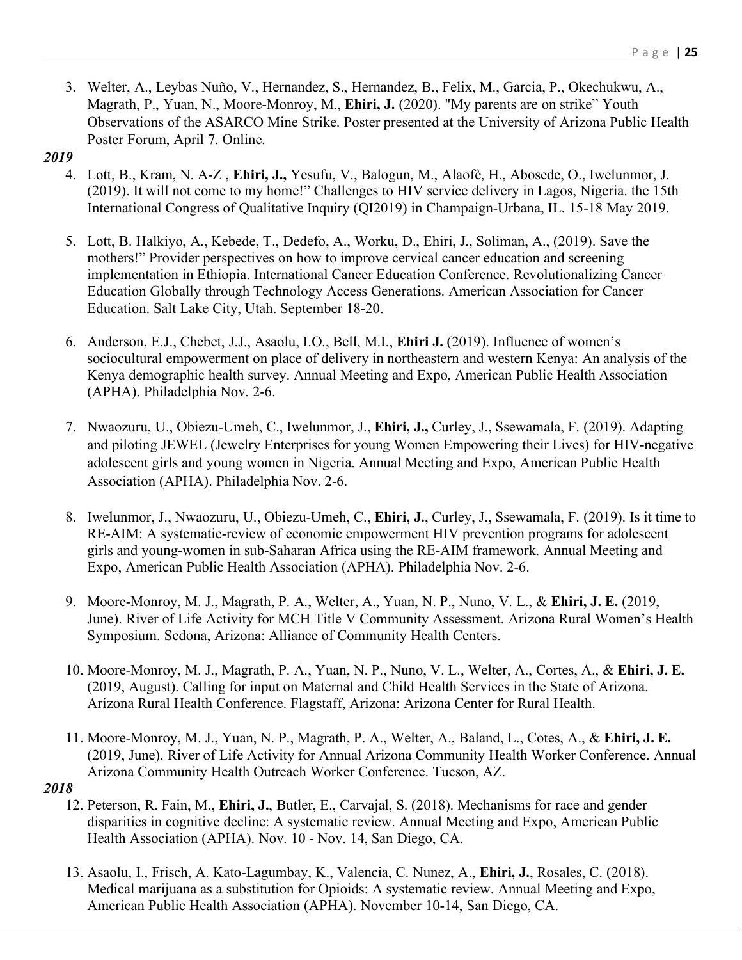3. Welter, A., Leybas Nuño, V., Hernandez, S., Hernandez, B., Felix, M., Garcia, P., Okechukwu, A., Magrath, P., Yuan, N., Moore-Monroy, M., **Ehiri, J.** (2020). "My parents are on strike" Youth Observations of the ASARCO Mine Strike. Poster presented at the University of Arizona Public Health Poster Forum, April 7. Online.

### *2019*

- 4. Lott, B., Kram, N. A-Z , **Ehiri, J.,** Yesufu, V., Balogun, M., Alaofè, H., Abosede, O., Iwelunmor, J. (2019). It will not come to my home!" Challenges to HIV service delivery in Lagos, Nigeria. the 15th International Congress of Qualitative Inquiry (QI2019) in Champaign-Urbana, IL. 15-18 May 2019.
- 5. Lott, B. Halkiyo, A., Kebede, T., Dedefo, A., Worku, D., Ehiri, J., Soliman, A., (2019). Save the mothers!" Provider perspectives on how to improve cervical cancer education and screening implementation in Ethiopia. International Cancer Education Conference. Revolutionalizing Cancer Education Globally through Technology Access Generations. American Association for Cancer Education. Salt Lake City, Utah. September 18-20.
- 6. Anderson, E.J., Chebet, J.J., Asaolu, I.O., Bell, M.I., **Ehiri J.** (2019). Influence of women's sociocultural empowerment on place of delivery in northeastern and western Kenya: An analysis of the Kenya demographic health survey. Annual Meeting and Expo, American Public Health Association (APHA). Philadelphia Nov. 2-6.
- 7. Nwaozuru, U., Obiezu-Umeh, C., Iwelunmor, J., **Ehiri, J.,** Curley, J., Ssewamala, F. (2019). Adapting and piloting JEWEL (Jewelry Enterprises for young Women Empowering their Lives) for HIV-negative adolescent girls and young women in Nigeria. Annual Meeting and Expo, American Public Health Association (APHA). Philadelphia Nov. 2-6.
- 8. Iwelunmor, J., Nwaozuru, U., Obiezu-Umeh, C., **Ehiri, J.**, Curley, J., Ssewamala, F. (2019). Is it time to RE-AIM: A systematic-review of economic empowerment HIV prevention programs for adolescent girls and young-women in sub-Saharan Africa using the RE-AIM framework. Annual Meeting and Expo, American Public Health Association (APHA). Philadelphia Nov. 2-6.
- 9. Moore-Monroy, M. J., Magrath, P. A., Welter, A., Yuan, N. P., Nuno, V. L., & **Ehiri, J. E.** (2019, June). River of Life Activity for MCH Title V Community Assessment. Arizona Rural Women's Health Symposium. Sedona, Arizona: Alliance of Community Health Centers.
- 10. Moore-Monroy, M. J., Magrath, P. A., Yuan, N. P., Nuno, V. L., Welter, A., Cortes, A., & **Ehiri, J. E.** (2019, August). Calling for input on Maternal and Child Health Services in the State of Arizona. Arizona Rural Health Conference. Flagstaff, Arizona: Arizona Center for Rural Health.
- 11. Moore-Monroy, M. J., Yuan, N. P., Magrath, P. A., Welter, A., Baland, L., Cotes, A., & **Ehiri, J. E.** (2019, June). River of Life Activity for Annual Arizona Community Health Worker Conference. Annual Arizona Community Health Outreach Worker Conference. Tucson, AZ.

- 12. Peterson, R. Fain, M., **Ehiri, J.**, Butler, E., Carvajal, S. (2018). Mechanisms for race and gender disparities in cognitive decline: A systematic review. Annual Meeting and Expo, American Public Health Association (APHA). Nov. 10 - Nov. 14, San Diego, CA.
- 13. Asaolu, I., Frisch, A. Kato-Lagumbay, K., Valencia, C. Nunez, A., **Ehiri, J.**, Rosales, C. (2018). Medical marijuana as a substitution for Opioids: A systematic review. Annual Meeting and Expo, American Public Health Association (APHA). November 10-14, San Diego, CA.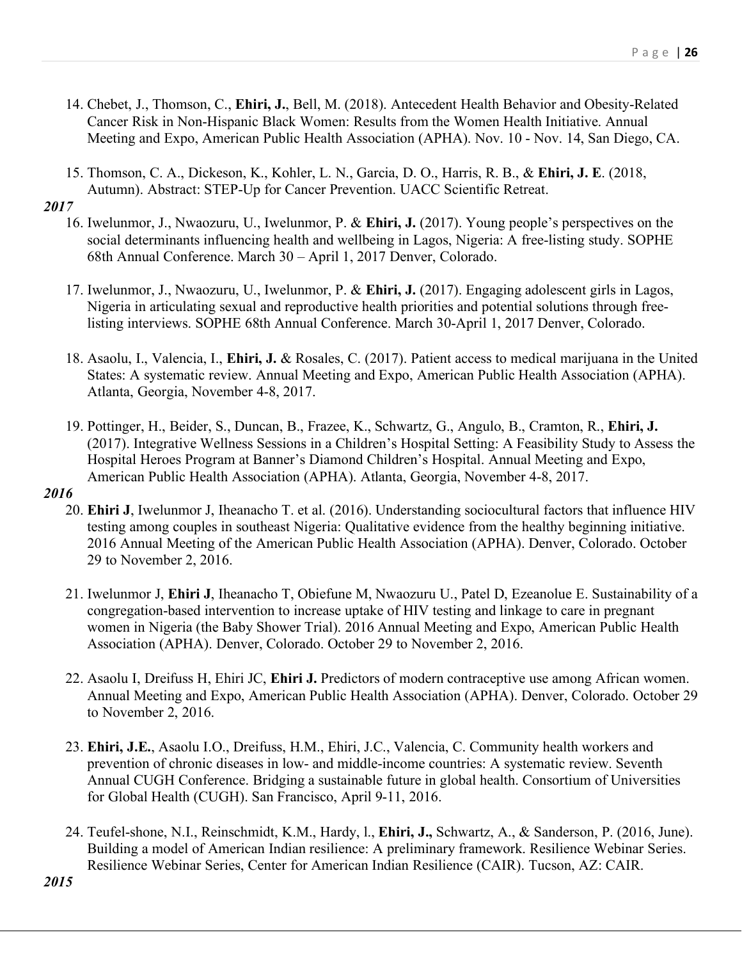- 14. Chebet, J., Thomson, C., **Ehiri, J.**, Bell, M. (2018). Antecedent Health Behavior and Obesity-Related Cancer Risk in Non-Hispanic Black Women: Results from the Women Health Initiative. Annual Meeting and Expo, American Public Health Association (APHA). Nov. 10 - Nov. 14, San Diego, CA.
- 15. Thomson, C. A., Dickeson, K., Kohler, L. N., Garcia, D. O., Harris, R. B., & **Ehiri, J. E**. (2018, Autumn). Abstract: STEP-Up for Cancer Prevention. UACC Scientific Retreat.

- 16. Iwelunmor, J., Nwaozuru, U., Iwelunmor, P. & **Ehiri, J.** (2017). Young people's perspectives on the social determinants influencing health and wellbeing in Lagos, Nigeria: A free-listing study. SOPHE 68th Annual Conference. March 30 – April 1, 2017 Denver, Colorado.
- 17. Iwelunmor, J., Nwaozuru, U., Iwelunmor, P. & **Ehiri, J.** (2017). Engaging adolescent girls in Lagos, Nigeria in articulating sexual and reproductive health priorities and potential solutions through freelisting interviews. SOPHE 68th Annual Conference. March 30-April 1, 2017 Denver, Colorado.
- 18. Asaolu, I., Valencia, I., **Ehiri, J.** & Rosales, C. (2017). Patient access to medical marijuana in the United States: A systematic review. Annual Meeting and Expo, American Public Health Association (APHA). Atlanta, Georgia, November 4-8, 2017.
- 19. Pottinger, H., Beider, S., Duncan, B., Frazee, K., Schwartz, G., Angulo, B., Cramton, R., **Ehiri, J.** (2017). Integrative Wellness Sessions in a Children's Hospital Setting: A Feasibility Study to Assess the Hospital Heroes Program at Banner's Diamond Children's Hospital. Annual Meeting and Expo, American Public Health Association (APHA). Atlanta, Georgia, November 4-8, 2017.

- 20. **Ehiri J**, Iwelunmor J, Iheanacho T. et al. (2016). Understanding sociocultural factors that influence HIV testing among couples in southeast Nigeria: Qualitative evidence from the healthy beginning initiative. 2016 Annual Meeting of the American Public Health Association (APHA). Denver, Colorado. October 29 to November 2, 2016.
- 21. Iwelunmor J, **Ehiri J**, Iheanacho T, Obiefune M, Nwaozuru U., Patel D, Ezeanolue E. Sustainability of a congregation-based intervention to increase uptake of HIV testing and linkage to care in pregnant women in Nigeria (the Baby Shower Trial). 2016 Annual Meeting and Expo, American Public Health Association (APHA). Denver, Colorado. October 29 to November 2, 2016.
- 22. Asaolu I, Dreifuss H, Ehiri JC, **Ehiri J.** Predictors of modern contraceptive use among African women. Annual Meeting and Expo, American Public Health Association (APHA). Denver, Colorado. October 29 to November 2, 2016.
- 23. **Ehiri, J.E.**, Asaolu I.O., Dreifuss, H.M., Ehiri, J.C., Valencia, C. Community health workers and prevention of chronic diseases in low- and middle-income countries: A systematic review. Seventh Annual CUGH Conference. Bridging a sustainable future in global health. Consortium of Universities for Global Health (CUGH). San Francisco, April 9-11, 2016.
- 24. Teufel-shone, N.I., Reinschmidt, K.M., Hardy, l., **Ehiri, J.,** Schwartz, A., & Sanderson, P. (2016, June). Building a model of American Indian resilience: A preliminary framework. Resilience Webinar Series. Resilience Webinar Series, Center for American Indian Resilience (CAIR). Tucson, AZ: CAIR.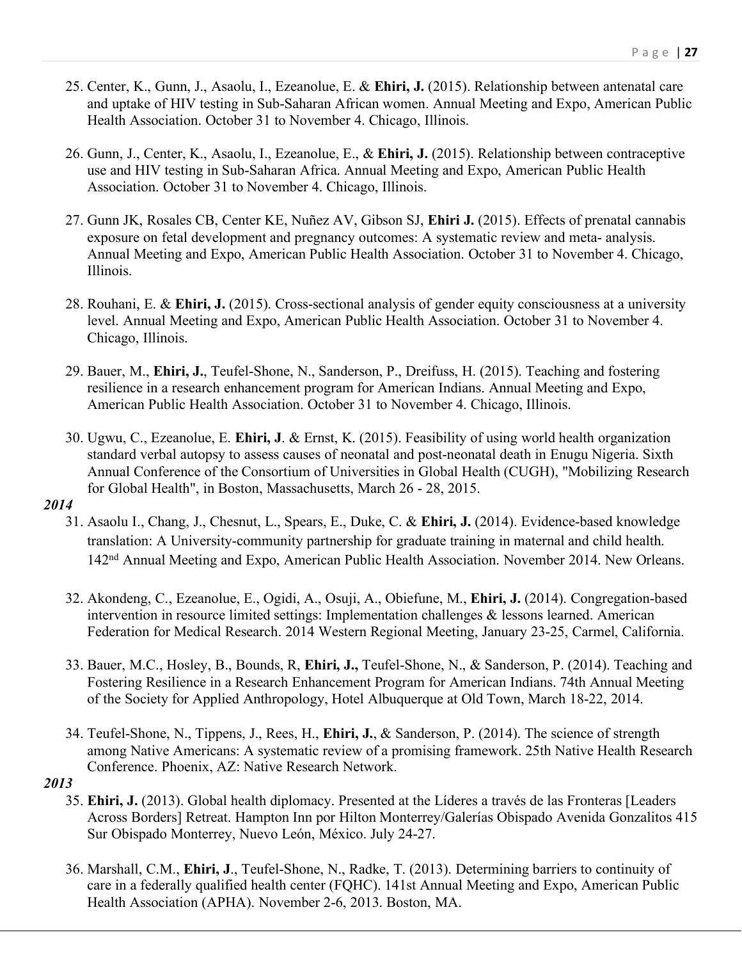- 25. Center, K., Gunn, J., Asaolu, I., Ezeanolue, E. & **Ehiri, J.** (2015). Relationship between antenatal care and uptake of HIV testing in Sub-Saharan African women. Annual Meeting and Expo, American Public Health Association. October 31 to November 4. Chicago, Illinois.
- 26. Gunn, J., Center, K., Asaolu, I., Ezeanolue, E., & **Ehiri, J.** (2015). Relationship between contraceptive use and HIV testing in Sub-Saharan Africa. Annual Meeting and Expo, American Public Health Association. October 31 to November 4. Chicago, Illinois.
- 27. Gunn JK, Rosales CB, Center KE, Nuñez AV, Gibson SJ, **Ehiri J.** (2015). Effects of prenatal cannabis exposure on fetal development and pregnancy outcomes: A systematic review and meta- analysis. Annual Meeting and Expo, American Public Health Association. October 31 to November 4. Chicago, Illinois.
- 28. Rouhani, E. & **Ehiri, J.** (2015). Cross-sectional analysis of gender equity consciousness at a university level. Annual Meeting and Expo, American Public Health Association. October 31 to November 4. Chicago, Illinois.
- 29. Bauer, M., **Ehiri, J.**, Teufel-Shone, N., Sanderson, P., Dreifuss, H. (2015). Teaching and fostering resilience in a research enhancement program for American Indians. Annual Meeting and Expo, American Public Health Association. October 31 to November 4. Chicago, Illinois.
- 30. Ugwu, C., Ezeanolue, E. **Ehiri, J**. & Ernst, K. (2015). Feasibility of using world health organization standard verbal autopsy to assess causes of neonatal and post-neonatal death in Enugu Nigeria. Sixth Annual Conference of the Consortium of Universities in Global Health (CUGH), "Mobilizing Research for Global Health", in Boston, Massachusetts, March 26 - 28, 2015.

- 31. Asaolu I., Chang, J., Chesnut, L., Spears, E., Duke, C. & **Ehiri, J.** (2014). Evidence-based knowledge translation: A University-community partnership for graduate training in maternal and child health. 142nd Annual Meeting and Expo, American Public Health Association. November 2014. New Orleans.
- 32. Akondeng, C., Ezeanolue, E., Ogidi, A., Osuji, A., Obiefune, M., **Ehiri, J.** (2014). Congregation-based intervention in resource limited settings: Implementation challenges & lessons learned. American Federation for Medical Research. 2014 Western Regional Meeting, January 23-25, Carmel, California.
- 33. Bauer, M.C., Hosley, B., Bounds, R, **Ehiri, J.,** Teufel-Shone, N., & Sanderson, P. (2014). Teaching and Fostering Resilience in a Research Enhancement Program for American Indians. 74th Annual Meeting of the Society for Applied Anthropology, Hotel Albuquerque at Old Town, March 18-22, 2014.
- 34. Teufel-Shone, N., Tippens, J., Rees, H., **Ehiri, J.**, & Sanderson, P. (2014). The science of strength among Native Americans: A systematic review of a promising framework. 25th Native Health Research Conference. Phoenix, AZ: Native Research Network.

- 35. **Ehiri, J.** (2013). Global health diplomacy. Presented at the Líderes a través de las Fronteras [Leaders Across Borders] Retreat. Hampton Inn por Hilton Monterrey/Galerías Obispado Avenida Gonzalitos 415 Sur Obispado Monterrey, Nuevo León, México. July 24-27.
- 36. Marshall, C.M., **Ehiri, J**., Teufel-Shone, N., Radke, T. (2013). Determining barriers to continuity of care in a federally qualified health center (FQHC). 141st Annual Meeting and Expo, American Public Health Association (APHA). November 2-6, 2013. Boston, MA.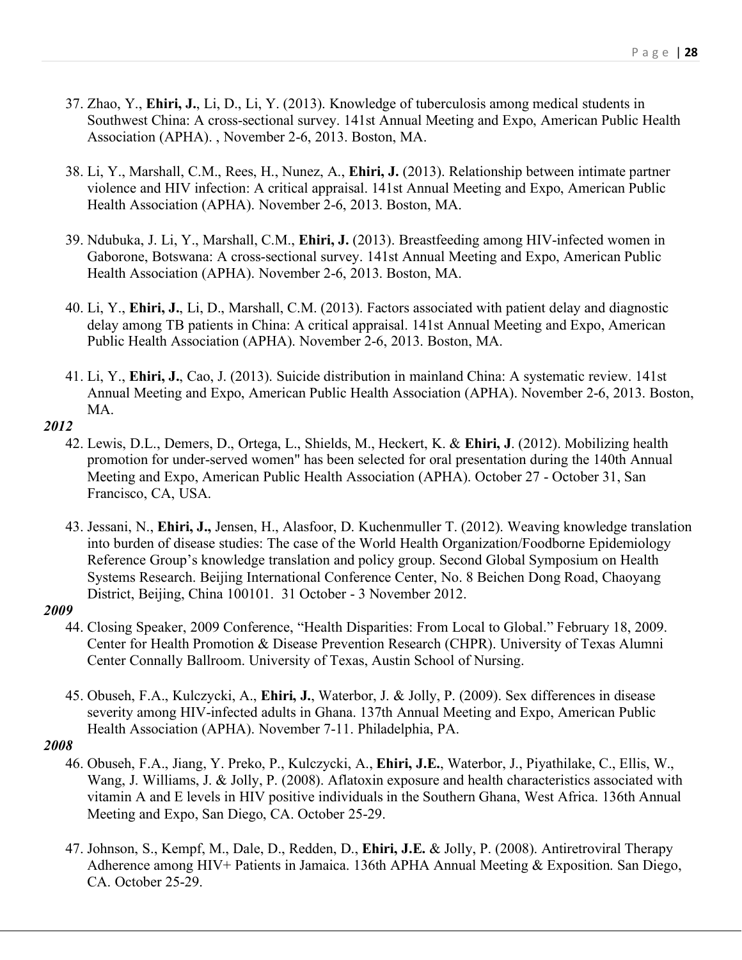- 37. Zhao, Y., **Ehiri, J.**, Li, D., Li, Y. (2013). Knowledge of tuberculosis among medical students in Southwest China: A cross-sectional survey. 141st Annual Meeting and Expo, American Public Health Association (APHA). , November 2-6, 2013. Boston, MA.
- 38. Li, Y., Marshall, C.M., Rees, H., Nunez, A., **Ehiri, J.** (2013). Relationship between intimate partner violence and HIV infection: A critical appraisal. 141st Annual Meeting and Expo, American Public Health Association (APHA). November 2-6, 2013. Boston, MA.
- 39. Ndubuka, J. Li, Y., Marshall, C.M., **Ehiri, J.** (2013). Breastfeeding among HIV-infected women in Gaborone, Botswana: A cross-sectional survey. 141st Annual Meeting and Expo, American Public Health Association (APHA). November 2-6, 2013. Boston, MA.
- 40. Li, Y., **Ehiri, J.**, Li, D., Marshall, C.M. (2013). Factors associated with patient delay and diagnostic delay among TB patients in China: A critical appraisal. 141st Annual Meeting and Expo, American Public Health Association (APHA). November 2-6, 2013. Boston, MA.
- 41. Li, Y., **Ehiri, J.**, Cao, J. (2013). Suicide distribution in mainland China: A systematic review. 141st Annual Meeting and Expo, American Public Health Association (APHA). November 2-6, 2013. Boston, **MA**

- 42. Lewis, D.L., Demers, D., Ortega, L., Shields, M., Heckert, K. & **Ehiri, J**. (2012). Mobilizing health promotion for under-served women" has been selected for oral presentation during the 140th Annual Meeting and Expo, American Public Health Association (APHA). October 27 - October 31, San Francisco, CA, USA.
- 43. Jessani, N., **Ehiri, J.,** Jensen, H., Alasfoor, D. Kuchenmuller T. (2012). Weaving knowledge translation into burden of disease studies: The case of the World Health Organization/Foodborne Epidemiology Reference Group's knowledge translation and policy group. Second Global Symposium on Health Systems Research. Beijing International Conference Center, No. 8 Beichen Dong Road, Chaoyang District, Beijing, China 100101. 31 October - 3 November 2012.

# *2009*

- 44. Closing Speaker, 2009 Conference, "Health Disparities: From Local to Global." February 18, 2009. Center for Health Promotion & Disease Prevention Research (CHPR). University of Texas Alumni Center Connally Ballroom. University of Texas, Austin School of Nursing.
- 45. Obuseh, F.A., Kulczycki, A., **Ehiri, J.**, Waterbor, J. & Jolly, P. (2009). Sex differences in disease severity among HIV-infected adults in Ghana. 137th Annual Meeting and Expo, American Public Health Association (APHA). November 7-11. Philadelphia, PA.

- 46. Obuseh, F.A., Jiang, Y. Preko, P., Kulczycki, A., **Ehiri, J.E.**, Waterbor, J., Piyathilake, C., Ellis, W., Wang, J. Williams, J. & Jolly, P. (2008). Aflatoxin exposure and health characteristics associated with vitamin A and E levels in HIV positive individuals in the Southern Ghana, West Africa. 136th Annual Meeting and Expo, San Diego, CA. October 25-29.
- 47. Johnson, S., Kempf, M., Dale, D., Redden, D., **Ehiri, J.E.** & Jolly, P. (2008). Antiretroviral Therapy Adherence among HIV+ Patients in Jamaica. 136th APHA Annual Meeting & Exposition. San Diego, CA. October 25-29.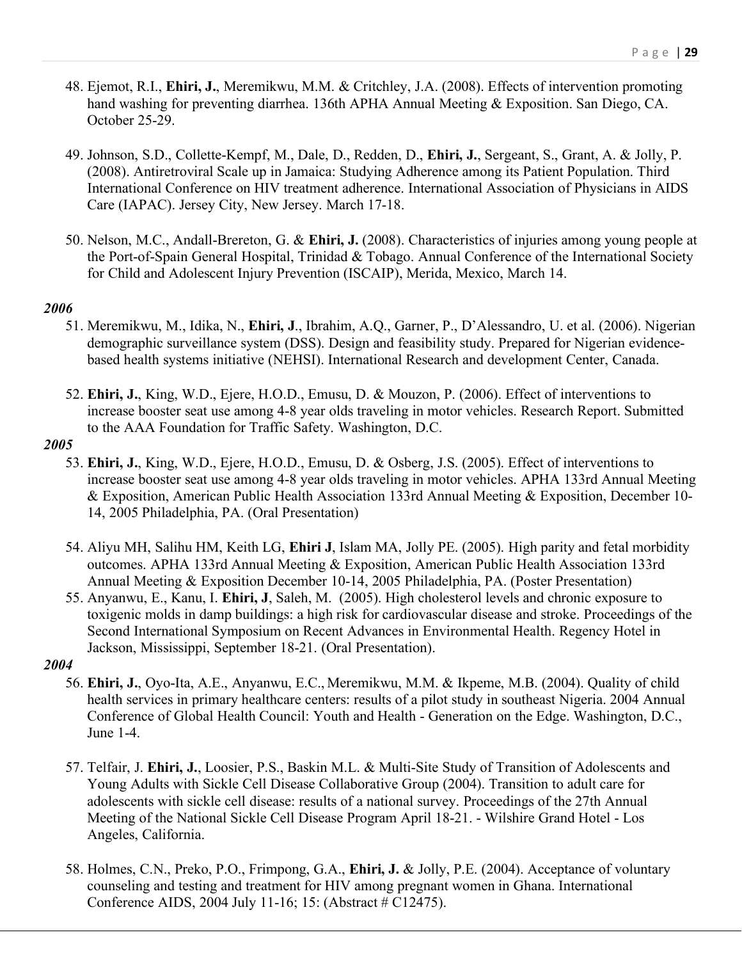- 48. Ejemot, R.I., **Ehiri, J.**, Meremikwu, M.M. & Critchley, J.A. (2008). Effects of intervention promoting hand washing for preventing diarrhea. 136th APHA Annual Meeting & Exposition. San Diego, CA. October 25-29.
- 49. Johnson, S.D., Collette-Kempf, M., Dale, D., Redden, D., **Ehiri, J.**, Sergeant, S., Grant, A. & Jolly, P. (2008). Antiretroviral Scale up in Jamaica: Studying Adherence among its Patient Population. Third International Conference on HIV treatment adherence. International Association of Physicians in AIDS Care (IAPAC). Jersey City, New Jersey. March 17-18.
- 50. Nelson, M.C., Andall-Brereton, G. & **Ehiri, J.** (2008). Characteristics of injuries among young people at the Port-of-Spain General Hospital, Trinidad & Tobago. Annual Conference of the International Society for Child and Adolescent Injury Prevention (ISCAIP), Merida, Mexico, March 14.

- 51. Meremikwu, M., Idika, N., **Ehiri, J**., Ibrahim, A.Q., Garner, P., D'Alessandro, U. et al. (2006). Nigerian demographic surveillance system (DSS). Design and feasibility study. Prepared for Nigerian evidencebased health systems initiative (NEHSI). International Research and development Center, Canada.
- 52. **Ehiri, J.**, King, W.D., Ejere, H.O.D., Emusu, D. & Mouzon, P. (2006). Effect of interventions to increase booster seat use among 4-8 year olds traveling in motor vehicles. Research Report. Submitted to the AAA Foundation for Traffic Safety. Washington, D.C.

### *2005*

- 53. **Ehiri, J.**, King, W.D., Ejere, H.O.D., Emusu, D. & Osberg, J.S. (2005). Effect of interventions to increase booster seat use among 4-8 year olds traveling in motor vehicles. APHA 133rd Annual Meeting & Exposition, American Public Health Association 133rd Annual Meeting & Exposition, December 10- 14, 2005 Philadelphia, PA. (Oral Presentation)
- 54. Aliyu MH, Salihu HM, Keith LG, **Ehiri J**, Islam MA, Jolly PE. (2005). High parity and fetal morbidity outcomes. APHA 133rd Annual Meeting & Exposition, American Public Health Association 133rd Annual Meeting & Exposition December 10-14, 2005 Philadelphia, PA. (Poster Presentation)
- 55. Anyanwu, E., Kanu, I. **Ehiri, J**, Saleh, M. (2005). High cholesterol levels and chronic exposure to toxigenic molds in damp buildings: a high risk for cardiovascular disease and stroke. Proceedings of the Second International Symposium on Recent Advances in Environmental Health. Regency Hotel in Jackson, Mississippi, September 18-21. (Oral Presentation).

- 56. **Ehiri, J.**, Oyo-Ita, A.E., Anyanwu, E.C., Meremikwu, M.M. & Ikpeme, M.B. (2004). Quality of child health services in primary healthcare centers: results of a pilot study in southeast Nigeria. 2004 Annual Conference of Global Health Council: Youth and Health - Generation on the Edge. Washington, D.C., June 1-4.
- 57. Telfair, J. **Ehiri, J.**, Loosier, P.S., Baskin M.L. & Multi-Site Study of Transition of Adolescents and Young Adults with Sickle Cell Disease Collaborative Group (2004). Transition to adult care for adolescents with sickle cell disease: results of a national survey. Proceedings of the 27th Annual Meeting of the National Sickle Cell Disease Program April 18-21. - Wilshire Grand Hotel - Los Angeles, California.
- 58. Holmes, C.N., Preko, P.O., Frimpong, G.A., **Ehiri, J.** & Jolly, P.E. (2004). Acceptance of voluntary counseling and testing and treatment for HIV among pregnant women in Ghana. International Conference AIDS, 2004 July 11-16; 15: (Abstract # C12475).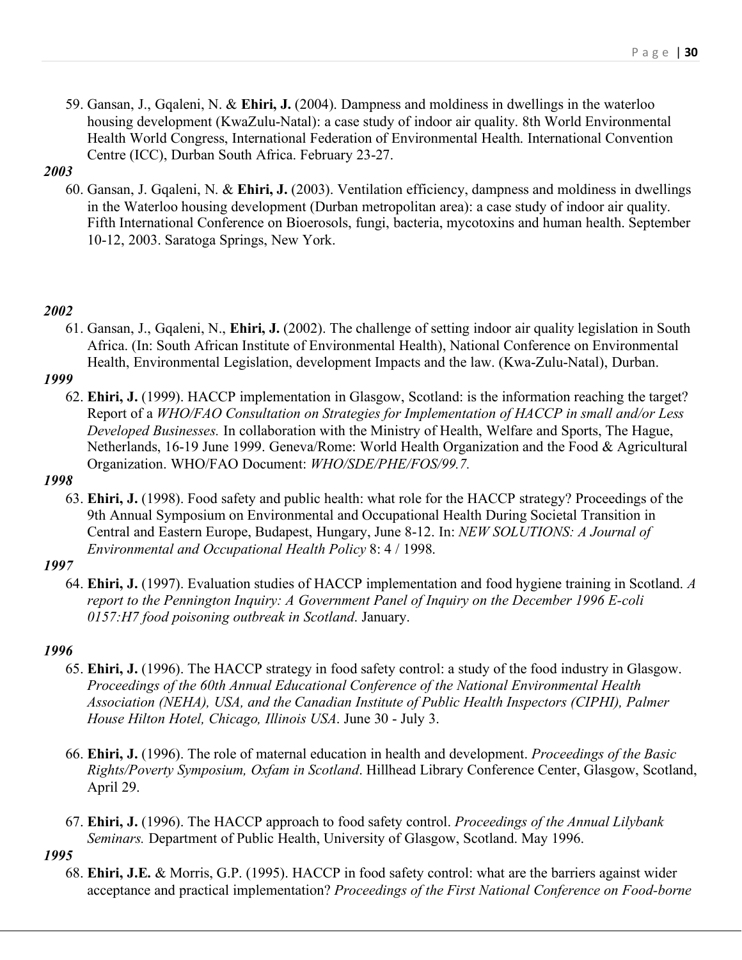59. Gansan, J., Gqaleni, N. & **Ehiri, J.** (2004). Dampness and moldiness in dwellings in the waterloo housing development (KwaZulu-Natal): a case study of indoor air quality. 8th World Environmental Health World Congress, International Federation of Environmental Health. International Convention Centre (ICC), Durban South Africa. February 23-27.

## *2003*

60. Gansan, J. Gqaleni, N. & **Ehiri, J.** (2003). Ventilation efficiency, dampness and moldiness in dwellings in the Waterloo housing development (Durban metropolitan area): a case study of indoor air quality. Fifth International Conference on Bioerosols, fungi, bacteria, mycotoxins and human health. September 10-12, 2003. Saratoga Springs, New York.

# *2002*

61. Gansan, J., Gqaleni, N., **Ehiri, J.** (2002). The challenge of setting indoor air quality legislation in South Africa. (In: South African Institute of Environmental Health), National Conference on Environmental Health, Environmental Legislation, development Impacts and the law. (Kwa-Zulu-Natal), Durban.

# *1999*

62. **Ehiri, J.** (1999). HACCP implementation in Glasgow, Scotland: is the information reaching the target? Report of a *WHO/FAO Consultation on Strategies for Implementation of HACCP in small and/or Less Developed Businesses.* In collaboration with the Ministry of Health, Welfare and Sports, The Hague, Netherlands, 16-19 June 1999. Geneva/Rome: World Health Organization and the Food & Agricultural Organization. WHO/FAO Document: *WHO/SDE/PHE/FOS/99.7.*

# *1998*

63. **Ehiri, J.** (1998). Food safety and public health: what role for the HACCP strategy? Proceedings of the 9th Annual Symposium on Environmental and Occupational Health During Societal Transition in Central and Eastern Europe, Budapest, Hungary, June 8-12. In: *NEW SOLUTIONS: A Journal of Environmental and Occupational Health Policy* 8: 4 / 1998.

# *1997*

64. **Ehiri, J.** (1997). Evaluation studies of HACCP implementation and food hygiene training in Scotland. *A report to the Pennington Inquiry: A Government Panel of Inquiry on the December 1996 E-coli 0157:H7 food poisoning outbreak in Scotland*. January.

# *1996*

- 65. **Ehiri, J.** (1996). The HACCP strategy in food safety control: a study of the food industry in Glasgow. *Proceedings of the 60th Annual Educational Conference of the National Environmental Health Association (NEHA), USA, and the Canadian Institute of Public Health Inspectors (CIPHI), Palmer House Hilton Hotel, Chicago, Illinois USA*. June 30 - July 3.
- 66. **Ehiri, J.** (1996). The role of maternal education in health and development. *Proceedings of the Basic Rights/Poverty Symposium, Oxfam in Scotland*. Hillhead Library Conference Center, Glasgow, Scotland, April 29.
- 67. **Ehiri, J.** (1996). The HACCP approach to food safety control. *Proceedings of the Annual Lilybank Seminars.* Department of Public Health, University of Glasgow, Scotland. May 1996.

### *1995*

68. **Ehiri, J.E.** & Morris, G.P. (1995). HACCP in food safety control: what are the barriers against wider acceptance and practical implementation? *Proceedings of the First National Conference on Food-borne*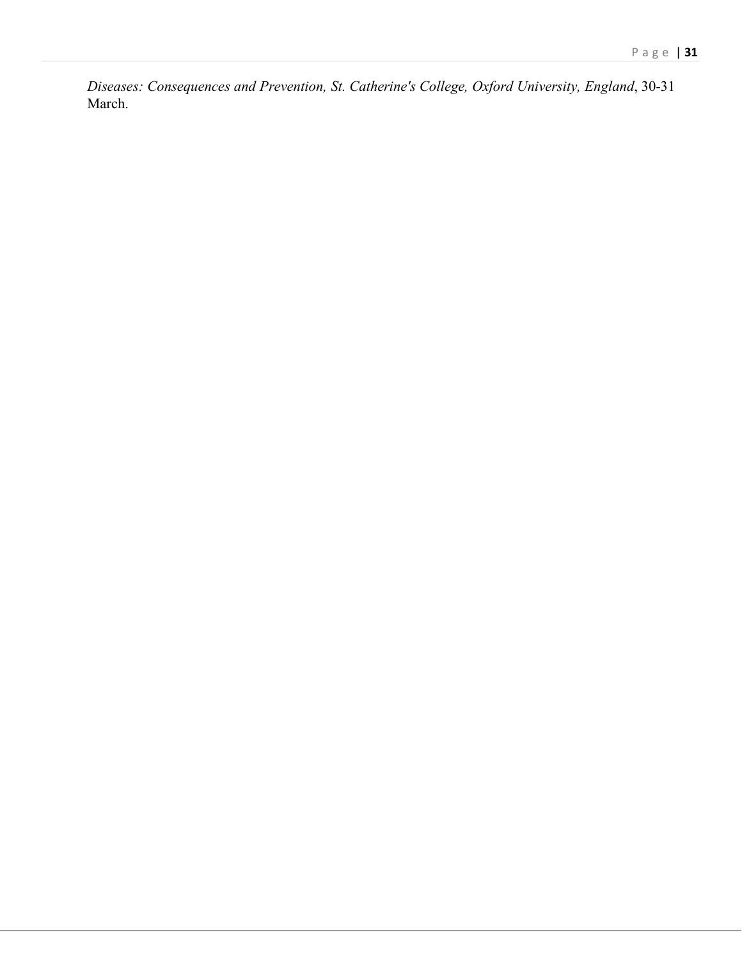*Diseases: Consequences and Prevention, St. Catherine's College, Oxford University, England*, 30-31 March.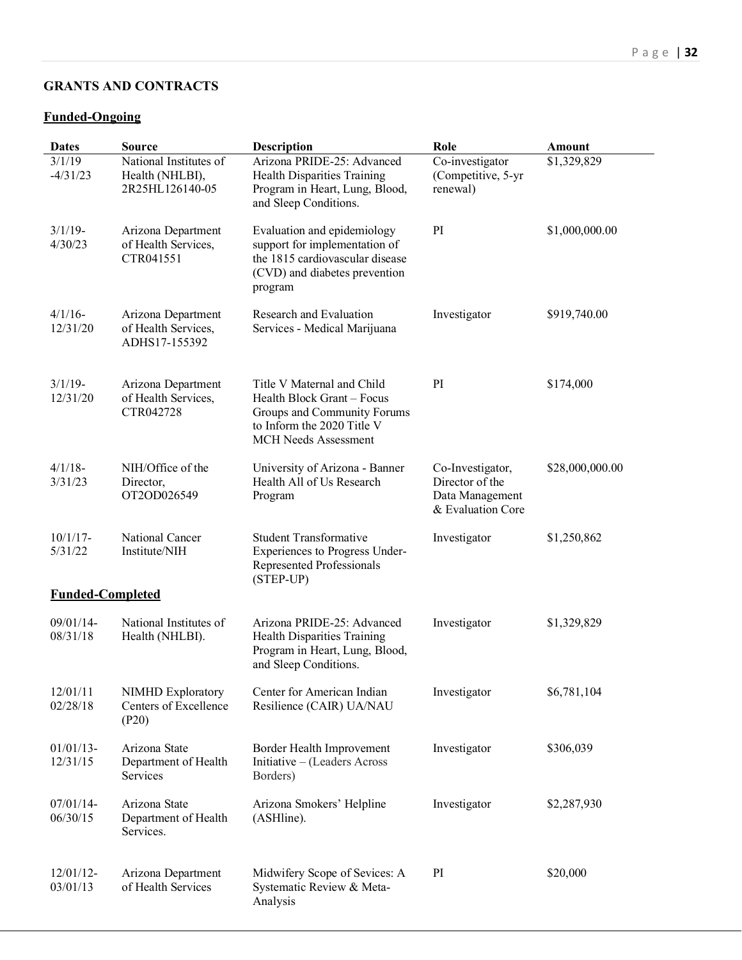# **GRANTS AND CONTRACTS**

## **Funded-Ongoing**

| <b>Dates</b>            | <b>Source</b>                                                | <b>Description</b>                                                                                                                                   | Role                                                                        | <b>Amount</b>   |
|-------------------------|--------------------------------------------------------------|------------------------------------------------------------------------------------------------------------------------------------------------------|-----------------------------------------------------------------------------|-----------------|
| 3/1/19<br>$-4/31/23$    | National Institutes of<br>Health (NHLBI),<br>2R25HL126140-05 | Arizona PRIDE-25: Advanced<br><b>Health Disparities Training</b><br>Program in Heart, Lung, Blood,<br>and Sleep Conditions.                          | Co-investigator<br>(Competitive, 5-yr<br>renewal)                           | \$1,329,829     |
| $3/1/19$ -<br>4/30/23   | Arizona Department<br>of Health Services,<br>CTR041551       | Evaluation and epidemiology<br>support for implementation of<br>the 1815 cardiovascular disease<br>(CVD) and diabetes prevention<br>program          | PI                                                                          | \$1,000,000.00  |
| $4/1/16$ -<br>12/31/20  | Arizona Department<br>of Health Services,<br>ADHS17-155392   | Research and Evaluation<br>Services - Medical Marijuana                                                                                              | Investigator                                                                | \$919,740.00    |
| $3/1/19$ -<br>12/31/20  | Arizona Department<br>of Health Services,<br>CTR042728       | Title V Maternal and Child<br>Health Block Grant - Focus<br>Groups and Community Forums<br>to Inform the 2020 Title V<br><b>MCH Needs Assessment</b> | PI                                                                          | \$174,000       |
| $4/1/18$ -<br>3/31/23   | NIH/Office of the<br>Director,<br>OT2OD026549                | University of Arizona - Banner<br>Health All of Us Research<br>Program                                                                               | Co-Investigator,<br>Director of the<br>Data Management<br>& Evaluation Core | \$28,000,000.00 |
| $10/1/17$ -<br>5/31/22  | National Cancer<br>Institute/NIH                             | <b>Student Transformative</b><br>Experiences to Progress Under-<br>Represented Professionals<br>(STEP-UP)                                            | Investigator                                                                | \$1,250,862     |
| <b>Funded-Completed</b> |                                                              |                                                                                                                                                      |                                                                             |                 |
| 09/01/14-<br>08/31/18   | National Institutes of<br>Health (NHLBI).                    | Arizona PRIDE-25: Advanced<br><b>Health Disparities Training</b><br>Program in Heart, Lung, Blood,<br>and Sleep Conditions.                          | Investigator                                                                | \$1,329,829     |
| 12/01/11<br>02/28/18    | <b>NIMHD Exploratory</b><br>Centers of Excellence<br>(P20)   | Center for American Indian<br>Resilience (CAIR) UA/NAU                                                                                               | Investigator                                                                | \$6,781,104     |
| $01/01/13-$<br>12/31/15 | Arizona State<br>Department of Health<br>Services            | Border Health Improvement<br>Initiative - (Leaders Across<br>Borders)                                                                                | Investigator                                                                | \$306,039       |
| $07/01/14-$<br>06/30/15 | Arizona State<br>Department of Health<br>Services.           | Arizona Smokers' Helpline<br>(ASHline).                                                                                                              | Investigator                                                                | \$2,287,930     |
| $12/01/12-$<br>03/01/13 | Arizona Department<br>of Health Services                     | Midwifery Scope of Sevices: A<br>Systematic Review & Meta-<br>Analysis                                                                               | PI                                                                          | \$20,000        |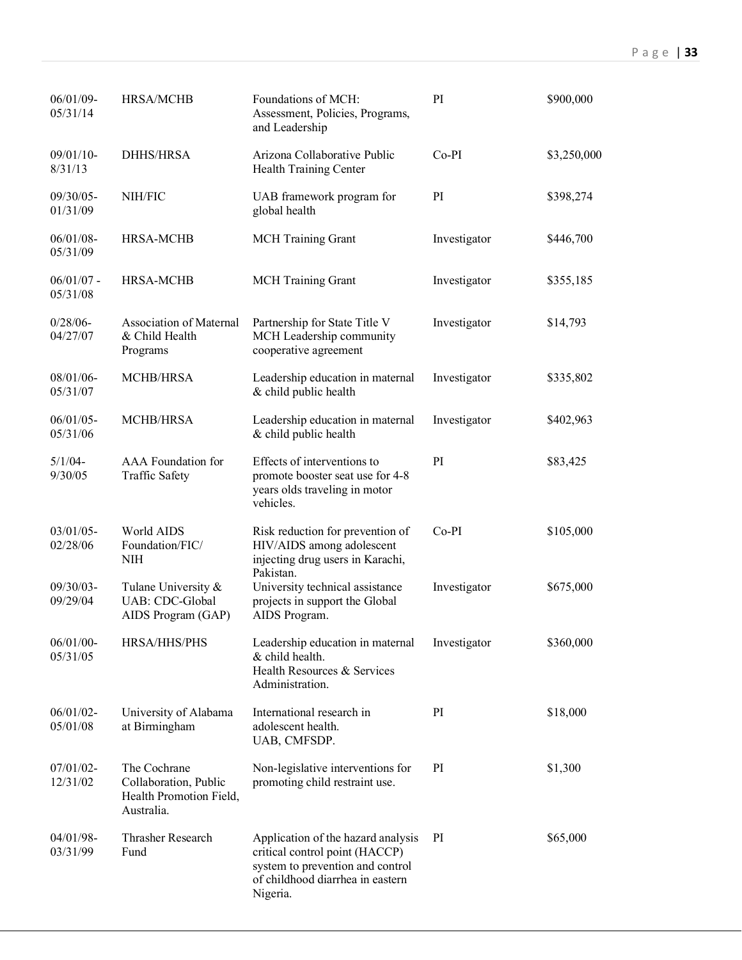| 06/01/09-<br>05/31/14    | <b>HRSA/MCHB</b>                                                               | Foundations of MCH:<br>Assessment, Policies, Programs,<br>and Leadership                                                                                 | PI           | \$900,000   |
|--------------------------|--------------------------------------------------------------------------------|----------------------------------------------------------------------------------------------------------------------------------------------------------|--------------|-------------|
| 09/01/10-<br>8/31/13     | <b>DHHS/HRSA</b>                                                               | Arizona Collaborative Public<br><b>Health Training Center</b>                                                                                            | $Co-PI$      | \$3,250,000 |
| 09/30/05-<br>01/31/09    | NIH/FIC                                                                        | UAB framework program for<br>global health                                                                                                               | PI           | \$398,274   |
| $06/01/08 -$<br>05/31/09 | HRSA-MCHB                                                                      | <b>MCH</b> Training Grant                                                                                                                                | Investigator | \$446,700   |
| $06/01/07$ -<br>05/31/08 | <b>HRSA-MCHB</b>                                                               | <b>MCH</b> Training Grant                                                                                                                                | Investigator | \$355,185   |
| $0/28/06 -$<br>04/27/07  | <b>Association of Maternal</b><br>& Child Health<br>Programs                   | Partnership for State Title V<br>MCH Leadership community<br>cooperative agreement                                                                       | Investigator | \$14,793    |
| 08/01/06-<br>05/31/07    | <b>MCHB/HRSA</b>                                                               | Leadership education in maternal<br>& child public health                                                                                                | Investigator | \$335,802   |
| $06/01/05 -$<br>05/31/06 | MCHB/HRSA                                                                      | Leadership education in maternal<br>& child public health                                                                                                | Investigator | \$402,963   |
| $5/1/04$ -<br>9/30/05    | AAA Foundation for<br><b>Traffic Safety</b>                                    | Effects of interventions to<br>promote booster seat use for 4-8<br>years olds traveling in motor<br>vehicles.                                            | PI           | \$83,425    |
| $03/01/05 -$<br>02/28/06 | World AIDS<br>Foundation/FIC/<br><b>NIH</b>                                    | Risk reduction for prevention of<br>HIV/AIDS among adolescent<br>injecting drug users in Karachi,<br>Pakistan.                                           | $Co-PI$      | \$105,000   |
| 09/30/03-<br>09/29/04    | Tulane University $\&$<br>UAB: CDC-Global<br>AIDS Program (GAP)                | University technical assistance<br>projects in support the Global<br>AIDS Program.                                                                       | Investigator | \$675,000   |
| 06/01/00-<br>05/31/05    | HRSA/HHS/PHS                                                                   | Leadership education in maternal<br>& child health.<br>Health Resources & Services<br>Administration.                                                    | Investigator | \$360,000   |
| $06/01/02 -$<br>05/01/08 | University of Alabama<br>at Birmingham                                         | International research in<br>adolescent health.<br>UAB, CMFSDP.                                                                                          | PI           | \$18,000    |
| $07/01/02 -$<br>12/31/02 | The Cochrane<br>Collaboration, Public<br>Health Promotion Field,<br>Australia. | Non-legislative interventions for<br>promoting child restraint use.                                                                                      | PI           | \$1,300     |
| 04/01/98-<br>03/31/99    | Thrasher Research<br>Fund                                                      | Application of the hazard analysis<br>critical control point (HACCP)<br>system to prevention and control<br>of childhood diarrhea in eastern<br>Nigeria. | PI           | \$65,000    |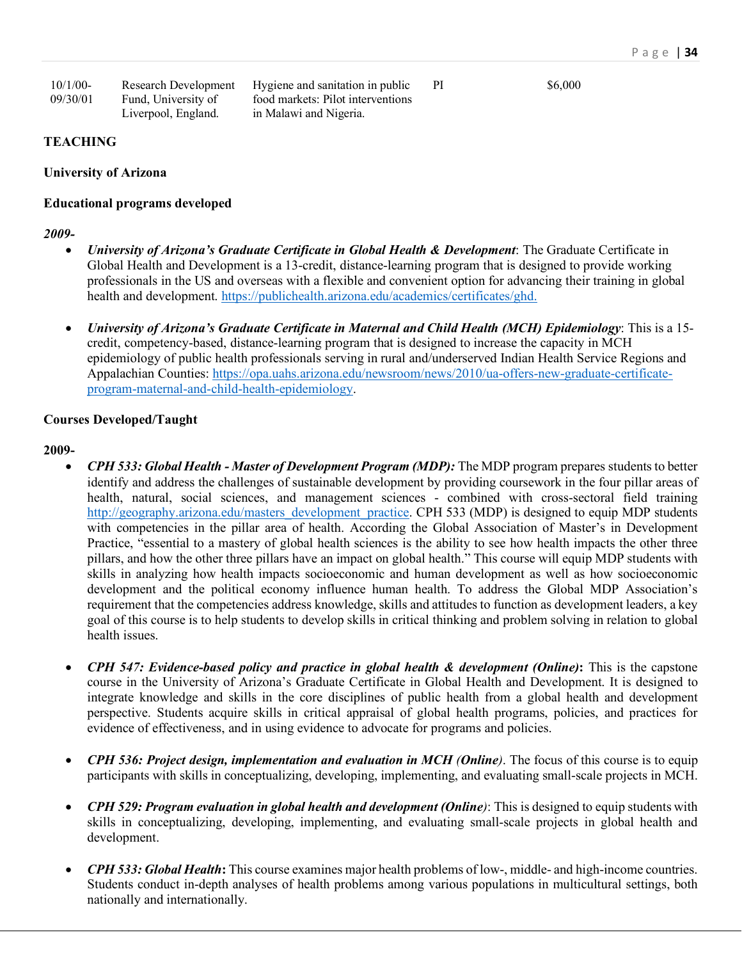| $10/1/00$ - | Research Development | Hygiene and sanitation in public  | PI |
|-------------|----------------------|-----------------------------------|----|
| 09/30/01    | Fund, University of  | food markets: Pilot interventions |    |
|             | Liverpool, England.  | in Malawi and Nigeria.            |    |

PI \$6,000

#### **TEACHING**

#### **University of Arizona**

#### **Educational programs developed**

*2009-*

- *University of Arizona's Graduate Certificate in Global Health & Development*: The Graduate Certificate in Global Health and Development is a 13-credit, distance-learning program that is designed to provide working professionals in the US and overseas with a flexible and convenient option for advancing their training in global health and development. https://publichealth.arizona.edu/academics/certificates/ghd.
- *University of Arizona's Graduate Certificate in Maternal and Child Health (MCH) Epidemiology*: This is a 15 credit, competency-based, distance-learning program that is designed to increase the capacity in MCH epidemiology of public health professionals serving in rural and/underserved Indian Health Service Regions and Appalachian Counties: https://opa.uahs.arizona.edu/newsroom/news/2010/ua-offers-new-graduate-certificateprogram-maternal-and-child-health-epidemiology.

#### **Courses Developed/Taught**

## **2009-**

- *CPH 533: Global Health - Master of Development Program (MDP):* The MDP program prepares students to better identify and address the challenges of sustainable development by providing coursework in the four pillar areas of health, natural, social sciences, and management sciences - combined with cross-sectoral field training http://geography.arizona.edu/masters\_development\_practice. CPH 533 (MDP) is designed to equip MDP students with competencies in the pillar area of health. According the Global Association of Master's in Development Practice, "essential to a mastery of global health sciences is the ability to see how health impacts the other three pillars, and how the other three pillars have an impact on global health." This course will equip MDP students with skills in analyzing how health impacts socioeconomic and human development as well as how socioeconomic development and the political economy influence human health. To address the Global MDP Association's requirement that the competencies address knowledge, skills and attitudes to function as development leaders, a key goal of this course is to help students to develop skills in critical thinking and problem solving in relation to global health issues.
- *CPH 547: Evidence-based policy and practice in global health & development (Online)***:** This is the capstone course in the University of Arizona's Graduate Certificate in Global Health and Development. It is designed to integrate knowledge and skills in the core disciplines of public health from a global health and development perspective. Students acquire skills in critical appraisal of global health programs, policies, and practices for evidence of effectiveness, and in using evidence to advocate for programs and policies.
- *CPH 536: Project design, implementation and evaluation in MCH (Online)*. The focus of this course is to equip participants with skills in conceptualizing, developing, implementing, and evaluating small-scale projects in MCH.
- *CPH 529: Program evaluation in global health and development (Online)*: This is designed to equip students with skills in conceptualizing, developing, implementing, and evaluating small-scale projects in global health and development.
- *CPH 533: Global Health***:** This course examines major health problems of low-, middle- and high-income countries. Students conduct in-depth analyses of health problems among various populations in multicultural settings, both nationally and internationally.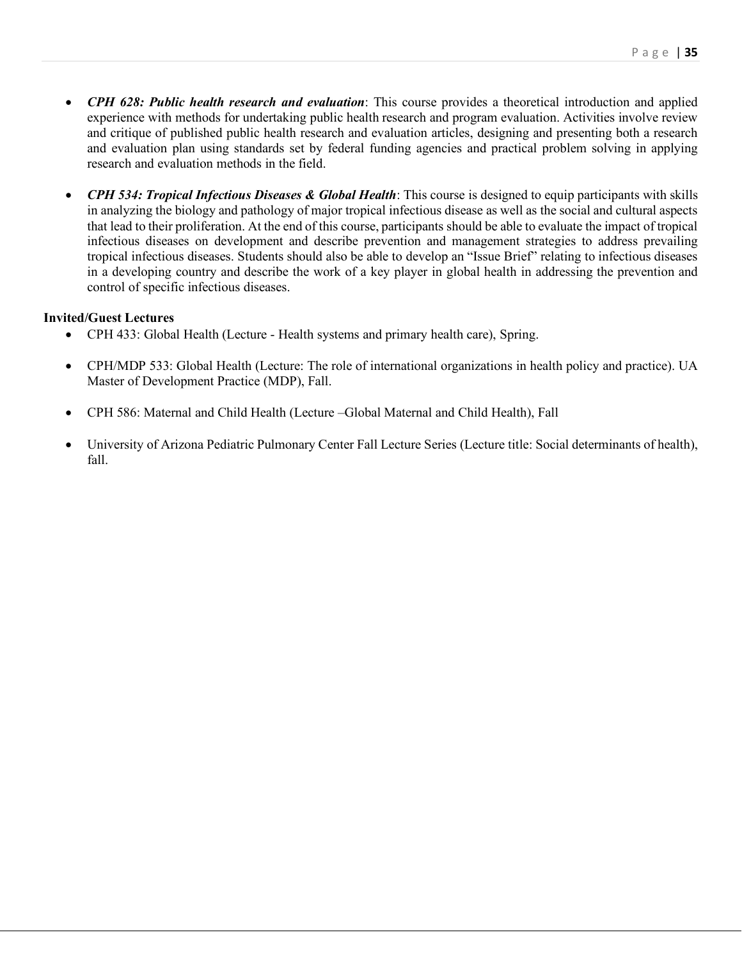- *CPH 628: Public health research and evaluation*: This course provides a theoretical introduction and applied experience with methods for undertaking public health research and program evaluation. Activities involve review and critique of published public health research and evaluation articles, designing and presenting both a research and evaluation plan using standards set by federal funding agencies and practical problem solving in applying research and evaluation methods in the field.
- *CPH 534: Tropical Infectious Diseases & Global Health*: This course is designed to equip participants with skills in analyzing the biology and pathology of major tropical infectious disease as well as the social and cultural aspects that lead to their proliferation. At the end of this course, participants should be able to evaluate the impact of tropical infectious diseases on development and describe prevention and management strategies to address prevailing tropical infectious diseases. Students should also be able to develop an "Issue Brief" relating to infectious diseases in a developing country and describe the work of a key player in global health in addressing the prevention and control of specific infectious diseases.

#### **Invited/Guest Lectures**

- CPH 433: Global Health (Lecture Health systems and primary health care), Spring.
- CPH/MDP 533: Global Health (Lecture: The role of international organizations in health policy and practice). UA Master of Development Practice (MDP), Fall.
- CPH 586: Maternal and Child Health (Lecture –Global Maternal and Child Health), Fall
- University of Arizona Pediatric Pulmonary Center Fall Lecture Series (Lecture title: Social determinants of health), fall.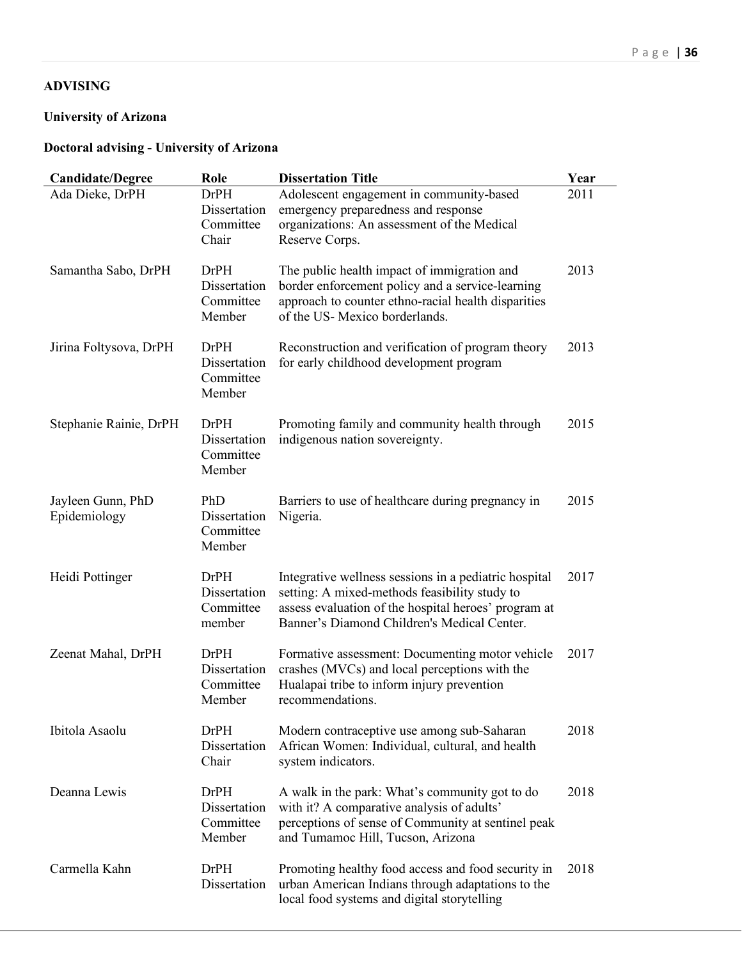# **ADVISING**

# **University of Arizona**

# **Doctoral advising - University of Arizona**

| <b>Candidate/Degree</b>           | Role                                               | <b>Dissertation Title</b>                                                                                                                                                                                     | Year |
|-----------------------------------|----------------------------------------------------|---------------------------------------------------------------------------------------------------------------------------------------------------------------------------------------------------------------|------|
| Ada Dieke, DrPH                   | <b>DrPH</b><br>Dissertation<br>Committee<br>Chair  | Adolescent engagement in community-based<br>emergency preparedness and response<br>organizations: An assessment of the Medical<br>Reserve Corps.                                                              | 2011 |
| Samantha Sabo, DrPH               | <b>DrPH</b><br>Dissertation<br>Committee<br>Member | The public health impact of immigration and<br>border enforcement policy and a service-learning<br>approach to counter ethno-racial health disparities<br>of the US-Mexico borderlands.                       | 2013 |
| Jirina Foltysova, DrPH            | DrPH<br>Dissertation<br>Committee<br>Member        | Reconstruction and verification of program theory<br>for early childhood development program                                                                                                                  | 2013 |
| Stephanie Rainie, DrPH            | <b>DrPH</b><br>Dissertation<br>Committee<br>Member | Promoting family and community health through<br>indigenous nation sovereignty.                                                                                                                               | 2015 |
| Jayleen Gunn, PhD<br>Epidemiology | PhD<br>Dissertation<br>Committee<br>Member         | Barriers to use of healthcare during pregnancy in<br>Nigeria.                                                                                                                                                 | 2015 |
| Heidi Pottinger                   | <b>DrPH</b><br>Dissertation<br>Committee<br>member | Integrative wellness sessions in a pediatric hospital<br>setting: A mixed-methods feasibility study to<br>assess evaluation of the hospital heroes' program at<br>Banner's Diamond Children's Medical Center. | 2017 |
| Zeenat Mahal, DrPH                | DrPH<br>Dissertation<br>Committee<br>Member        | Formative assessment: Documenting motor vehicle<br>crashes (MVCs) and local perceptions with the<br>Hualapai tribe to inform injury prevention<br>recommendations.                                            | 2017 |
| Ibitola Asaolu                    | DrPH<br><b>Dissertation</b><br>Chair               | Modern contraceptive use among sub-Saharan<br>African Women: Individual, cultural, and health<br>system indicators.                                                                                           | 2018 |
| Deanna Lewis                      | <b>DrPH</b><br>Dissertation<br>Committee<br>Member | A walk in the park: What's community got to do<br>with it? A comparative analysis of adults'<br>perceptions of sense of Community at sentinel peak<br>and Tumamoc Hill, Tucson, Arizona                       | 2018 |
| Carmella Kahn                     | <b>DrPH</b><br>Dissertation                        | Promoting healthy food access and food security in<br>urban American Indians through adaptations to the<br>local food systems and digital storytelling                                                        | 2018 |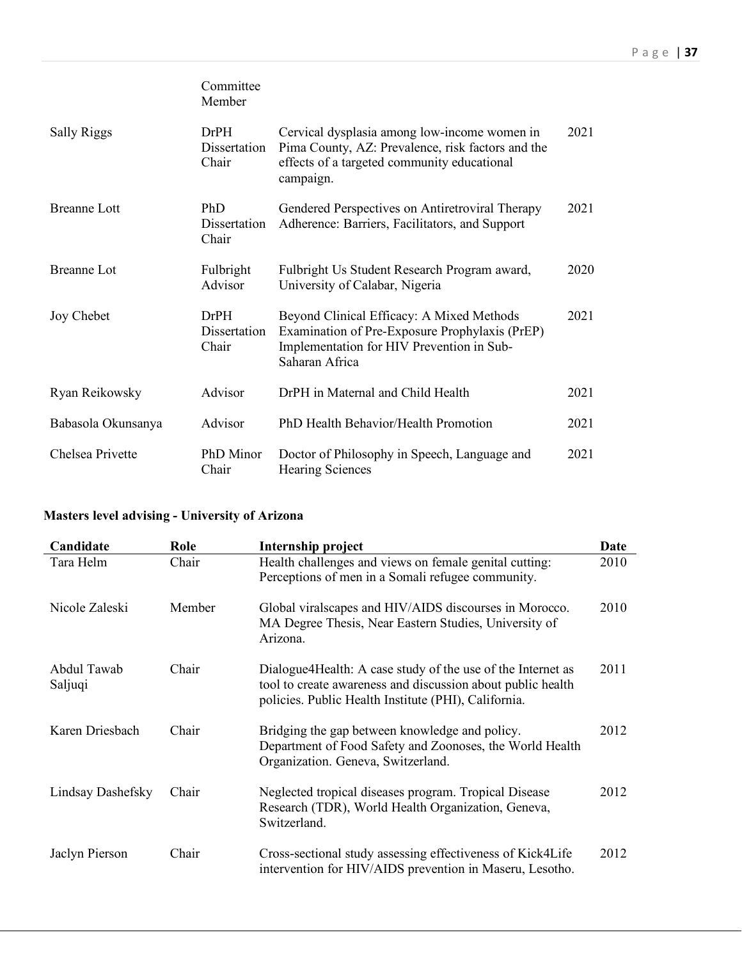|                     | Committee<br>Member           |                                                                                                                                                               |      |
|---------------------|-------------------------------|---------------------------------------------------------------------------------------------------------------------------------------------------------------|------|
| <b>Sally Riggs</b>  | DrPH<br>Dissertation<br>Chair | Cervical dysplasia among low-income women in<br>Pima County, AZ: Prevalence, risk factors and the<br>effects of a targeted community educational<br>campaign. | 2021 |
| <b>Breanne Lott</b> | PhD<br>Dissertation<br>Chair  | Gendered Perspectives on Antiretroviral Therapy<br>Adherence: Barriers, Facilitators, and Support                                                             | 2021 |
| <b>Breanne Lot</b>  | Fulbright<br>Advisor          | Fulbright Us Student Research Program award,<br>University of Calabar, Nigeria                                                                                | 2020 |
| Joy Chebet          | DrPH<br>Dissertation<br>Chair | Beyond Clinical Efficacy: A Mixed Methods<br>Examination of Pre-Exposure Prophylaxis (PrEP)<br>Implementation for HIV Prevention in Sub-<br>Saharan Africa    | 2021 |
| Ryan Reikowsky      | Advisor                       | DrPH in Maternal and Child Health                                                                                                                             | 2021 |
| Babasola Okunsanya  | Advisor                       | PhD Health Behavior/Health Promotion                                                                                                                          | 2021 |
| Chelsea Privette    | PhD Minor<br>Chair            | Doctor of Philosophy in Speech, Language and<br><b>Hearing Sciences</b>                                                                                       | 2021 |

# **Masters level advising - University of Arizona**

| Candidate              | Role   | Internship project                                                                                                                                                                   | Date |
|------------------------|--------|--------------------------------------------------------------------------------------------------------------------------------------------------------------------------------------|------|
| Tara Helm              | Chair  | Health challenges and views on female genital cutting:<br>Perceptions of men in a Somali refugee community.                                                                          | 2010 |
| Nicole Zaleski         | Member | Global viral scapes and HIV/AIDS discourses in Morocco.<br>MA Degree Thesis, Near Eastern Studies, University of<br>Arizona.                                                         | 2010 |
| Abdul Tawab<br>Saljuqi | Chair  | Dialogue 4 Health: A case study of the use of the Internet as<br>tool to create awareness and discussion about public health<br>policies. Public Health Institute (PHI), California. | 2011 |
| Karen Driesbach        | Chair  | Bridging the gap between knowledge and policy.<br>Department of Food Safety and Zoonoses, the World Health<br>Organization. Geneva, Switzerland.                                     | 2012 |
| Lindsay Dashefsky      | Chair  | Neglected tropical diseases program. Tropical Disease<br>Research (TDR), World Health Organization, Geneva,<br>Switzerland.                                                          | 2012 |
| Jaclyn Pierson         | Chair  | Cross-sectional study assessing effectiveness of Kick4Life<br>intervention for HIV/AIDS prevention in Maseru, Lesotho.                                                               | 2012 |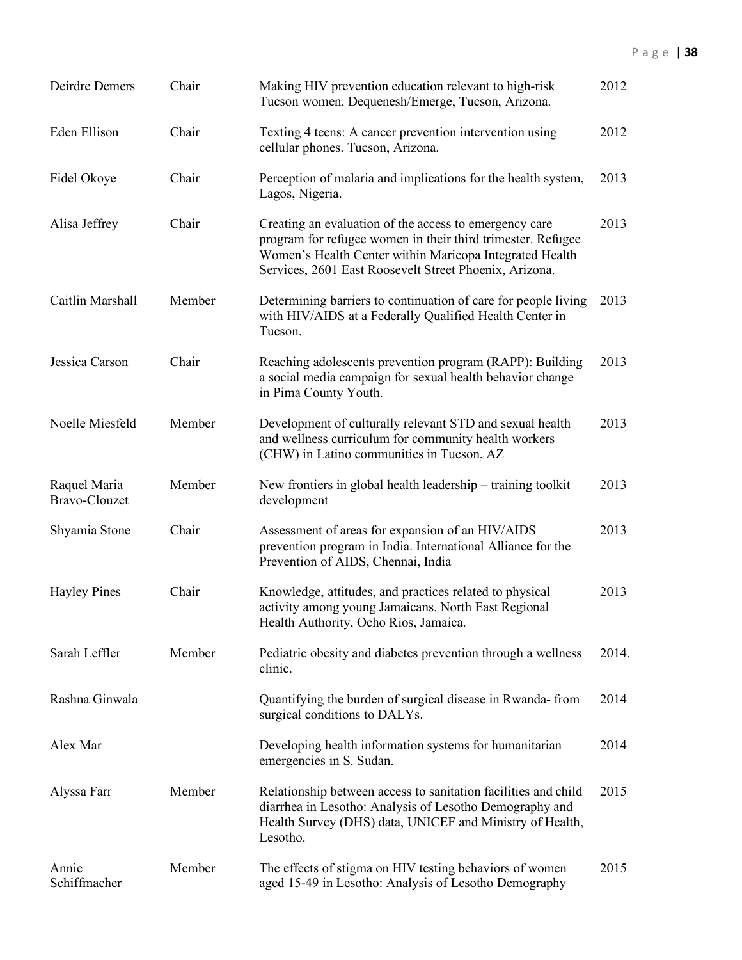| Deirdre Demers                | Chair  | Making HIV prevention education relevant to high-risk<br>Tucson women. Dequenesh/Emerge, Tucson, Arizona.                                                                                                                                  | 2012  |
|-------------------------------|--------|--------------------------------------------------------------------------------------------------------------------------------------------------------------------------------------------------------------------------------------------|-------|
| Eden Ellison                  | Chair  | Texting 4 teens: A cancer prevention intervention using<br>cellular phones. Tucson, Arizona.                                                                                                                                               | 2012  |
| Fidel Okoye                   | Chair  | Perception of malaria and implications for the health system,<br>Lagos, Nigeria.                                                                                                                                                           | 2013  |
| Alisa Jeffrey                 | Chair  | Creating an evaluation of the access to emergency care<br>program for refugee women in their third trimester. Refugee<br>Women's Health Center within Maricopa Integrated Health<br>Services, 2601 East Roosevelt Street Phoenix, Arizona. | 2013  |
| Caitlin Marshall              | Member | Determining barriers to continuation of care for people living<br>with HIV/AIDS at a Federally Qualified Health Center in<br>Tucson.                                                                                                       | 2013  |
| Jessica Carson                | Chair  | Reaching adolescents prevention program (RAPP): Building<br>a social media campaign for sexual health behavior change<br>in Pima County Youth.                                                                                             | 2013  |
| Noelle Miesfeld               | Member | Development of culturally relevant STD and sexual health<br>and wellness curriculum for community health workers<br>(CHW) in Latino communities in Tucson, AZ                                                                              | 2013  |
| Raquel Maria<br>Bravo-Clouzet | Member | New frontiers in global health leadership – training toolkit<br>development                                                                                                                                                                | 2013  |
| Shyamia Stone                 | Chair  | Assessment of areas for expansion of an HIV/AIDS<br>prevention program in India. International Alliance for the<br>Prevention of AIDS, Chennai, India                                                                                      | 2013  |
| <b>Hayley Pines</b>           | Chair  | Knowledge, attitudes, and practices related to physical<br>activity among young Jamaicans. North East Regional<br>Health Authority, Ocho Rios, Jamaica.                                                                                    | 2013  |
| Sarah Leffler                 | Member | Pediatric obesity and diabetes prevention through a wellness<br>clinic.                                                                                                                                                                    | 2014. |
| Rashna Ginwala                |        | Quantifying the burden of surgical disease in Rwanda-from<br>surgical conditions to DALYs.                                                                                                                                                 | 2014  |
| Alex Mar                      |        | Developing health information systems for humanitarian<br>emergencies in S. Sudan.                                                                                                                                                         | 2014  |
| Alyssa Farr                   | Member | Relationship between access to sanitation facilities and child<br>diarrhea in Lesotho: Analysis of Lesotho Demography and<br>Health Survey (DHS) data, UNICEF and Ministry of Health,<br>Lesotho.                                          | 2015  |
| Annie<br>Schiffmacher         | Member | The effects of stigma on HIV testing behaviors of women<br>aged 15-49 in Lesotho: Analysis of Lesotho Demography                                                                                                                           | 2015  |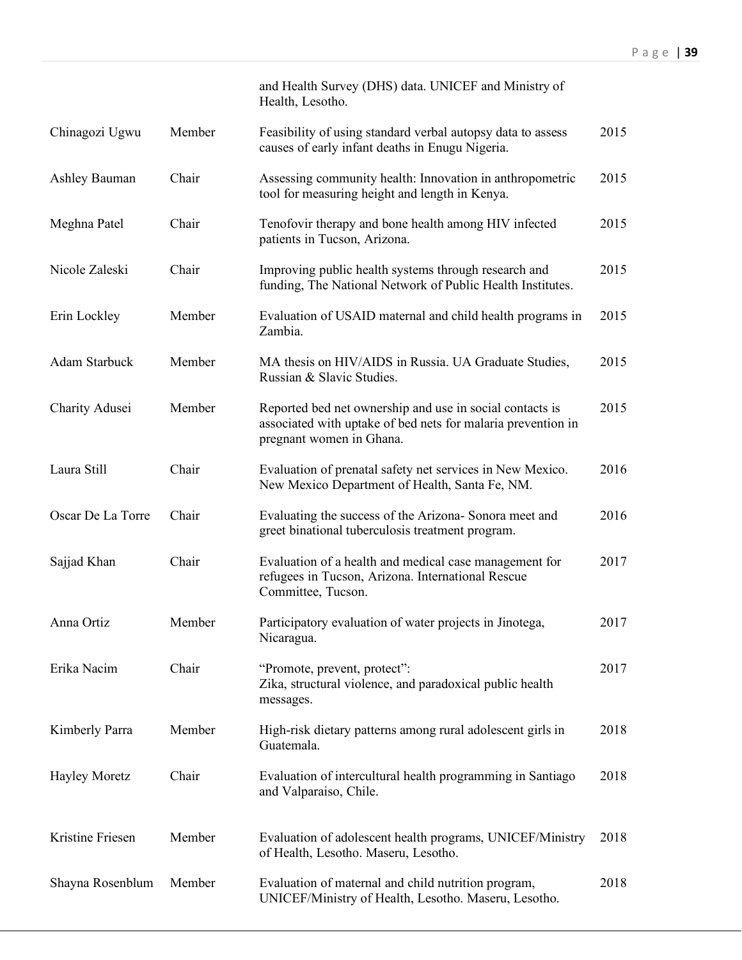|                      |        | and Health Survey (DHS) data. UNICEF and Ministry of<br>Health, Lesotho.                                                                             |      |
|----------------------|--------|------------------------------------------------------------------------------------------------------------------------------------------------------|------|
| Chinagozi Ugwu       | Member | Feasibility of using standard verbal autopsy data to assess<br>causes of early infant deaths in Enugu Nigeria.                                       | 2015 |
| <b>Ashley Bauman</b> | Chair  | Assessing community health: Innovation in anthropometric<br>tool for measuring height and length in Kenya.                                           | 2015 |
| Meghna Patel         | Chair  | Tenofovir therapy and bone health among HIV infected<br>patients in Tucson, Arizona.                                                                 | 2015 |
| Nicole Zaleski       | Chair  | Improving public health systems through research and<br>funding, The National Network of Public Health Institutes.                                   | 2015 |
| Erin Lockley         | Member | Evaluation of USAID maternal and child health programs in<br>Zambia.                                                                                 | 2015 |
| Adam Starbuck        | Member | MA thesis on HIV/AIDS in Russia. UA Graduate Studies,<br>Russian & Slavic Studies.                                                                   | 2015 |
| Charity Adusei       | Member | Reported bed net ownership and use in social contacts is<br>associated with uptake of bed nets for malaria prevention in<br>pregnant women in Ghana. | 2015 |
| Laura Still          | Chair  | Evaluation of prenatal safety net services in New Mexico.<br>New Mexico Department of Health, Santa Fe, NM.                                          | 2016 |
| Oscar De La Torre    | Chair  | Evaluating the success of the Arizona- Sonora meet and<br>greet binational tuberculosis treatment program.                                           | 2016 |
| Sajjad Khan          | Chair  | Evaluation of a health and medical case management for<br>refugees in Tucson, Arizona. International Rescue<br>Committee, Tucson.                    | 2017 |
| Anna Ortiz           | Member | Participatory evaluation of water projects in Jinotega,<br>Nicaragua.                                                                                | 2017 |
| Erika Nacim          | Chair  | "Promote, prevent, protect":<br>Zika, structural violence, and paradoxical public health<br>messages.                                                | 2017 |
| Kimberly Parra       | Member | High-risk dietary patterns among rural adolescent girls in<br>Guatemala.                                                                             | 2018 |
| <b>Hayley Moretz</b> | Chair  | Evaluation of intercultural health programming in Santiago<br>and Valparaiso, Chile.                                                                 | 2018 |
| Kristine Friesen     | Member | Evaluation of adolescent health programs, UNICEF/Ministry<br>of Health, Lesotho. Maseru, Lesotho.                                                    | 2018 |
| Shayna Rosenblum     | Member | Evaluation of maternal and child nutrition program,<br>UNICEF/Ministry of Health, Lesotho. Maseru, Lesotho.                                          | 2018 |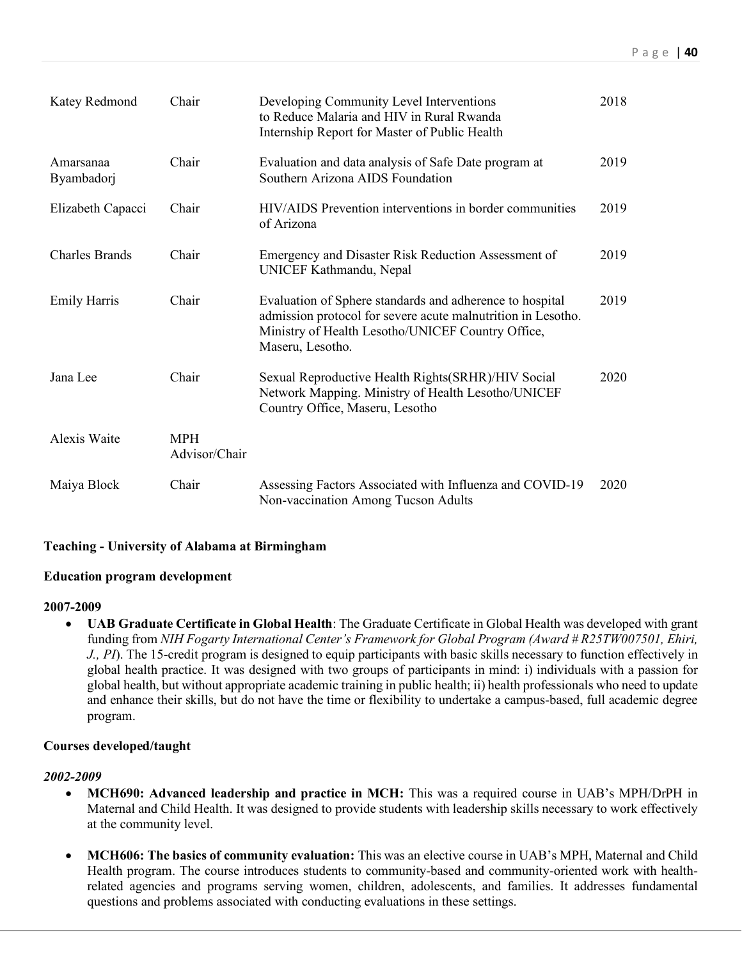| Katey Redmond           | Chair                       | Developing Community Level Interventions<br>to Reduce Malaria and HIV in Rural Rwanda<br>Internship Report for Master of Public Health                                                            | 2018 |
|-------------------------|-----------------------------|---------------------------------------------------------------------------------------------------------------------------------------------------------------------------------------------------|------|
| Amarsanaa<br>Byambadorj | Chair                       | Evaluation and data analysis of Safe Date program at<br>Southern Arizona AIDS Foundation                                                                                                          | 2019 |
| Elizabeth Capacci       | Chair                       | HIV/AIDS Prevention interventions in border communities<br>of Arizona                                                                                                                             | 2019 |
| <b>Charles Brands</b>   | Chair                       | Emergency and Disaster Risk Reduction Assessment of<br>UNICEF Kathmandu, Nepal                                                                                                                    | 2019 |
| <b>Emily Harris</b>     | Chair                       | Evaluation of Sphere standards and adherence to hospital<br>admission protocol for severe acute malnutrition in Lesotho.<br>Ministry of Health Lesotho/UNICEF Country Office,<br>Maseru, Lesotho. | 2019 |
| Jana Lee                | Chair                       | Sexual Reproductive Health Rights(SRHR)/HIV Social<br>Network Mapping. Ministry of Health Lesotho/UNICEF<br>Country Office, Maseru, Lesotho                                                       | 2020 |
| <b>Alexis Waite</b>     | <b>MPH</b><br>Advisor/Chair |                                                                                                                                                                                                   |      |
| Maiya Block             | Chair                       | Assessing Factors Associated with Influenza and COVID-19<br>Non-vaccination Among Tucson Adults                                                                                                   | 2020 |

### **Teaching - University of Alabama at Birmingham**

### **Education program development**

#### **2007-2009**

• **UAB Graduate Certificate in Global Health**: The Graduate Certificate in Global Health was developed with grant funding from *NIH Fogarty International Center's Framework for Global Program (Award # R25TW007501, Ehiri, J., PI*). The 15-credit program is designed to equip participants with basic skills necessary to function effectively in global health practice. It was designed with two groups of participants in mind: i) individuals with a passion for global health, but without appropriate academic training in public health; ii) health professionals who need to update and enhance their skills, but do not have the time or flexibility to undertake a campus-based, full academic degree program.

#### **Courses developed/taught**

#### *2002-2009*

- **MCH690: Advanced leadership and practice in MCH:** This was a required course in UAB's MPH/DrPH in Maternal and Child Health. It was designed to provide students with leadership skills necessary to work effectively at the community level.
- **MCH606: The basics of community evaluation:** This was an elective course in UAB's MPH, Maternal and Child Health program. The course introduces students to community-based and community-oriented work with healthrelated agencies and programs serving women, children, adolescents, and families. It addresses fundamental questions and problems associated with conducting evaluations in these settings.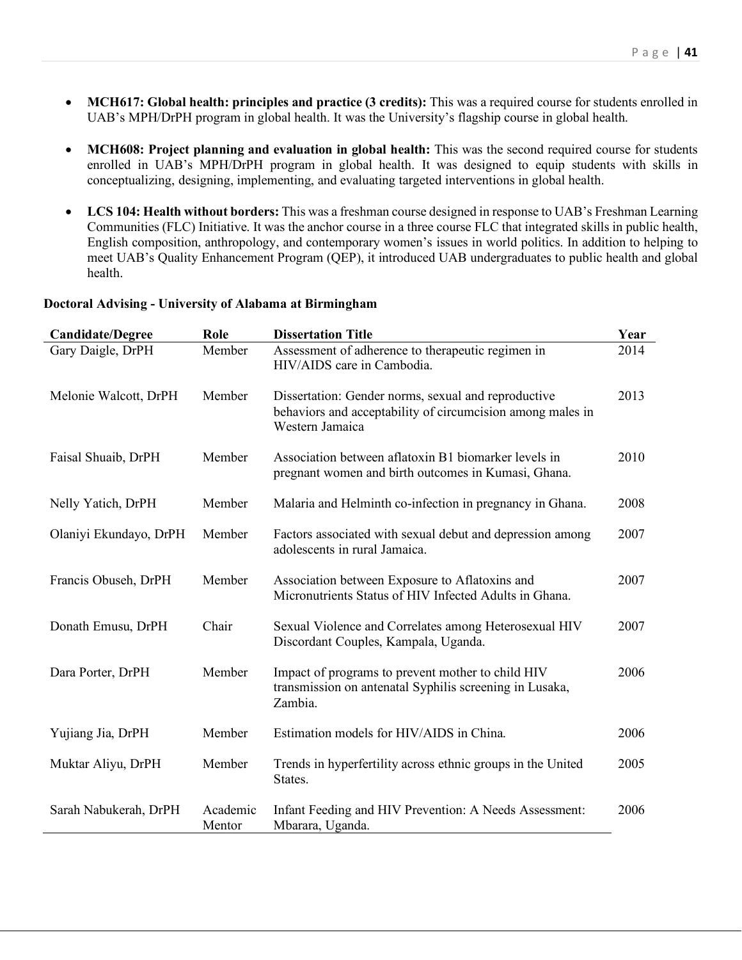- **MCH617: Global health: principles and practice (3 credits):** This was a required course for students enrolled in UAB's MPH/DrPH program in global health. It was the University's flagship course in global health.
- **MCH608: Project planning and evaluation in global health:** This was the second required course for students enrolled in UAB's MPH/DrPH program in global health. It was designed to equip students with skills in conceptualizing, designing, implementing, and evaluating targeted interventions in global health.
- **LCS 104: Health without borders:** This was a freshman course designed in response to UAB's Freshman Learning Communities (FLC) Initiative. It was the anchor course in a three course FLC that integrated skills in public health, English composition, anthropology, and contemporary women's issues in world politics. In addition to helping to meet UAB's Quality Enhancement Program (QEP), it introduced UAB undergraduates to public health and global health.

| <b>Candidate/Degree</b> | Role               | <b>Dissertation Title</b>                                                                                                            | Year |
|-------------------------|--------------------|--------------------------------------------------------------------------------------------------------------------------------------|------|
| Gary Daigle, DrPH       | Member             | Assessment of adherence to therapeutic regimen in<br>HIV/AIDS care in Cambodia.                                                      | 2014 |
| Melonie Walcott, DrPH   | Member             | Dissertation: Gender norms, sexual and reproductive<br>behaviors and acceptability of circumcision among males in<br>Western Jamaica | 2013 |
| Faisal Shuaib, DrPH     | Member             | Association between aflatoxin B1 biomarker levels in<br>pregnant women and birth outcomes in Kumasi, Ghana.                          | 2010 |
| Nelly Yatich, DrPH      | Member             | Malaria and Helminth co-infection in pregnancy in Ghana.                                                                             | 2008 |
| Olaniyi Ekundayo, DrPH  | Member             | Factors associated with sexual debut and depression among<br>adolescents in rural Jamaica.                                           | 2007 |
| Francis Obuseh, DrPH    | Member             | Association between Exposure to Aflatoxins and<br>Micronutrients Status of HIV Infected Adults in Ghana.                             | 2007 |
| Donath Emusu, DrPH      | Chair              | Sexual Violence and Correlates among Heterosexual HIV<br>Discordant Couples, Kampala, Uganda.                                        | 2007 |
| Dara Porter, DrPH       | Member             | Impact of programs to prevent mother to child HIV<br>transmission on antenatal Syphilis screening in Lusaka,<br>Zambia.              | 2006 |
| Yujiang Jia, DrPH       | Member             | Estimation models for HIV/AIDS in China.                                                                                             | 2006 |
| Muktar Aliyu, DrPH      | Member             | Trends in hyperfertility across ethnic groups in the United<br>States.                                                               | 2005 |
| Sarah Nabukerah, DrPH   | Academic<br>Mentor | Infant Feeding and HIV Prevention: A Needs Assessment:<br>Mbarara, Uganda.                                                           | 2006 |

#### **Doctoral Advising - University of Alabama at Birmingham**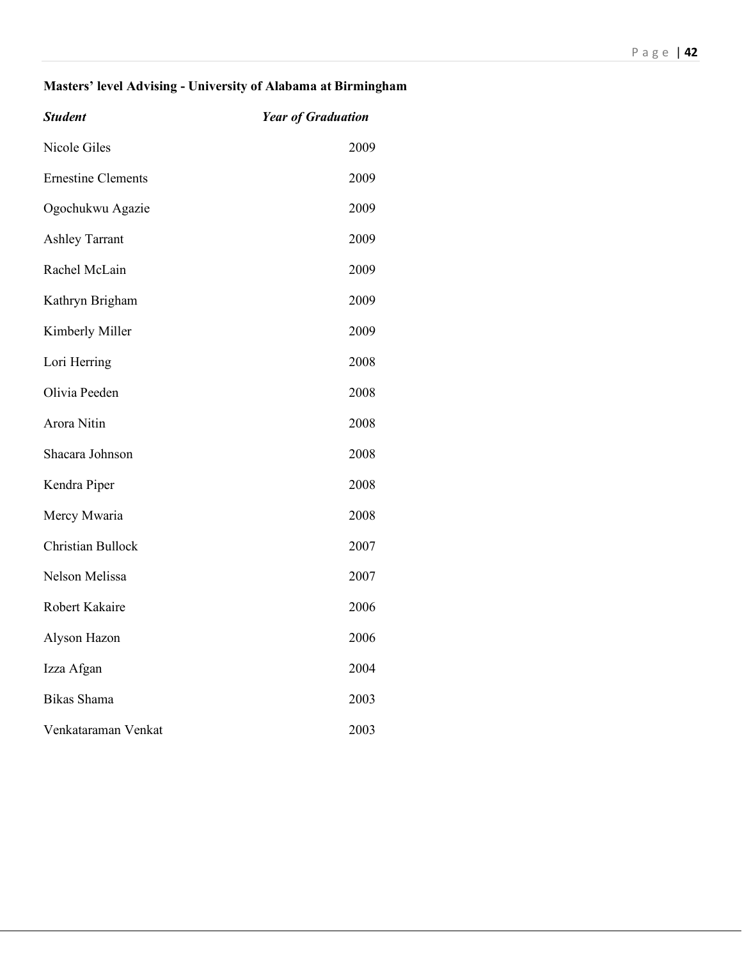# **Masters' level Advising - University of Alabama at Birmingham**

| <b>Student</b>            | <b>Year of Graduation</b> |
|---------------------------|---------------------------|
| <b>Nicole Giles</b>       | 2009                      |
| <b>Ernestine Clements</b> | 2009                      |
| Ogochukwu Agazie          | 2009                      |
| <b>Ashley Tarrant</b>     | 2009                      |
| Rachel McLain             | 2009                      |
| Kathryn Brigham           | 2009                      |
| Kimberly Miller           | 2009                      |
| Lori Herring              | 2008                      |
| Olivia Peeden             | 2008                      |
| Arora Nitin               | 2008                      |
| Shacara Johnson           | 2008                      |
| Kendra Piper              | 2008                      |
| Mercy Mwaria              | 2008                      |
| Christian Bullock         | 2007                      |
| Nelson Melissa            | 2007                      |
| Robert Kakaire            | 2006                      |
| Alyson Hazon              | 2006                      |
| Izza Afgan                | 2004                      |
| <b>Bikas Shama</b>        | 2003                      |
| Venkataraman Venkat       | 2003                      |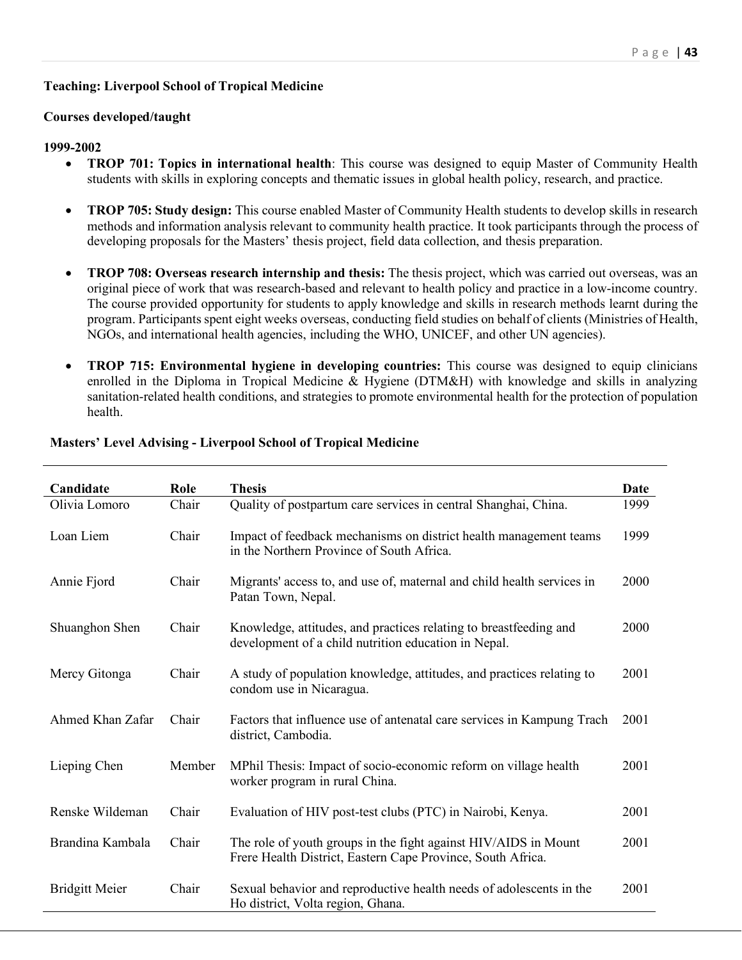## **Teaching: Liverpool School of Tropical Medicine**

### **Courses developed/taught**

#### **1999-2002**

- **TROP 701: Topics in international health**: This course was designed to equip Master of Community Health students with skills in exploring concepts and thematic issues in global health policy, research, and practice.
- **TROP 705: Study design:** This course enabled Master of Community Health students to develop skills in research methods and information analysis relevant to community health practice. It took participants through the process of developing proposals for the Masters' thesis project, field data collection, and thesis preparation.
- **TROP 708: Overseas research internship and thesis:** The thesis project, which was carried out overseas, was an original piece of work that was research-based and relevant to health policy and practice in a low-income country. The course provided opportunity for students to apply knowledge and skills in research methods learnt during the program. Participants spent eight weeks overseas, conducting field studies on behalf of clients (Ministries of Health, NGOs, and international health agencies, including the WHO, UNICEF, and other UN agencies).
- **TROP 715: Environmental hygiene in developing countries:** This course was designed to equip clinicians enrolled in the Diploma in Tropical Medicine & Hygiene (DTM&H) with knowledge and skills in analyzing sanitation-related health conditions, and strategies to promote environmental health for the protection of population health.

| Candidate             | Role   | <b>Thesis</b>                                                                                                                  | <b>Date</b> |
|-----------------------|--------|--------------------------------------------------------------------------------------------------------------------------------|-------------|
| Olivia Lomoro         | Chair  | Quality of postpartum care services in central Shanghai, China.                                                                | 1999        |
| Loan Liem             | Chair  | Impact of feedback mechanisms on district health management teams<br>in the Northern Province of South Africa.                 | 1999        |
| Annie Fjord           | Chair  | Migrants' access to, and use of, maternal and child health services in<br>Patan Town, Nepal.                                   | 2000        |
| Shuanghon Shen        | Chair  | Knowledge, attitudes, and practices relating to breastfeeding and<br>development of a child nutrition education in Nepal.      | 2000        |
| Mercy Gitonga         | Chair  | A study of population knowledge, attitudes, and practices relating to<br>condom use in Nicaragua.                              | 2001        |
| Ahmed Khan Zafar      | Chair  | Factors that influence use of antenatal care services in Kampung Trach<br>district, Cambodia.                                  | 2001        |
| Lieping Chen          | Member | MPhil Thesis: Impact of socio-economic reform on village health<br>worker program in rural China.                              | 2001        |
| Renske Wildeman       | Chair  | Evaluation of HIV post-test clubs (PTC) in Nairobi, Kenya.                                                                     | 2001        |
| Brandina Kambala      | Chair  | The role of youth groups in the fight against HIV/AIDS in Mount<br>Frere Health District, Eastern Cape Province, South Africa. | 2001        |
| <b>Bridgitt Meier</b> | Chair  | Sexual behavior and reproductive health needs of adolescents in the<br>Ho district, Volta region, Ghana.                       | 2001        |

### **Masters' Level Advising - Liverpool School of Tropical Medicine**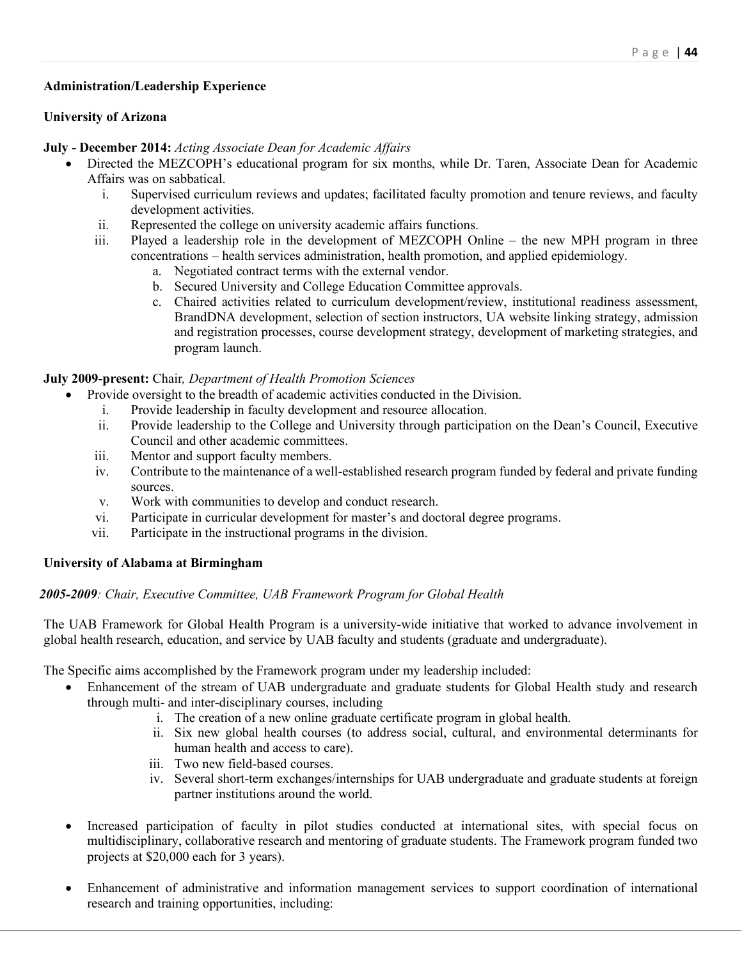### **Administration/Leadership Experience**

#### **University of Arizona**

#### **July - December 2014:** *Acting Associate Dean for Academic Affairs*

- Directed the MEZCOPH's educational program for six months, while Dr. Taren, Associate Dean for Academic Affairs was on sabbatical.
	- i. Supervised curriculum reviews and updates; facilitated faculty promotion and tenure reviews, and faculty development activities.
	- ii. Represented the college on university academic affairs functions.
	- iii. Played a leadership role in the development of MEZCOPH Online the new MPH program in three concentrations – health services administration, health promotion, and applied epidemiology.
		- a. Negotiated contract terms with the external vendor.
		- b. Secured University and College Education Committee approvals.
		- c. Chaired activities related to curriculum development/review, institutional readiness assessment, BrandDNA development, selection of section instructors, UA website linking strategy, admission and registration processes, course development strategy, development of marketing strategies, and program launch.

#### **July 2009-present:** Chair*, Department of Health Promotion Sciences*

- Provide oversight to the breadth of academic activities conducted in the Division.
	- i. Provide leadership in faculty development and resource allocation.
	- ii. Provide leadership to the College and University through participation on the Dean's Council, Executive Council and other academic committees.
	- iii. Mentor and support faculty members.
	- iv. Contribute to the maintenance of a well-established research program funded by federal and private funding sources.
	- v. Work with communities to develop and conduct research.
	- vi. Participate in curricular development for master's and doctoral degree programs.
	- vii. Participate in the instructional programs in the division.

#### **University of Alabama at Birmingham**

### *2005-2009: Chair, Executive Committee, UAB Framework Program for Global Health*

The UAB Framework for Global Health Program is a university-wide initiative that worked to advance involvement in global health research, education, and service by UAB faculty and students (graduate and undergraduate).

The Specific aims accomplished by the Framework program under my leadership included:

- Enhancement of the stream of UAB undergraduate and graduate students for Global Health study and research through multi- and inter-disciplinary courses, including
	- i. The creation of a new online graduate certificate program in global health.
	- ii. Six new global health courses (to address social, cultural, and environmental determinants for human health and access to care).
	- iii. Two new field-based courses.
	- iv. Several short-term exchanges/internships for UAB undergraduate and graduate students at foreign partner institutions around the world.
- Increased participation of faculty in pilot studies conducted at international sites, with special focus on multidisciplinary, collaborative research and mentoring of graduate students. The Framework program funded two projects at \$20,000 each for 3 years).
- Enhancement of administrative and information management services to support coordination of international research and training opportunities, including: